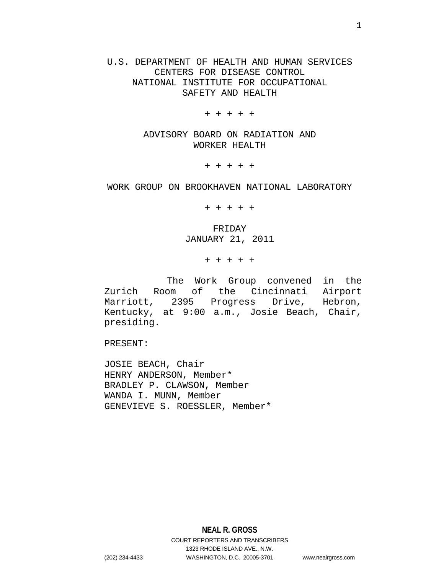# U.S. DEPARTMENT OF HEALTH AND HUMAN SERVICES CENTERS FOR DISEASE CONTROL NATIONAL INSTITUTE FOR OCCUPATIONAL SAFETY AND HEALTH

+ + + + +

ADVISORY BOARD ON RADIATION AND WORKER HEALTH

+ + + + +

## WORK GROUP ON BROOKHAVEN NATIONAL LABORATORY

+ + + + +

FRIDAY JANUARY 21, 2011

+ + + + +

 The Work Group convened in the Zurich Room of the Cincinnati Airport Marriott, 2395 Progress Drive, Hebron, Kentucky, at 9:00 a.m., Josie Beach, Chair, presiding.

PRESENT:

JOSIE BEACH, Chair HENRY ANDERSON, Member\* BRADLEY P. CLAWSON, Member WANDA I. MUNN, Member GENEVIEVE S. ROESSLER, Member\*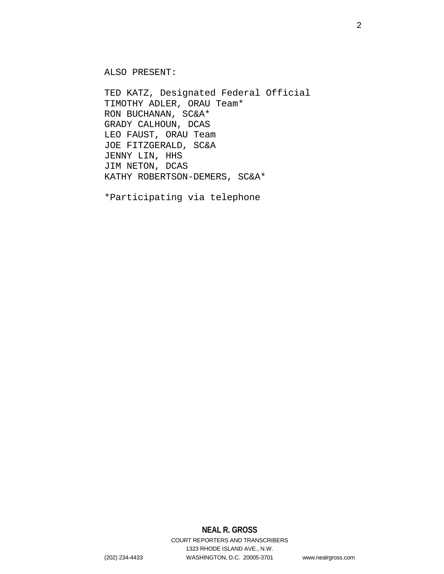ALSO PRESENT:

TED KATZ, Designated Federal Official TIMOTHY ADLER, ORAU Team\* RON BUCHANAN, SC&A\* GRADY CALHOUN, DCAS LEO FAUST, ORAU Team JOE FITZGERALD, SC&A JENNY LIN, HHS JIM NETON, DCAS KATHY ROBERTSON-DEMERS, SC&A\*

\*Participating via telephone

# **NEAL R. GROSS**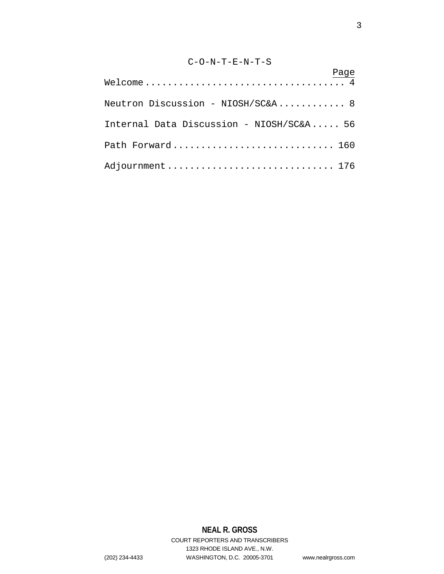# C-O-N-T-E-N-T-S

| $\begin{array}{c} \texttt{Page} \\ \texttt{Welcome} \dots \dots \dots \dots \dots \dots \dots \dots \dots \dots \dots \dots \dots \dots \end{array}$ |
|------------------------------------------------------------------------------------------------------------------------------------------------------|
| Neutron Discussion - NIOSH/SC&A 8                                                                                                                    |
| Internal Data Discussion - NIOSH/SC&A 56                                                                                                             |
| Path Forward 160                                                                                                                                     |
| Adjournment  176                                                                                                                                     |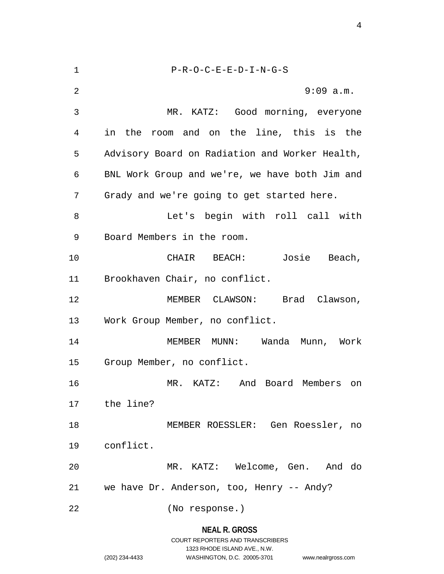1 P-R-O-C-E-E-D-I-N-G-S 2 9:09 a.m. 3 MR. KATZ: Good morning, everyone 4 in the room and on the line, this is the 5 Advisory Board on Radiation and Worker Health, 6 BNL Work Group and we're, we have both Jim and 7 Grady and we're going to get started here. 8 Let's begin with roll call with 9 Board Members in the room. 10 CHAIR BEACH: Josie Beach, 11 Brookhaven Chair, no conflict. 12 MEMBER CLAWSON: Brad Clawson, 13 Work Group Member, no conflict. 14 MEMBER MUNN: Wanda Munn, Work 15 Group Member, no conflict. 16 MR. KATZ: And Board Members on 17 the line? 18 MEMBER ROESSLER: Gen Roessler, no 19 conflict. 20 MR. KATZ: Welcome, Gen. And do 21 we have Dr. Anderson, too, Henry -- Andy? 22 (No response.)

#### **NEAL R. GROSS**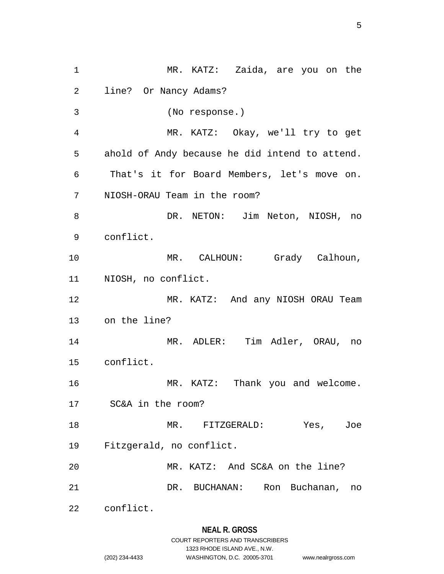1 MR. KATZ: Zaida, are you on the 2 line? Or Nancy Adams? 3 (No response.) 4 MR. KATZ: Okay, we'll try to get 5 ahold of Andy because he did intend to attend. 6 That's it for Board Members, let's move on. 7 NIOSH-ORAU Team in the room? 8 DR. NETON: Jim Neton, NIOSH, no 9 conflict. 10 MR. CALHOUN: Grady Calhoun, 11 NIOSH, no conflict. 12 MR. KATZ: And any NIOSH ORAU Team 13 on the line? 14 MR. ADLER: Tim Adler, ORAU, no 15 conflict. 16 MR. KATZ: Thank you and welcome. 17 SC&A in the room? 18 MR. FITZGERALD: Yes, Joe 19 Fitzgerald, no conflict. 20 MR. KATZ: And SC&A on the line? 21 DR. BUCHANAN: Ron Buchanan, no 22 conflict.

## **NEAL R. GROSS**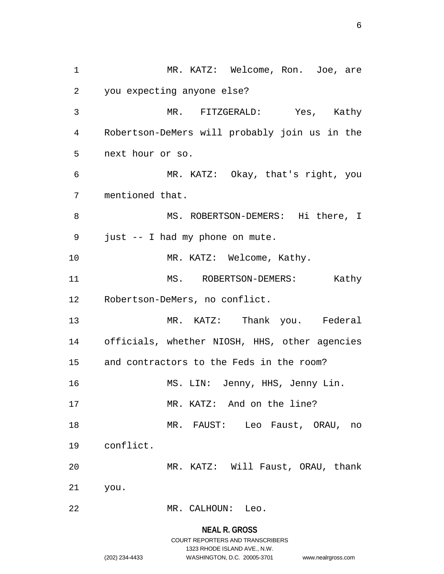1 MR. KATZ: Welcome, Ron. Joe, are 2 you expecting anyone else? 3 MR. FITZGERALD: Yes, Kathy 4 Robertson-DeMers will probably join us in the 5 next hour or so. 6 MR. KATZ: Okay, that's right, you 7 mentioned that. 8 MS. ROBERTSON-DEMERS: Hi there, I 9 just -- I had my phone on mute. 10 MR. KATZ: Welcome, Kathy. 11 MS. ROBERTSON-DEMERS: Kathy 12 Robertson-DeMers, no conflict. 13 MR. KATZ: Thank you. Federal 14 officials, whether NIOSH, HHS, other agencies 15 and contractors to the Feds in the room? 16 MS. LIN: Jenny, HHS, Jenny Lin. 17 MR. KATZ: And on the line? 18 MR. FAUST: Leo Faust, ORAU, no 19 conflict. 20 MR. KATZ: Will Faust, ORAU, thank 21 you. 22 MR. CALHOUN: Leo.

# **NEAL R. GROSS**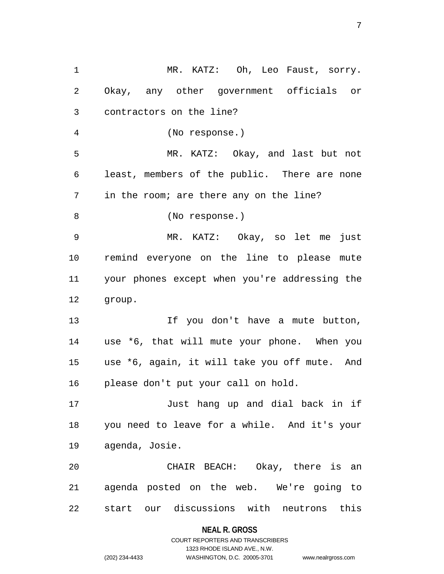1 MR. KATZ: Oh, Leo Faust, sorry. 2 Okay, any other government officials or 3 contractors on the line? 4 (No response.) 5 MR. KATZ: Okay, and last but not 6 least, members of the public. There are none 7 in the room; are there any on the line? 8 (No response.) 9 MR. KATZ: Okay, so let me just 10 remind everyone on the line to please mute 11 your phones except when you're addressing the 12 group. 13 13 If you don't have a mute button, 14 use \*6, that will mute your phone. When you 15 use \*6, again, it will take you off mute. And 16 please don't put your call on hold. 17 Just hang up and dial back in if 18 you need to leave for a while. And it's your 19 agenda, Josie. 20 CHAIR BEACH: Okay, there is an 21 agenda posted on the web. We're going to 22 start our discussions with neutrons this

**NEAL R. GROSS**

COURT REPORTERS AND TRANSCRIBERS 1323 RHODE ISLAND AVE., N.W. (202) 234-4433 WASHINGTON, D.C. 20005-3701 www.nealrgross.com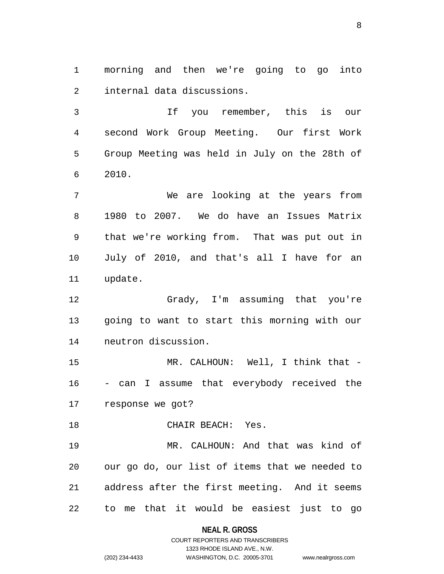1 morning and then we're going to go into 2 internal data discussions.

3 If you remember, this is our 4 second Work Group Meeting. Our first Work 5 Group Meeting was held in July on the 28th of 6 2010.

7 We are looking at the years from 8 1980 to 2007. We do have an Issues Matrix 9 that we're working from. That was put out in 10 July of 2010, and that's all I have for an 11 update.

12 Grady, I'm assuming that you're 13 going to want to start this morning with our 14 neutron discussion.

15 MR. CALHOUN: Well, I think that -16 - can I assume that everybody received the 17 response we got?

18 CHAIR BEACH: Yes.

19 MR. CALHOUN: And that was kind of 20 our go do, our list of items that we needed to 21 address after the first meeting. And it seems 22 to me that it would be easiest just to go

#### **NEAL R. GROSS**

### COURT REPORTERS AND TRANSCRIBERS 1323 RHODE ISLAND AVE., N.W. (202) 234-4433 WASHINGTON, D.C. 20005-3701 www.nealrgross.com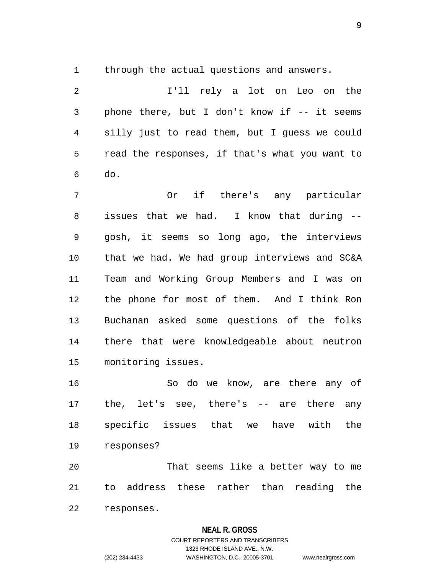1 through the actual questions and answers.

2 I'll rely a lot on Leo on the 3 phone there, but I don't know if -- it seems 4 silly just to read them, but I guess we could 5 read the responses, if that's what you want to 6 do.

7 Or if there's any particular 8 issues that we had. I know that during -- 9 gosh, it seems so long ago, the interviews 10 that we had. We had group interviews and SC&A 11 Team and Working Group Members and I was on 12 the phone for most of them. And I think Ron 13 Buchanan asked some questions of the folks 14 there that were knowledgeable about neutron 15 monitoring issues.

16 So do we know, are there any of 17 the, let's see, there's -- are there any 18 specific issues that we have with the 19 responses?

20 That seems like a better way to me 21 to address these rather than reading the 22 responses.

#### **NEAL R. GROSS**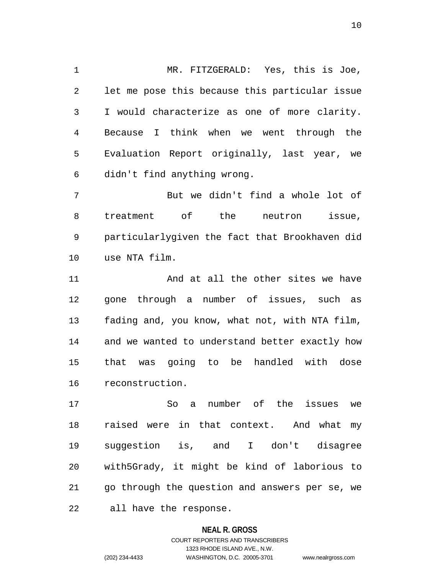1 MR. FITZGERALD: Yes, this is Joe, 2 let me pose this because this particular issue 3 I would characterize as one of more clarity. 4 Because I think when we went through the 5 Evaluation Report originally, last year, we 6 didn't find anything wrong.

7 But we didn't find a whole lot of 8 treatment of the neutron issue, 9 particularlygiven the fact that Brookhaven did 10 use NTA film.

11 And at all the other sites we have 12 gone through a number of issues, such as 13 fading and, you know, what not, with NTA film, 14 and we wanted to understand better exactly how 15 that was going to be handled with dose 16 reconstruction.

17 So a number of the issues we 18 raised were in that context. And what my 19 suggestion is, and I don't disagree 20 with5Grady, it might be kind of laborious to 21 go through the question and answers per se, we 22 all have the response.

#### **NEAL R. GROSS**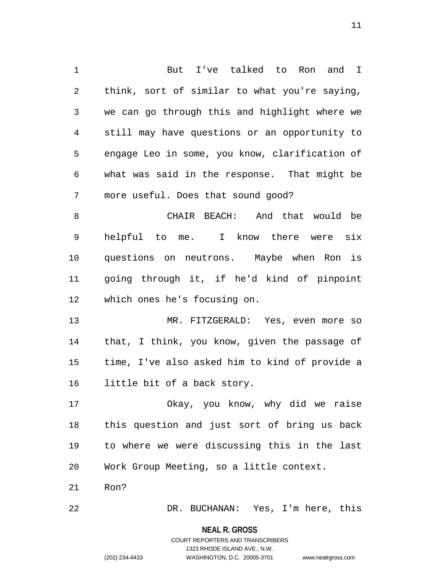1 But I've talked to Ron and I 2 think, sort of similar to what you're saying, 3 we can go through this and highlight where we 4 still may have questions or an opportunity to 5 engage Leo in some, you know, clarification of 6 what was said in the response. That might be 7 more useful. Does that sound good? 8 CHAIR BEACH: And that would be 9 helpful to me. I know there were six 10 questions on neutrons. Maybe when Ron is 11 going through it, if he'd kind of pinpoint

12 which ones he's focusing on.

13 MR. FITZGERALD: Yes, even more so 14 that, I think, you know, given the passage of 15 time, I've also asked him to kind of provide a 16 little bit of a back story.

17 Okay, you know, why did we raise 18 this question and just sort of bring us back 19 to where we were discussing this in the last 20 Work Group Meeting, so a little context.

21 Ron?

22 DR. BUCHANAN: Yes, I'm here, this

**NEAL R. GROSS** COURT REPORTERS AND TRANSCRIBERS 1323 RHODE ISLAND AVE., N.W. (202) 234-4433 WASHINGTON, D.C. 20005-3701 www.nealrgross.com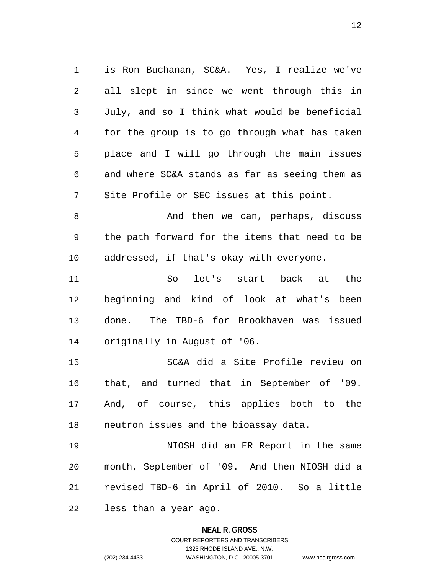1 is Ron Buchanan, SC&A. Yes, I realize we've 2 all slept in since we went through this in 3 July, and so I think what would be beneficial 4 for the group is to go through what has taken 5 place and I will go through the main issues 6 and where SC&A stands as far as seeing them as 7 Site Profile or SEC issues at this point.

8 And then we can, perhaps, discuss 9 the path forward for the items that need to be 10 addressed, if that's okay with everyone.

11 So let's start back at the 12 beginning and kind of look at what's been 13 done. The TBD-6 for Brookhaven was issued 14 originally in August of '06.

15 SC&A did a Site Profile review on 16 that, and turned that in September of '09. 17 And, of course, this applies both to the 18 neutron issues and the bioassay data.

19 NIOSH did an ER Report in the same 20 month, September of '09. And then NIOSH did a 21 revised TBD-6 in April of 2010. So a little

22 less than a year ago.

#### **NEAL R. GROSS**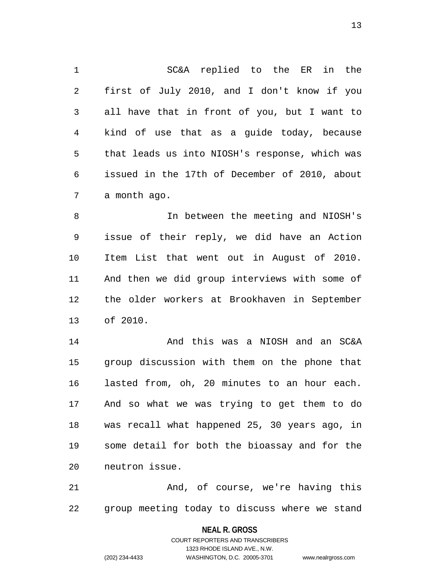1 SC&A replied to the ER in the 2 first of July 2010, and I don't know if you 3 all have that in front of you, but I want to 4 kind of use that as a guide today, because 5 that leads us into NIOSH's response, which was 6 issued in the 17th of December of 2010, about 7 a month ago.

8 In between the meeting and NIOSH's 9 issue of their reply, we did have an Action 10 Item List that went out in August of 2010. 11 And then we did group interviews with some of 12 the older workers at Brookhaven in September 13 of 2010.

14 And this was a NIOSH and an SC&A 15 group discussion with them on the phone that 16 lasted from, oh, 20 minutes to an hour each. 17 And so what we was trying to get them to do 18 was recall what happened 25, 30 years ago, in 19 some detail for both the bioassay and for the 20 neutron issue.

21 And, of course, we're having this 22 group meeting today to discuss where we stand

> **NEAL R. GROSS** COURT REPORTERS AND TRANSCRIBERS

1323 RHODE ISLAND AVE., N.W. (202) 234-4433 WASHINGTON, D.C. 20005-3701 www.nealrgross.com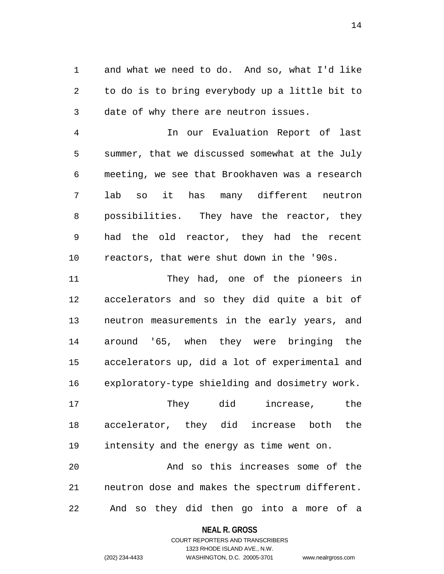1 and what we need to do. And so, what I'd like 2 to do is to bring everybody up a little bit to 3 date of why there are neutron issues.

4 In our Evaluation Report of last 5 summer, that we discussed somewhat at the July 6 meeting, we see that Brookhaven was a research 7 lab so it has many different neutron 8 possibilities. They have the reactor, they 9 had the old reactor, they had the recent 10 reactors, that were shut down in the '90s.

11 They had, one of the pioneers in 12 accelerators and so they did quite a bit of 13 neutron measurements in the early years, and 14 around '65, when they were bringing the 15 accelerators up, did a lot of experimental and 16 exploratory-type shielding and dosimetry work.

17 They did increase, the 18 accelerator, they did increase both the 19 intensity and the energy as time went on.

20 And so this increases some of the 21 neutron dose and makes the spectrum different. 22 And so they did then go into a more of a

#### **NEAL R. GROSS**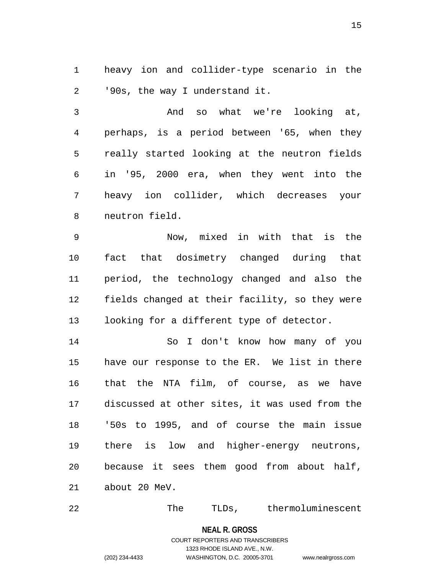1 heavy ion and collider-type scenario in the 2 '90s, the way I understand it.

3 And so what we're looking at, 4 perhaps, is a period between '65, when they 5 really started looking at the neutron fields 6 in '95, 2000 era, when they went into the 7 heavy ion collider, which decreases your 8 neutron field.

9 Now, mixed in with that is the 10 fact that dosimetry changed during that 11 period, the technology changed and also the 12 fields changed at their facility, so they were 13 looking for a different type of detector.

14 So I don't know how many of you 15 have our response to the ER. We list in there 16 that the NTA film, of course, as we have 17 discussed at other sites, it was used from the 18 '50s to 1995, and of course the main issue 19 there is low and higher-energy neutrons, 20 because it sees them good from about half, 21 about 20 MeV.

22 The TLDs, thermoluminescent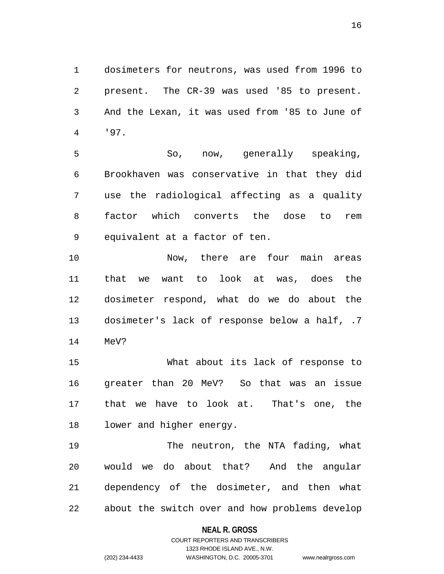1 dosimeters for neutrons, was used from 1996 to 2 present. The CR-39 was used '85 to present. 3 And the Lexan, it was used from '85 to June of 4 '97.

5 So, now, generally speaking, 6 Brookhaven was conservative in that they did 7 use the radiological affecting as a quality 8 factor which converts the dose to rem 9 equivalent at a factor of ten.

10 Now, there are four main areas 11 that we want to look at was, does the 12 dosimeter respond, what do we do about the 13 dosimeter's lack of response below a half, .7 14 MeV?

15 What about its lack of response to 16 greater than 20 MeV? So that was an issue 17 that we have to look at. That's one, the 18 lower and higher energy.

19 The neutron, the NTA fading, what 20 would we do about that? And the angular 21 dependency of the dosimeter, and then what 22 about the switch over and how problems develop

#### **NEAL R. GROSS**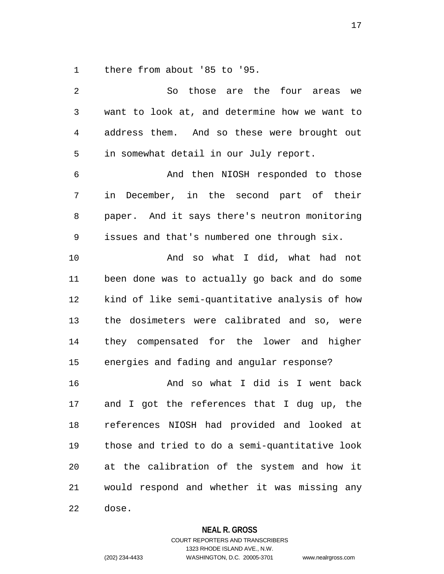1 there from about '85 to '95.

| 2              | So those are the four areas<br>we              |
|----------------|------------------------------------------------|
| $\mathfrak{Z}$ | want to look at, and determine how we want to  |
| $\overline{4}$ | address them. And so these were brought out    |
| 5              | in somewhat detail in our July report.         |
| 6              | And then NIOSH responded to those              |
| 7              | in December, in the second part of their       |
| 8              | paper. And it says there's neutron monitoring  |
| 9              | issues and that's numbered one through six.    |
| 10             | And so what I did, what had not                |
| 11             | been done was to actually go back and do some  |
| 12             | kind of like semi-quantitative analysis of how |
| 13             | the dosimeters were calibrated and so, were    |
| 14             | they compensated for the lower and higher      |
| 15             | energies and fading and angular response?      |
| 16             | And so what I did is I went back               |
| 17             | and I got the references that I dug up, the    |
| 18             | references NIOSH had provided and looked at    |
| 19             | those and tried to do a semi-quantitative look |
| 20             | at the calibration of the system and how it    |
| 21             | would respond and whether it was missing any   |
| 22             | dose.                                          |

**NEAL R. GROSS**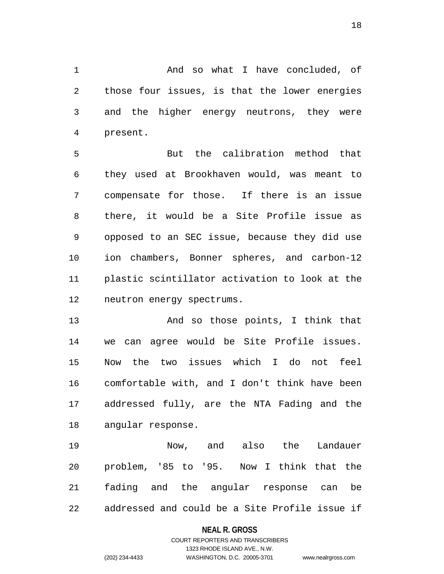1 And so what I have concluded, of 2 those four issues, is that the lower energies 3 and the higher energy neutrons, they were 4 present.

5 But the calibration method that 6 they used at Brookhaven would, was meant to 7 compensate for those. If there is an issue 8 there, it would be a Site Profile issue as 9 opposed to an SEC issue, because they did use 10 ion chambers, Bonner spheres, and carbon-12 11 plastic scintillator activation to look at the 12 neutron energy spectrums.

13 And so those points, I think that 14 we can agree would be Site Profile issues. 15 Now the two issues which I do not feel 16 comfortable with, and I don't think have been 17 addressed fully, are the NTA Fading and the 18 angular response.

19 Now, and also the Landauer 20 problem, '85 to '95. Now I think that the 21 fading and the angular response can be 22 addressed and could be a Site Profile issue if

#### **NEAL R. GROSS**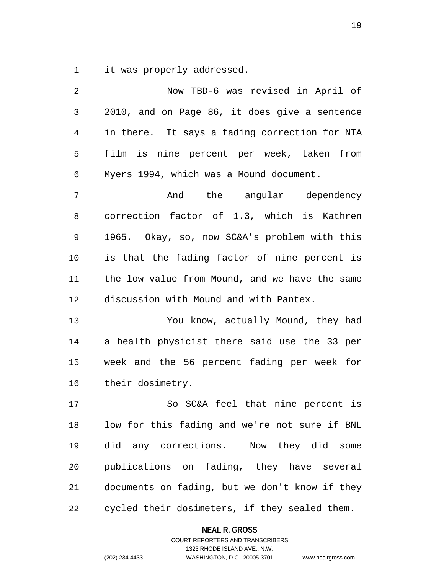1 it was properly addressed.

| 2  | Now TBD-6 was revised in April of              |
|----|------------------------------------------------|
| 3  | 2010, and on Page 86, it does give a sentence  |
| 4  | in there. It says a fading correction for NTA  |
| 5  | film is nine percent per week, taken from      |
| 6  | Myers 1994, which was a Mound document.        |
| 7  | And the angular dependency                     |
| 8  | correction factor of 1.3, which is Kathren     |
| 9  | 1965. Okay, so, now SC&A's problem with this   |
| 10 | is that the fading factor of nine percent is   |
| 11 | the low value from Mound, and we have the same |
| 12 | discussion with Mound and with Pantex.         |
| 13 | You know, actually Mound, they had             |
| 14 | a health physicist there said use the 33 per   |
| 15 | week and the 56 percent fading per week for    |
| 16 | their dosimetry.                               |
| 17 | So SC&A feel that nine percent is              |
| 18 | low for this fading and we're not sure if BNL  |
| 19 | did any corrections.  Now they did some        |
| 20 | publications on fading, they have several      |
| 21 | documents on fading, but we don't know if they |
| 22 | cycled their dosimeters, if they sealed them.  |

**NEAL R. GROSS** COURT REPORTERS AND TRANSCRIBERS

1323 RHODE ISLAND AVE., N.W.

(202) 234-4433 WASHINGTON, D.C. 20005-3701 www.nealrgross.com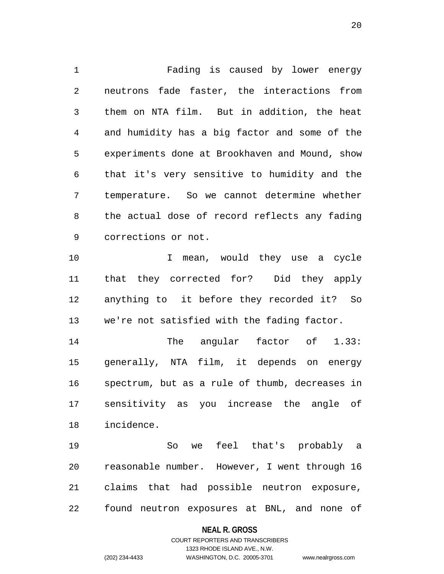1 Fading is caused by lower energy 2 neutrons fade faster, the interactions from 3 them on NTA film. But in addition, the heat 4 and humidity has a big factor and some of the 5 experiments done at Brookhaven and Mound, show 6 that it's very sensitive to humidity and the 7 temperature. So we cannot determine whether 8 the actual dose of record reflects any fading 9 corrections or not. 10 10 I mean, would they use a cycle 11 that they corrected for? Did they apply 12 anything to it before they recorded it? So

13 we're not satisfied with the fading factor.

14 The angular factor of 1.33: 15 generally, NTA film, it depends on energy 16 spectrum, but as a rule of thumb, decreases in 17 sensitivity as you increase the angle of 18 incidence.

19 So we feel that's probably a 20 reasonable number. However, I went through 16 21 claims that had possible neutron exposure, 22 found neutron exposures at BNL, and none of

#### **NEAL R. GROSS**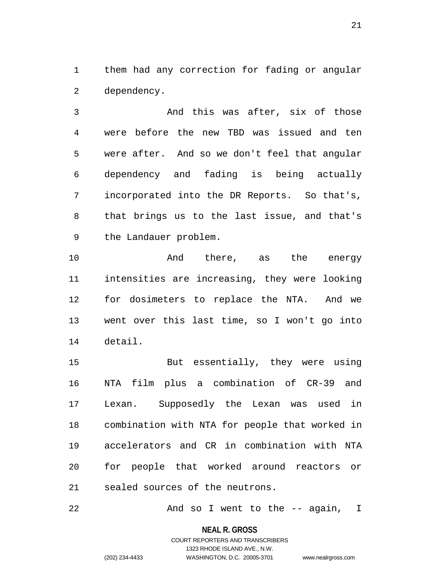1 them had any correction for fading or angular 2 dependency.

3 And this was after, six of those 4 were before the new TBD was issued and ten 5 were after. And so we don't feel that angular 6 dependency and fading is being actually 7 incorporated into the DR Reports. So that's, 8 that brings us to the last issue, and that's 9 the Landauer problem.

10 And there, as the energy 11 intensities are increasing, they were looking 12 for dosimeters to replace the NTA. And we 13 went over this last time, so I won't go into 14 detail.

15 But essentially, they were using 16 NTA film plus a combination of CR-39 and 17 Lexan. Supposedly the Lexan was used in 18 combination with NTA for people that worked in 19 accelerators and CR in combination with NTA 20 for people that worked around reactors or 21 sealed sources of the neutrons.

22 And so I went to the -- again, I

**NEAL R. GROSS**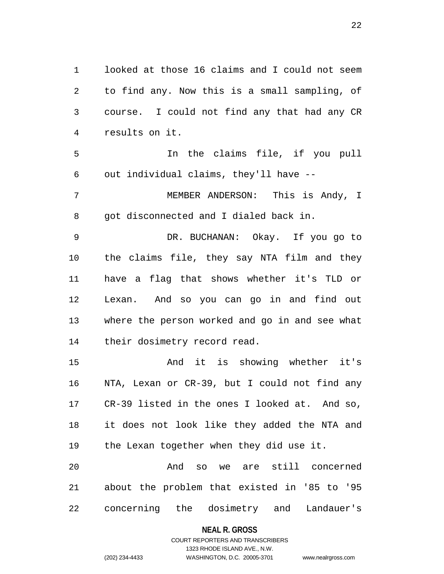1 looked at those 16 claims and I could not seem 2 to find any. Now this is a small sampling, of 3 course. I could not find any that had any CR 4 results on it.

5 In the claims file, if you pull 6 out individual claims, they'll have --

7 MEMBER ANDERSON: This is Andy, I 8 got disconnected and I dialed back in.

9 DR. BUCHANAN: Okay. If you go to 10 the claims file, they say NTA film and they 11 have a flag that shows whether it's TLD or 12 Lexan. And so you can go in and find out 13 where the person worked and go in and see what 14 their dosimetry record read.

15 And it is showing whether it's 16 NTA, Lexan or CR-39, but I could not find any 17 CR-39 listed in the ones I looked at. And so, 18 it does not look like they added the NTA and 19 the Lexan together when they did use it. 20 And so we are still concerned

21 about the problem that existed in '85 to '95 22 concerning the dosimetry and Landauer's

#### **NEAL R. GROSS**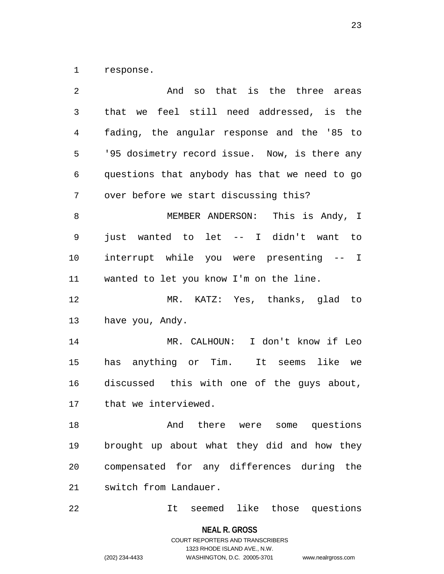1 response.

| 2      | so that is the three areas<br>And                                                                                                                                                                                                                                                                                   |
|--------|---------------------------------------------------------------------------------------------------------------------------------------------------------------------------------------------------------------------------------------------------------------------------------------------------------------------|
| 3      | that we feel still need addressed, is the                                                                                                                                                                                                                                                                           |
| 4      | fading, the angular response and the '85 to                                                                                                                                                                                                                                                                         |
| 5      | '95 dosimetry record issue. Now, is there any                                                                                                                                                                                                                                                                       |
| 6      | questions that anybody has that we need to go                                                                                                                                                                                                                                                                       |
| 7      | over before we start discussing this?                                                                                                                                                                                                                                                                               |
| 8      | MEMBER ANDERSON: This is Andy, I                                                                                                                                                                                                                                                                                    |
| 9      | just wanted to let -- I didn't want to                                                                                                                                                                                                                                                                              |
| 10     | interrupt while you were presenting -- I                                                                                                                                                                                                                                                                            |
| 11     | wanted to let you know I'm on the line.                                                                                                                                                                                                                                                                             |
| 12     | MR. KATZ: Yes, thanks, glad to                                                                                                                                                                                                                                                                                      |
| 13     | have you, Andy.                                                                                                                                                                                                                                                                                                     |
| 14     | MR. CALHOUN: I don't know if Leo                                                                                                                                                                                                                                                                                    |
| 15     | has anything or Tim. It seems like we                                                                                                                                                                                                                                                                               |
| 16     | discussed this with one of the guys about,                                                                                                                                                                                                                                                                          |
| 17     | that we interviewed.                                                                                                                                                                                                                                                                                                |
| 18     | And there were some questions                                                                                                                                                                                                                                                                                       |
| 19     | brought up about what they did and how they                                                                                                                                                                                                                                                                         |
| 20     | compensated for any differences during the                                                                                                                                                                                                                                                                          |
| 21     | switch from Landauer.                                                                                                                                                                                                                                                                                               |
| $\cap$ | $\frac{1}{2}$ $\frac{1}{2}$ $\frac{1}{2}$ $\frac{1}{2}$ $\frac{1}{2}$ $\frac{1}{2}$ $\frac{1}{2}$ $\frac{1}{2}$ $\frac{1}{2}$ $\frac{1}{2}$ $\frac{1}{2}$ $\frac{1}{2}$ $\frac{1}{2}$ $\frac{1}{2}$ $\frac{1}{2}$ $\frac{1}{2}$ $\frac{1}{2}$ $\frac{1}{2}$ $\frac{1}{2}$ $\frac{1}{2}$ $\frac{1}{2}$ $\frac{1}{2}$ |

22 It seemed like those questions

**NEAL R. GROSS**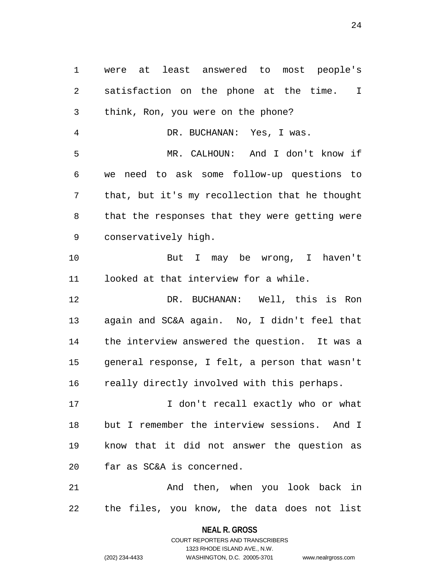1 were at least answered to most people's 2 satisfaction on the phone at the time. I 3 think, Ron, you were on the phone? 4 DR. BUCHANAN: Yes, I was. 5 MR. CALHOUN: And I don't know if 6 we need to ask some follow-up questions to 7 that, but it's my recollection that he thought 8 that the responses that they were getting were 9 conservatively high. 10 But I may be wrong, I haven't 11 looked at that interview for a while. 12 DR. BUCHANAN: Well, this is Ron 13 again and SC&A again. No, I didn't feel that 14 the interview answered the question. It was a 15 general response, I felt, a person that wasn't 16 really directly involved with this perhaps. 17 17 I don't recall exactly who or what 18 but I remember the interview sessions. And I 19 know that it did not answer the question as 20 far as SC&A is concerned. 21 And then, when you look back in 22 the files, you know, the data does not list

> **NEAL R. GROSS** COURT REPORTERS AND TRANSCRIBERS

> > 1323 RHODE ISLAND AVE., N.W.

(202) 234-4433 WASHINGTON, D.C. 20005-3701 www.nealrgross.com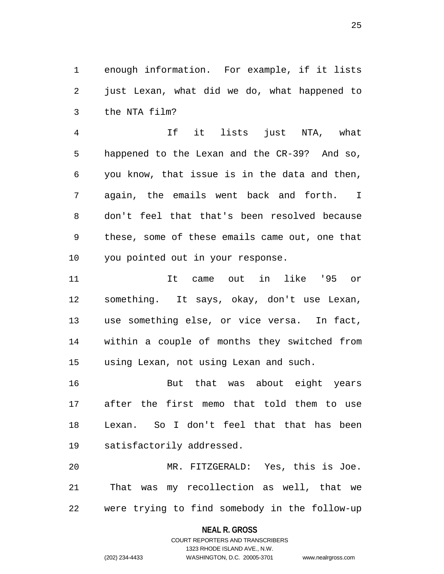1 enough information. For example, if it lists 2 just Lexan, what did we do, what happened to 3 the NTA film?

4 If it lists just NTA, what 5 happened to the Lexan and the CR-39? And so, 6 you know, that issue is in the data and then, 7 again, the emails went back and forth. I 8 don't feel that that's been resolved because 9 these, some of these emails came out, one that 10 you pointed out in your response.

11 It came out in like '95 or 12 something. It says, okay, don't use Lexan, 13 use something else, or vice versa. In fact, 14 within a couple of months they switched from 15 using Lexan, not using Lexan and such.

16 But that was about eight years 17 after the first memo that told them to use 18 Lexan. So I don't feel that that has been 19 satisfactorily addressed.

20 MR. FITZGERALD: Yes, this is Joe. 21 That was my recollection as well, that we 22 were trying to find somebody in the follow-up

#### **NEAL R. GROSS**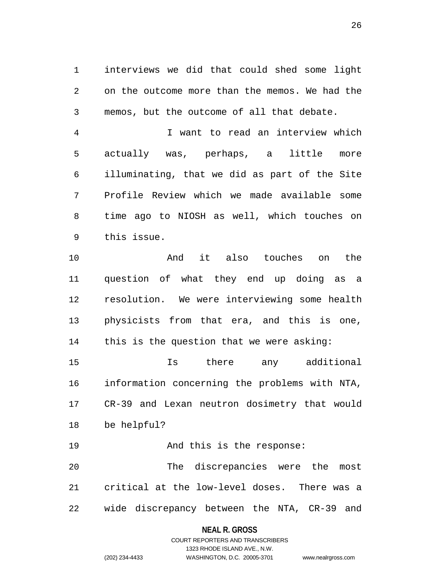1 interviews we did that could shed some light 2 on the outcome more than the memos. We had the 3 memos, but the outcome of all that debate.

4 I want to read an interview which 5 actually was, perhaps, a little more 6 illuminating, that we did as part of the Site 7 Profile Review which we made available some 8 time ago to NIOSH as well, which touches on 9 this issue.

10 And it also touches on the 11 question of what they end up doing as a 12 resolution. We were interviewing some health 13 physicists from that era, and this is one, 14 this is the question that we were asking:

15 Is there any additional 16 information concerning the problems with NTA, 17 CR-39 and Lexan neutron dosimetry that would 18 be helpful?

19 And this is the response: 20 The discrepancies were the most 21 critical at the low-level doses. There was a 22 wide discrepancy between the NTA, CR-39 and

#### **NEAL R. GROSS**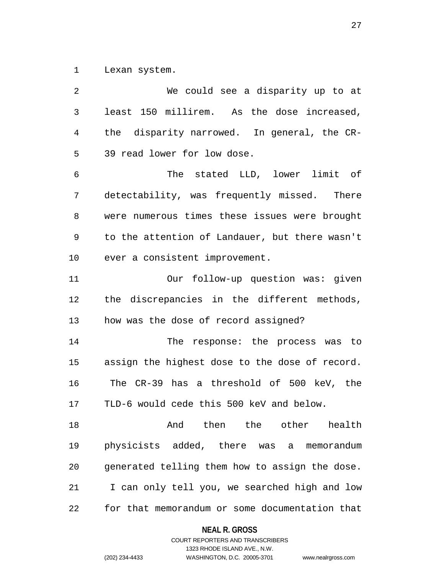1 Lexan system.

| $\overline{2}$ | We could see a disparity up to at              |
|----------------|------------------------------------------------|
| $\mathfrak{Z}$ | least 150 millirem. As the dose increased,     |
| 4              | the disparity narrowed. In general, the CR-    |
| 5              | 39 read lower for low dose.                    |
| 6              | The stated LLD, lower limit of                 |
| 7              | detectability, was frequently missed. There    |
| 8              | were numerous times these issues were brought  |
| 9              | to the attention of Landauer, but there wasn't |
| 10             | ever a consistent improvement.                 |
| 11             | Our follow-up question was: given              |
| 12             | the discrepancies in the different methods,    |
| 13             | how was the dose of record assigned?           |
| 14             | The response: the process was to               |
| 15             | assign the highest dose to the dose of record. |
| 16             | The CR-39 has a threshold of 500 keV, the      |
| 17             | TLD-6 would cede this 500 keV and below.       |
| 18             | And then the other health                      |
| 19             | physicists added, there was a memorandum       |
| 20             | generated telling them how to assign the dose. |
| 21             | I can only tell you, we searched high and low  |
| 22             | for that memorandum or some documentation that |

**NEAL R. GROSS**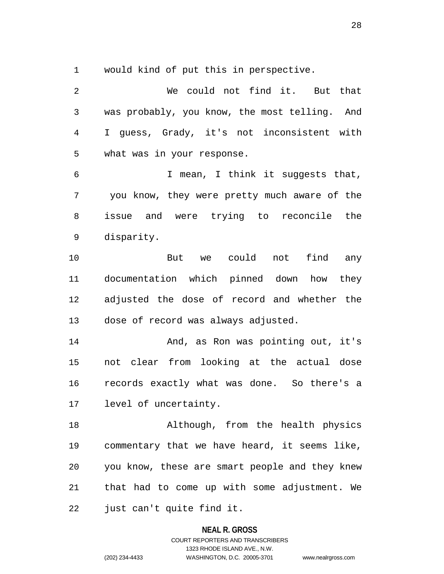1 would kind of put this in perspective.

2 We could not find it. But that 3 was probably, you know, the most telling. And 4 I guess, Grady, it's not inconsistent with 5 what was in your response. 6 I mean, I think it suggests that, 7 you know, they were pretty much aware of the 8 issue and were trying to reconcile the 9 disparity. 10 But we could not find any 11 documentation which pinned down how they 12 adjusted the dose of record and whether the 13 dose of record was always adjusted. 14 And, as Ron was pointing out, it's 15 not clear from looking at the actual dose 16 records exactly what was done. So there's a 17 level of uncertainty. 18 Although, from the health physics 19 commentary that we have heard, it seems like, 20 you know, these are smart people and they knew 21 that had to come up with some adjustment. We 22 just can't quite find it.

**NEAL R. GROSS**

COURT REPORTERS AND TRANSCRIBERS 1323 RHODE ISLAND AVE., N.W. (202) 234-4433 WASHINGTON, D.C. 20005-3701 www.nealrgross.com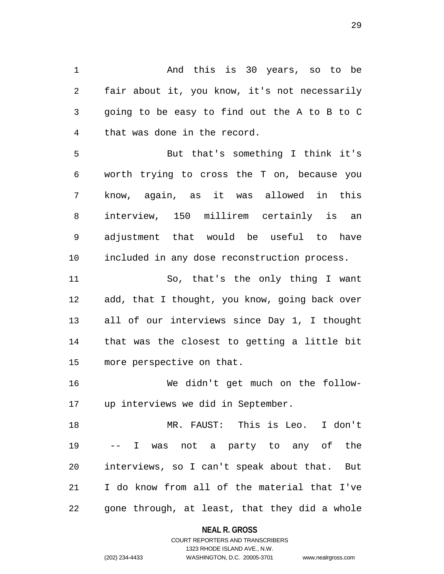1 And this is 30 years, so to be 2 fair about it, you know, it's not necessarily 3 going to be easy to find out the A to B to C 4 that was done in the record.

5 But that's something I think it's 6 worth trying to cross the T on, because you 7 know, again, as it was allowed in this 8 interview, 150 millirem certainly is an 9 adjustment that would be useful to have 10 included in any dose reconstruction process.

11 So, that's the only thing I want 12 add, that I thought, you know, going back over 13 all of our interviews since Day 1, I thought 14 that was the closest to getting a little bit 15 more perspective on that.

16 We didn't get much on the follow-17 up interviews we did in September.

18 MR. FAUST: This is Leo. I don't 19 -- I was not a party to any of the 20 interviews, so I can't speak about that. But 21 I do know from all of the material that I've 22 gone through, at least, that they did a whole

> **NEAL R. GROSS** COURT REPORTERS AND TRANSCRIBERS

1323 RHODE ISLAND AVE., N.W. (202) 234-4433 WASHINGTON, D.C. 20005-3701 www.nealrgross.com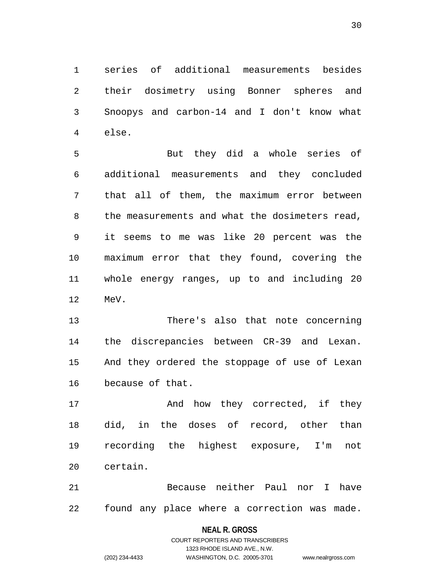1 series of additional measurements besides 2 their dosimetry using Bonner spheres and 3 Snoopys and carbon-14 and I don't know what 4 else.

5 But they did a whole series of 6 additional measurements and they concluded 7 that all of them, the maximum error between 8 the measurements and what the dosimeters read, 9 it seems to me was like 20 percent was the 10 maximum error that they found, covering the 11 whole energy ranges, up to and including 20 12 MeV.

13 There's also that note concerning 14 the discrepancies between CR-39 and Lexan. 15 And they ordered the stoppage of use of Lexan 16 because of that.

17 And how they corrected, if they 18 did, in the doses of record, other than 19 recording the highest exposure, I'm not 20 certain.

21 Because neither Paul nor I have 22 found any place where a correction was made.

#### **NEAL R. GROSS**

COURT REPORTERS AND TRANSCRIBERS 1323 RHODE ISLAND AVE., N.W. (202) 234-4433 WASHINGTON, D.C. 20005-3701 www.nealrgross.com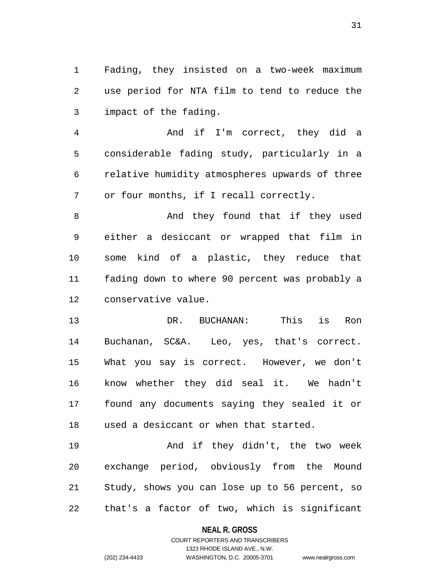1 Fading, they insisted on a two-week maximum 2 use period for NTA film to tend to reduce the 3 impact of the fading.

4 And if I'm correct, they did a 5 considerable fading study, particularly in a 6 relative humidity atmospheres upwards of three 7 or four months, if I recall correctly.

8 And they found that if they used 9 either a desiccant or wrapped that film in 10 some kind of a plastic, they reduce that 11 fading down to where 90 percent was probably a 12 conservative value.

13 DR. BUCHANAN: This is Ron 14 Buchanan, SC&A. Leo, yes, that's correct. 15 What you say is correct. However, we don't 16 know whether they did seal it. We hadn't 17 found any documents saying they sealed it or 18 used a desiccant or when that started.

19 And if they didn't, the two week 20 exchange period, obviously from the Mound 21 Study, shows you can lose up to 56 percent, so 22 that's a factor of two, which is significant

## **NEAL R. GROSS** COURT REPORTERS AND TRANSCRIBERS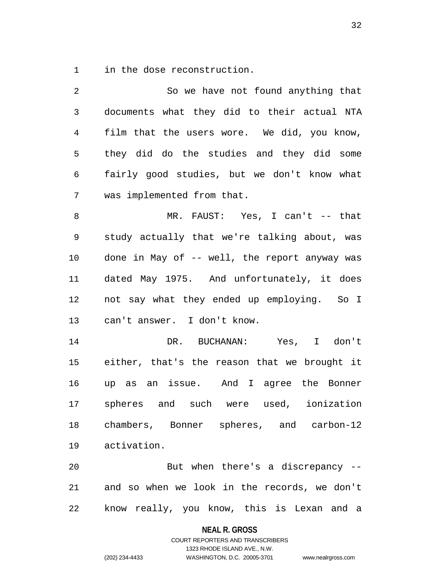1 in the dose reconstruction.

| $\overline{2}$ | So we have not found anything that            |
|----------------|-----------------------------------------------|
| $\mathfrak{Z}$ | documents what they did to their actual NTA   |
| 4              | film that the users wore. We did, you know,   |
| 5              | they did do the studies and they did some     |
| 6              | fairly good studies, but we don't know what   |
| 7              | was implemented from that.                    |
| 8              | MR. FAUST: Yes, I can't -- that               |
| 9              | study actually that we're talking about, was  |
| 10             | done in May of -- well, the report anyway was |
| 11             | dated May 1975. And unfortunately, it does    |
| 12             | not say what they ended up employing. So I    |
| 13             | can't answer. I don't know.                   |
| 14             | DR. BUCHANAN: Yes, I don't                    |
| 15             | either, that's the reason that we brought it  |
| 16             | up as an issue. And I agree the Bonner        |
| 17             | spheres and such were used, ionization        |
| 18             | chambers, Bonner spheres, and carbon-12       |
| 19             | activation.                                   |
| 20             | But when there's a discrepancy --             |
| 21             | and so when we look in the records, we don't  |
| 22             | know really, you know, this is Lexan and a    |

**NEAL R. GROSS**

COURT REPORTERS AND TRANSCRIBERS 1323 RHODE ISLAND AVE., N.W. (202) 234-4433 WASHINGTON, D.C. 20005-3701 www.nealrgross.com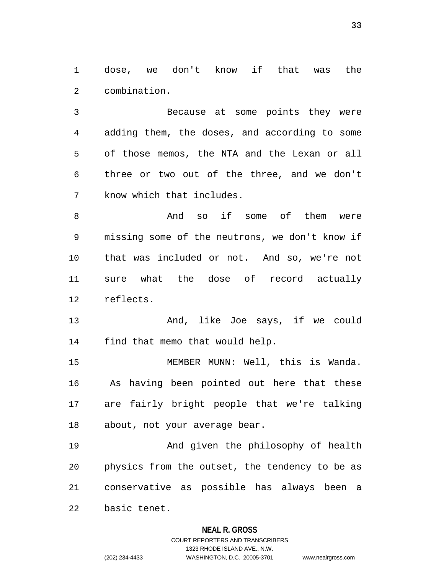1 dose, we don't know if that was the 2 combination.

3 Because at some points they were 4 adding them, the doses, and according to some 5 of those memos, the NTA and the Lexan or all 6 three or two out of the three, and we don't 7 know which that includes.

8 And so if some of them were 9 missing some of the neutrons, we don't know if 10 that was included or not. And so, we're not 11 sure what the dose of record actually 12 reflects.

13 And, like Joe says, if we could 14 find that memo that would help.

15 MEMBER MUNN: Well, this is Wanda. 16 As having been pointed out here that these 17 are fairly bright people that we're talking 18 about, not your average bear.

19 And given the philosophy of health 20 physics from the outset, the tendency to be as 21 conservative as possible has always been a 22 basic tenet.

## **NEAL R. GROSS**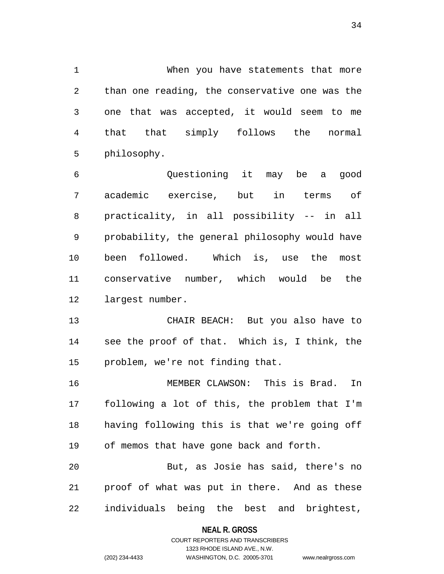1 When you have statements that more 2 than one reading, the conservative one was the 3 one that was accepted, it would seem to me 4 that that simply follows the normal 5 philosophy.

6 Questioning it may be a good 7 academic exercise, but in terms of 8 practicality, in all possibility -- in all 9 probability, the general philosophy would have 10 been followed. Which is, use the most 11 conservative number, which would be the 12 largest number.

13 CHAIR BEACH: But you also have to 14 see the proof of that. Which is, I think, the 15 problem, we're not finding that.

16 MEMBER CLAWSON: This is Brad. In 17 following a lot of this, the problem that I'm 18 having following this is that we're going off 19 of memos that have gone back and forth.

20 But, as Josie has said, there's no 21 proof of what was put in there. And as these 22 individuals being the best and brightest,

# **NEAL R. GROSS** COURT REPORTERS AND TRANSCRIBERS

```
1323 RHODE ISLAND AVE., N.W.
(202) 234-4433 WASHINGTON, D.C. 20005-3701 www.nealrgross.com
```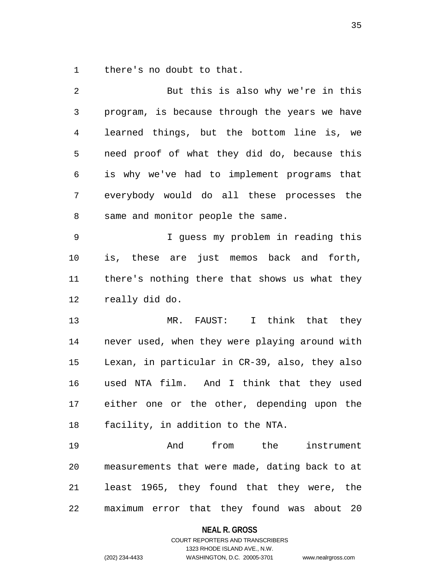1 there's no doubt to that.

| $\overline{2}$ | But this is also why we're in this             |
|----------------|------------------------------------------------|
| $\mathfrak{Z}$ | program, is because through the years we have  |
| 4              | learned things, but the bottom line is, we     |
| 5              | need proof of what they did do, because this   |
| 6              | is why we've had to implement programs that    |
| 7              | everybody would do all these processes the     |
| 8              | same and monitor people the same.              |
| 9              | I guess my problem in reading this             |
| 10             | is, these are just memos back and forth,       |
| 11             | there's nothing there that shows us what they  |
| 12             | really did do.                                 |
| 13             | I think that they<br>MR. FAUST:                |
| 14             | never used, when they were playing around with |
| 15             | Lexan, in particular in CR-39, also, they also |
| 16             | used NTA film. And I think that they used      |
| 17             | either one or the other, depending upon the    |
| 18             | facility, in addition to the NTA.              |
| 19             | from the<br>And<br>instrument                  |
| 20             | measurements that were made, dating back to at |
| 21             | least 1965, they found that they were, the     |
| 22             | maximum error that they found was about 20     |

# **NEAL R. GROSS**

# COURT REPORTERS AND TRANSCRIBERS 1323 RHODE ISLAND AVE., N.W. (202) 234-4433 WASHINGTON, D.C. 20005-3701 www.nealrgross.com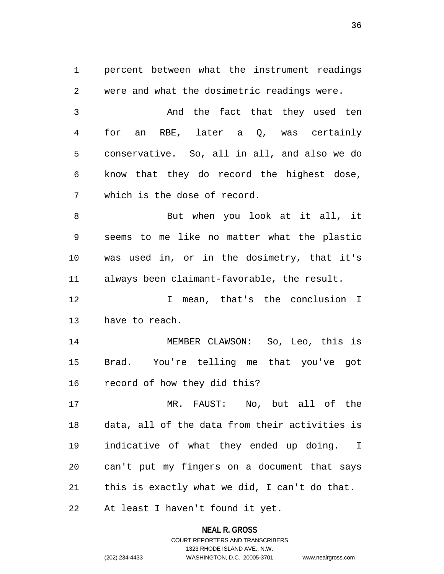1 percent between what the instrument readings 2 were and what the dosimetric readings were. 3 And the fact that they used ten 4 for an RBE, later a Q, was certainly 5 conservative. So, all in all, and also we do 6 know that they do record the highest dose, 7 which is the dose of record. 8 But when you look at it all, it 9 seems to me like no matter what the plastic 10 was used in, or in the dosimetry, that it's 11 always been claimant-favorable, the result. 12 I mean, that's the conclusion I 13 have to reach. 14 MEMBER CLAWSON: So, Leo, this is 15 Brad. You're telling me that you've got 16 record of how they did this? 17 MR. FAUST: No, but all of the 18 data, all of the data from their activities is 19 indicative of what they ended up doing. I 20 can't put my fingers on a document that says

21 this is exactly what we did, I can't do that.

22 At least I haven't found it yet.

**NEAL R. GROSS** COURT REPORTERS AND TRANSCRIBERS

1323 RHODE ISLAND AVE., N.W.

(202) 234-4433 WASHINGTON, D.C. 20005-3701 www.nealrgross.com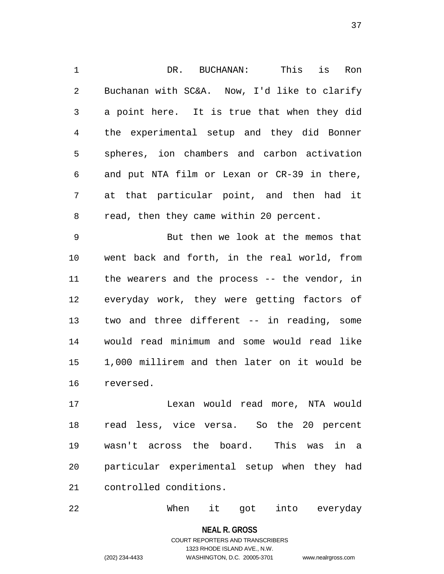1 DR. BUCHANAN: This is Ron 2 Buchanan with SC&A. Now, I'd like to clarify 3 a point here. It is true that when they did 4 the experimental setup and they did Bonner 5 spheres, ion chambers and carbon activation 6 and put NTA film or Lexan or CR-39 in there, 7 at that particular point, and then had it 8 read, then they came within 20 percent.

9 But then we look at the memos that 10 went back and forth, in the real world, from 11 the wearers and the process -- the vendor, in 12 everyday work, they were getting factors of 13 two and three different -- in reading, some 14 would read minimum and some would read like 15 1,000 millirem and then later on it would be 16 reversed.

17 Lexan would read more, NTA would 18 read less, vice versa. So the 20 percent 19 wasn't across the board. This was in a 20 particular experimental setup when they had 21 controlled conditions.

22 When it got into everyday

**NEAL R. GROSS** COURT REPORTERS AND TRANSCRIBERS 1323 RHODE ISLAND AVE., N.W. (202) 234-4433 WASHINGTON, D.C. 20005-3701 www.nealrgross.com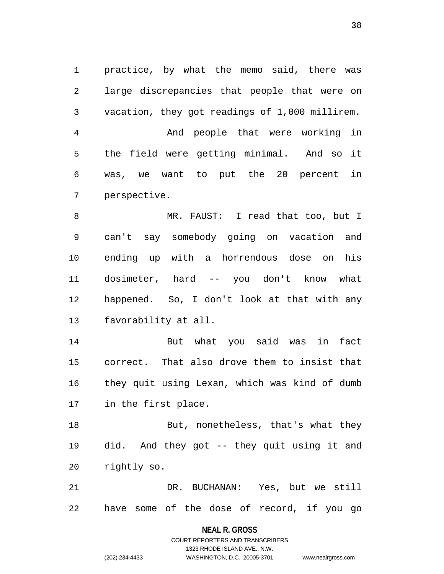1 practice, by what the memo said, there was 2 large discrepancies that people that were on 3 vacation, they got readings of 1,000 millirem. 4 And people that were working in 5 the field were getting minimal. And so it 6 was, we want to put the 20 percent in 7 perspective.

8 MR. FAUST: I read that too, but I 9 can't say somebody going on vacation and 10 ending up with a horrendous dose on his 11 dosimeter, hard -- you don't know what 12 happened. So, I don't look at that with any 13 favorability at all.

14 But what you said was in fact 15 correct. That also drove them to insist that 16 they quit using Lexan, which was kind of dumb 17 in the first place.

18 But, nonetheless, that's what they 19 did. And they got -- they quit using it and 20 rightly so.

21 DR. BUCHANAN: Yes, but we still 22 have some of the dose of record, if you go

#### **NEAL R. GROSS**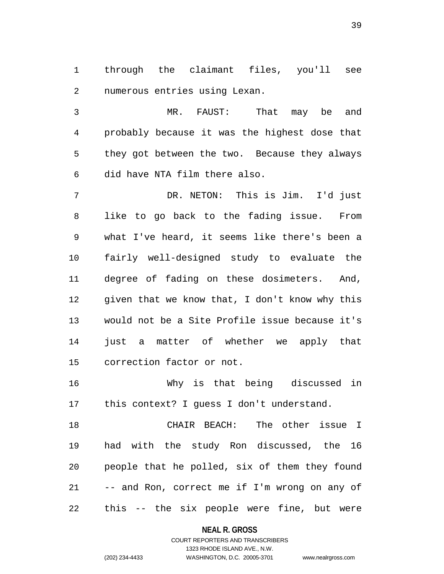1 through the claimant files, you'll see 2 numerous entries using Lexan.

3 MR. FAUST: That may be and 4 probably because it was the highest dose that 5 they got between the two. Because they always 6 did have NTA film there also.

7 DR. NETON: This is Jim. I'd just 8 like to go back to the fading issue. From 9 what I've heard, it seems like there's been a 10 fairly well-designed study to evaluate the 11 degree of fading on these dosimeters. And, 12 given that we know that, I don't know why this 13 would not be a Site Profile issue because it's 14 just a matter of whether we apply that 15 correction factor or not.

16 Why is that being discussed in 17 this context? I guess I don't understand.

18 CHAIR BEACH: The other issue I 19 had with the study Ron discussed, the 16 20 people that he polled, six of them they found 21 -- and Ron, correct me if I'm wrong on any of 22 this -- the six people were fine, but were

**NEAL R. GROSS**

COURT REPORTERS AND TRANSCRIBERS 1323 RHODE ISLAND AVE., N.W. (202) 234-4433 WASHINGTON, D.C. 20005-3701 www.nealrgross.com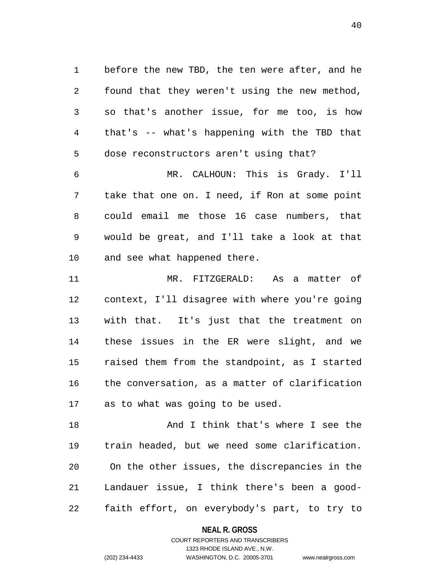1 before the new TBD, the ten were after, and he 2 found that they weren't using the new method, 3 so that's another issue, for me too, is how 4 that's -- what's happening with the TBD that 5 dose reconstructors aren't using that?

6 MR. CALHOUN: This is Grady. I'll 7 take that one on. I need, if Ron at some point 8 could email me those 16 case numbers, that 9 would be great, and I'll take a look at that 10 and see what happened there.

11 MR. FITZGERALD: As a matter of 12 context, I'll disagree with where you're going 13 with that. It's just that the treatment on 14 these issues in the ER were slight, and we 15 raised them from the standpoint, as I started 16 the conversation, as a matter of clarification 17 as to what was going to be used.

18 And I think that's where I see the 19 train headed, but we need some clarification. 20 On the other issues, the discrepancies in the 21 Landauer issue, I think there's been a good-22 faith effort, on everybody's part, to try to

> **NEAL R. GROSS** COURT REPORTERS AND TRANSCRIBERS

> > 1323 RHODE ISLAND AVE., N.W.

(202) 234-4433 WASHINGTON, D.C. 20005-3701 www.nealrgross.com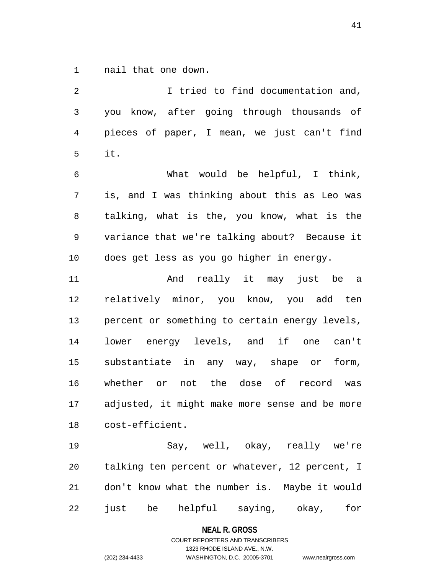1 nail that one down.

2 I tried to find documentation and, 3 you know, after going through thousands of 4 pieces of paper, I mean, we just can't find 5 it. 6 What would be helpful, I think, 7 is, and I was thinking about this as Leo was 8 talking, what is the, you know, what is the

9 variance that we're talking about? Because it 10 does get less as you go higher in energy.

11 And really it may just be a 12 relatively minor, you know, you add ten 13 percent or something to certain energy levels, 14 lower energy levels, and if one can't 15 substantiate in any way, shape or form, 16 whether or not the dose of record was 17 adjusted, it might make more sense and be more 18 cost-efficient.

19 Say, well, okay, really we're 20 talking ten percent or whatever, 12 percent, I 21 don't know what the number is. Maybe it would 22 just be helpful saying, okay, for

#### **NEAL R. GROSS**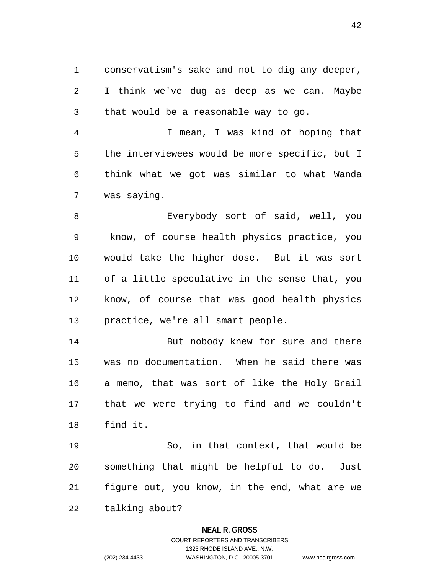1 conservatism's sake and not to dig any deeper, 2 I think we've dug as deep as we can. Maybe 3 that would be a reasonable way to go.

4 I mean, I was kind of hoping that 5 the interviewees would be more specific, but I 6 think what we got was similar to what Wanda 7 was saying.

8 Everybody sort of said, well, you 9 know, of course health physics practice, you 10 would take the higher dose. But it was sort 11 of a little speculative in the sense that, you 12 know, of course that was good health physics 13 practice, we're all smart people.

14 But nobody knew for sure and there 15 was no documentation. When he said there was 16 a memo, that was sort of like the Holy Grail 17 that we were trying to find and we couldn't 18 find it.

19 So, in that context, that would be 20 something that might be helpful to do. Just 21 figure out, you know, in the end, what are we 22 talking about?

### **NEAL R. GROSS**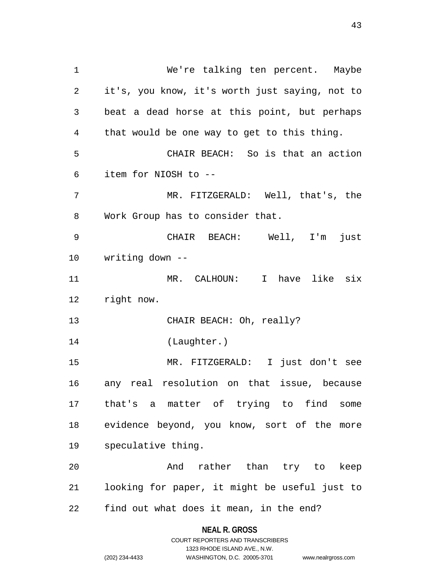1 We're talking ten percent. Maybe 2 it's, you know, it's worth just saying, not to 3 beat a dead horse at this point, but perhaps 4 that would be one way to get to this thing. 5 CHAIR BEACH: So is that an action 6 item for NIOSH to -- 7 MR. FITZGERALD: Well, that's, the 8 Work Group has to consider that. 9 CHAIR BEACH: Well, I'm just 10 writing down -- 11 MR. CALHOUN: I have like six 12 right now. 13 CHAIR BEACH: Oh, really? 14 (Laughter.) 15 MR. FITZGERALD: I just don't see 16 any real resolution on that issue, because 17 that's a matter of trying to find some 18 evidence beyond, you know, sort of the more 19 speculative thing. 20 And rather than try to keep 21 looking for paper, it might be useful just to 22 find out what does it mean, in the end?

> **NEAL R. GROSS** COURT REPORTERS AND TRANSCRIBERS

> > 1323 RHODE ISLAND AVE., N.W.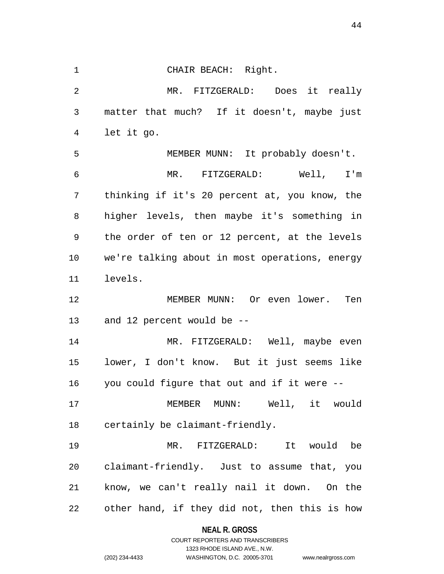1 CHAIR BEACH: Right. 2 MR. FITZGERALD: Does it really 3 matter that much? If it doesn't, maybe just 4 let it go. 5 MEMBER MUNN: It probably doesn't. 6 MR. FITZGERALD: Well, I'm 7 thinking if it's 20 percent at, you know, the 8 higher levels, then maybe it's something in 9 the order of ten or 12 percent, at the levels 10 we're talking about in most operations, energy 11 levels. 12 MEMBER MUNN: Or even lower. Ten 13 and 12 percent would be -- 14 MR. FITZGERALD: Well, maybe even 15 lower, I don't know. But it just seems like 16 you could figure that out and if it were -- 17 MEMBER MUNN: Well, it would 18 certainly be claimant-friendly. 19 MR. FITZGERALD: It would be 20 claimant-friendly. Just to assume that, you 21 know, we can't really nail it down. On the 22 other hand, if they did not, then this is how

> **NEAL R. GROSS** COURT REPORTERS AND TRANSCRIBERS

1323 RHODE ISLAND AVE., N.W. (202) 234-4433 WASHINGTON, D.C. 20005-3701 www.nealrgross.com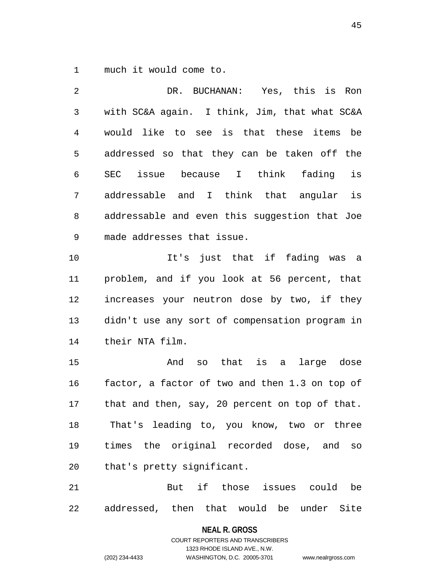1 much it would come to.

2 DR. BUCHANAN: Yes, this is Ron 3 with SC&A again. I think, Jim, that what SC&A 4 would like to see is that these items be 5 addressed so that they can be taken off the 6 SEC issue because I think fading is 7 addressable and I think that angular is 8 addressable and even this suggestion that Joe 9 made addresses that issue. 10 It's just that if fading was a 11 problem, and if you look at 56 percent, that 12 increases your neutron dose by two, if they 13 didn't use any sort of compensation program in 14 their NTA film. 15 And so that is a large dose 16 factor, a factor of two and then 1.3 on top of 17 that and then, say, 20 percent on top of that. 18 That's leading to, you know, two or three 19 times the original recorded dose, and so 20 that's pretty significant. 21 But if those issues could be

22 addressed, then that would be under Site

**NEAL R. GROSS**

COURT REPORTERS AND TRANSCRIBERS 1323 RHODE ISLAND AVE., N.W. (202) 234-4433 WASHINGTON, D.C. 20005-3701 www.nealrgross.com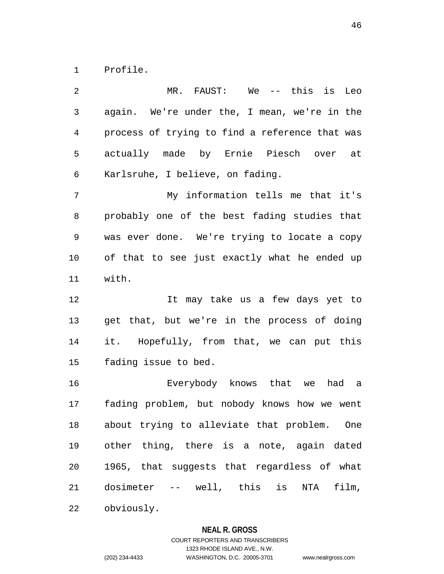1 Profile.

2 MR. FAUST: We -- this is Leo 3 again. We're under the, I mean, we're in the 4 process of trying to find a reference that was 5 actually made by Ernie Piesch over at 6 Karlsruhe, I believe, on fading. 7 My information tells me that it's 8 probably one of the best fading studies that 9 was ever done. We're trying to locate a copy 10 of that to see just exactly what he ended up 11 with. 12 It may take us a few days yet to 13 get that, but we're in the process of doing 14 it. Hopefully, from that, we can put this 15 fading issue to bed. 16 Everybody knows that we had a 17 fading problem, but nobody knows how we went 18 about trying to alleviate that problem. One 19 other thing, there is a note, again dated 20 1965, that suggests that regardless of what 21 dosimeter -- well, this is NTA film, 22 obviously.

**NEAL R. GROSS**

COURT REPORTERS AND TRANSCRIBERS 1323 RHODE ISLAND AVE., N.W. (202) 234-4433 WASHINGTON, D.C. 20005-3701 www.nealrgross.com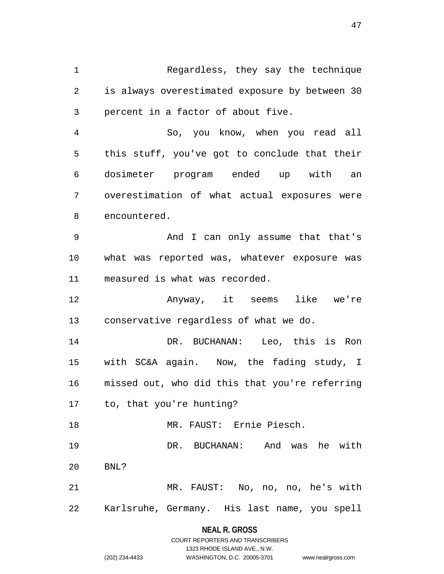1 Regardless, they say the technique 2 is always overestimated exposure by between 30 3 percent in a factor of about five.

4 So, you know, when you read all 5 this stuff, you've got to conclude that their 6 dosimeter program ended up with an 7 overestimation of what actual exposures were 8 encountered.

9 And I can only assume that that's 10 what was reported was, whatever exposure was 11 measured is what was recorded.

12 Anyway, it seems like we're 13 conservative regardless of what we do.

14 DR. BUCHANAN: Leo, this is Ron 15 with SC&A again. Now, the fading study, I 16 missed out, who did this that you're referring 17 to, that you're hunting?

18 MR. FAUST: Ernie Piesch.

19 DR. BUCHANAN: And was he with 20 BNL?

21 MR. FAUST: No, no, no, he's with 22 Karlsruhe, Germany. His last name, you spell

> **NEAL R. GROSS** COURT REPORTERS AND TRANSCRIBERS

> > 1323 RHODE ISLAND AVE., N.W.

(202) 234-4433 WASHINGTON, D.C. 20005-3701 www.nealrgross.com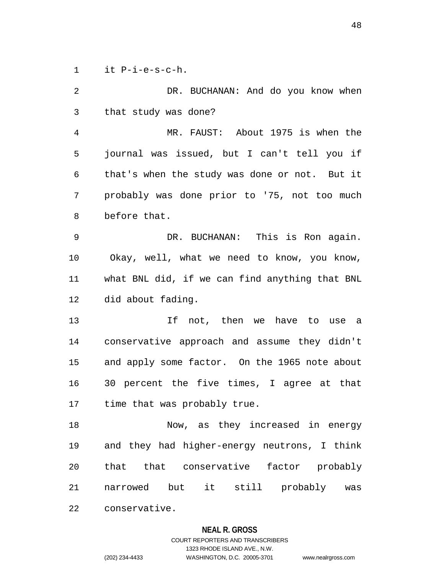1 it P-i-e-s-c-h.

2 DR. BUCHANAN: And do you know when 3 that study was done? 4 MR. FAUST: About 1975 is when the 5 journal was issued, but I can't tell you if 6 that's when the study was done or not. But it 7 probably was done prior to '75, not too much 8 before that. 9 DR. BUCHANAN: This is Ron again. 10 Okay, well, what we need to know, you know, 11 what BNL did, if we can find anything that BNL 12 did about fading. 13 If not, then we have to use a 14 conservative approach and assume they didn't 15 and apply some factor. On the 1965 note about 16 30 percent the five times, I agree at that 17 time that was probably true. 18 Now, as they increased in energy 19 and they had higher-energy neutrons, I think 20 that that conservative factor probably 21 narrowed but it still probably was 22 conservative.

#### **NEAL R. GROSS**

# COURT REPORTERS AND TRANSCRIBERS 1323 RHODE ISLAND AVE., N.W. (202) 234-4433 WASHINGTON, D.C. 20005-3701 www.nealrgross.com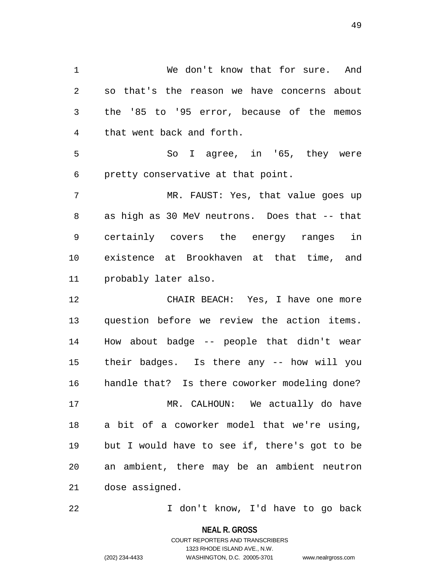1 We don't know that for sure. And 2 so that's the reason we have concerns about 3 the '85 to '95 error, because of the memos 4 that went back and forth.

5 So I agree, in '65, they were 6 pretty conservative at that point.

7 MR. FAUST: Yes, that value goes up 8 as high as 30 MeV neutrons. Does that -- that 9 certainly covers the energy ranges in 10 existence at Brookhaven at that time, and 11 probably later also.

12 CHAIR BEACH: Yes, I have one more 13 question before we review the action items. 14 How about badge -- people that didn't wear 15 their badges. Is there any -- how will you 16 handle that? Is there coworker modeling done? 17 MR. CALHOUN: We actually do have 18 a bit of a coworker model that we're using, 19 but I would have to see if, there's got to be 20 an ambient, there may be an ambient neutron 21 dose assigned.

22 I don't know, I'd have to go back

**NEAL R. GROSS**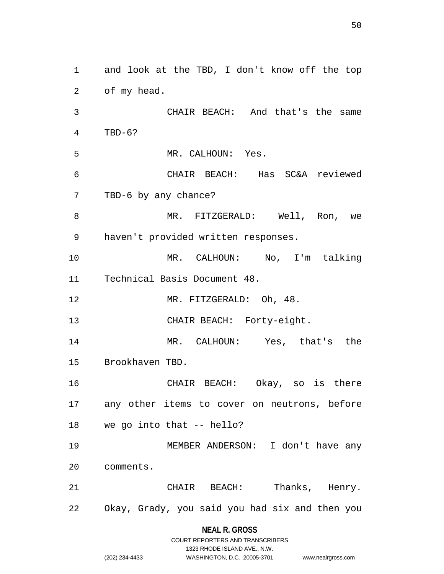1 and look at the TBD, I don't know off the top 2 of my head. 3 CHAIR BEACH: And that's the same 4 TBD-6? 5 MR. CALHOUN: Yes. 6 CHAIR BEACH: Has SC&A reviewed 7 TBD-6 by any chance? 8 MR. FITZGERALD: Well, Ron, we 9 haven't provided written responses. 10 MR. CALHOUN: No, I'm talking 11 Technical Basis Document 48. 12 MR. FITZGERALD: Oh, 48. 13 CHAIR BEACH: Forty-eight. 14 MR. CALHOUN: Yes, that's the 15 Brookhaven TBD. 16 CHAIR BEACH: Okay, so is there 17 any other items to cover on neutrons, before 18 we go into that -- hello? 19 MEMBER ANDERSON: I don't have any 20 comments. 21 CHAIR BEACH: Thanks, Henry. 22 Okay, Grady, you said you had six and then you

## **NEAL R. GROSS** COURT REPORTERS AND TRANSCRIBERS

1323 RHODE ISLAND AVE., N.W.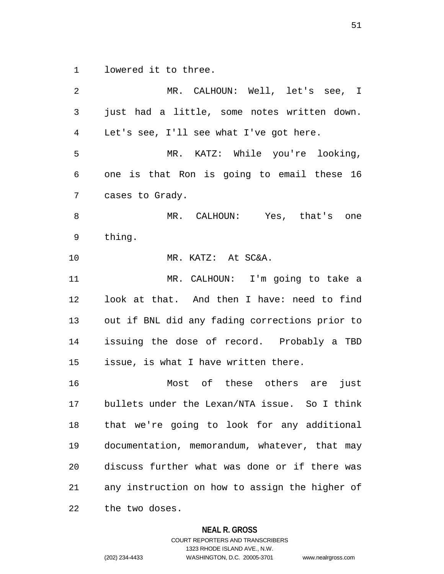1 lowered it to three.

2 MR. CALHOUN: Well, let's see, I 3 just had a little, some notes written down. 4 Let's see, I'll see what I've got here. 5 MR. KATZ: While you're looking, 6 one is that Ron is going to email these 16 7 cases to Grady. 8 MR. CALHOUN: Yes, that's one 9 thing. 10 MR. KATZ: At SC&A. 11 MR. CALHOUN: I'm going to take a 12 look at that. And then I have: need to find 13 out if BNL did any fading corrections prior to 14 issuing the dose of record. Probably a TBD 15 issue, is what I have written there. 16 Most of these others are just 17 bullets under the Lexan/NTA issue. So I think 18 that we're going to look for any additional 19 documentation, memorandum, whatever, that may 20 discuss further what was done or if there was 21 any instruction on how to assign the higher of 22 the two doses.

#### **NEAL R. GROSS**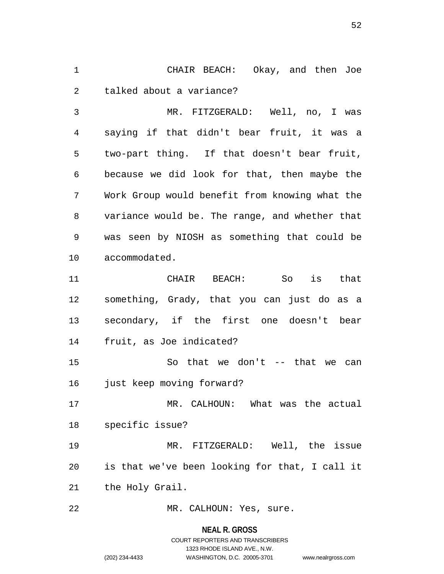1 CHAIR BEACH: Okay, and then Joe 2 talked about a variance?

3 MR. FITZGERALD: Well, no, I was 4 saying if that didn't bear fruit, it was a 5 two-part thing. If that doesn't bear fruit, 6 because we did look for that, then maybe the 7 Work Group would benefit from knowing what the 8 variance would be. The range, and whether that 9 was seen by NIOSH as something that could be 10 accommodated.

11 CHAIR BEACH: So is that 12 something, Grady, that you can just do as a 13 secondary, if the first one doesn't bear 14 fruit, as Joe indicated?

15 So that we don't -- that we can 16 just keep moving forward?

17 MR. CALHOUN: What was the actual 18 specific issue?

19 MR. FITZGERALD: Well, the issue 20 is that we've been looking for that, I call it 21 the Holy Grail.

22 MR. CALHOUN: Yes, sure.

#### **NEAL R. GROSS**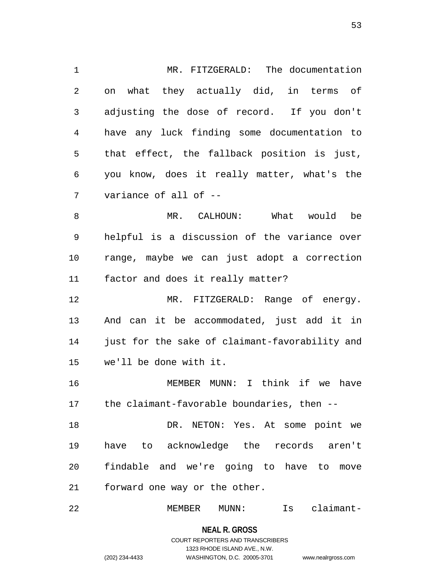1 MR. FITZGERALD: The documentation 2 on what they actually did, in terms of 3 adjusting the dose of record. If you don't 4 have any luck finding some documentation to 5 that effect, the fallback position is just, 6 you know, does it really matter, what's the 7 variance of all of -- 8 MR. CALHOUN: What would be

9 helpful is a discussion of the variance over 10 range, maybe we can just adopt a correction 11 factor and does it really matter?

12 MR. FITZGERALD: Range of energy. 13 And can it be accommodated, just add it in 14 just for the sake of claimant-favorability and 15 we'll be done with it.

16 MEMBER MUNN: I think if we have 17 the claimant-favorable boundaries, then --

18 DR. NETON: Yes. At some point we 19 have to acknowledge the records aren't 20 findable and we're going to have to move 21 forward one way or the other.

22 MEMBER MUNN: Is claimant-

**NEAL R. GROSS**

## COURT REPORTERS AND TRANSCRIBERS 1323 RHODE ISLAND AVE., N.W. (202) 234-4433 WASHINGTON, D.C. 20005-3701 www.nealrgross.com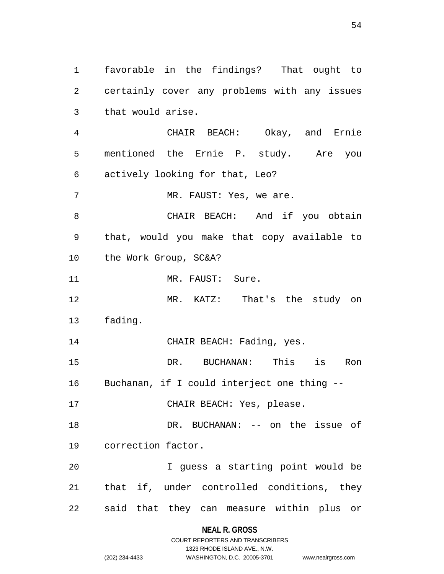1 favorable in the findings? That ought to 2 certainly cover any problems with any issues 3 that would arise.

4 CHAIR BEACH: Okay, and Ernie 5 mentioned the Ernie P. study. Are you 6 actively looking for that, Leo?

7 MR. FAUST: Yes, we are.

8 CHAIR BEACH: And if you obtain 9 that, would you make that copy available to 10 the Work Group, SC&A?

11 MR. FAUST: Sure.

12 MR. KATZ: That's the study on 13 fading.

14 CHAIR BEACH: Fading, yes.

15 DR. BUCHANAN: This is Ron 16 Buchanan, if I could interject one thing --

17 CHAIR BEACH: Yes, please.

18 DR. BUCHANAN: -- on the issue of 19 correction factor.

20 I guess a starting point would be 21 that if, under controlled conditions, they 22 said that they can measure within plus or

**NEAL R. GROSS**

## COURT REPORTERS AND TRANSCRIBERS 1323 RHODE ISLAND AVE., N.W. (202) 234-4433 WASHINGTON, D.C. 20005-3701 www.nealrgross.com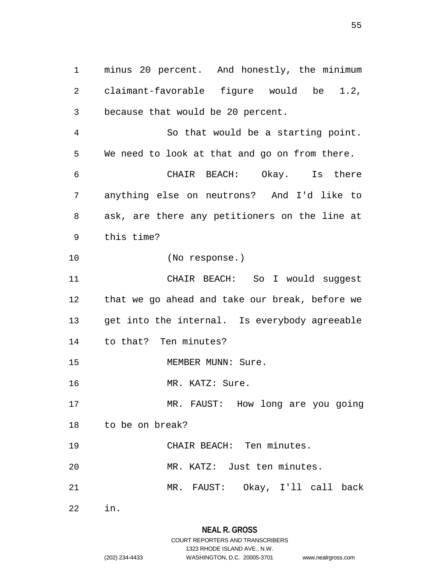1 minus 20 percent. And honestly, the minimum 2 claimant-favorable figure would be 1.2, 3 because that would be 20 percent.

4 So that would be a starting point. 5 We need to look at that and go on from there. 6 CHAIR BEACH: Okay. Is there 7 anything else on neutrons? And I'd like to 8 ask, are there any petitioners on the line at

- 9 this time?
- 10 (No response.)

11 CHAIR BEACH: So I would suggest 12 that we go ahead and take our break, before we 13 get into the internal. Is everybody agreeable 14 to that? Ten minutes? 15 MEMBER MUNN: Sure.

16 MR. KATZ: Sure.

17 MR. FAUST: How long are you going 18 to be on break?

19 CHAIR BEACH: Ten minutes.

20 MR. KATZ: Just ten minutes.

21 MR. FAUST: Okay, I'll call back

22 in.

# **NEAL R. GROSS**

COURT REPORTERS AND TRANSCRIBERS 1323 RHODE ISLAND AVE., N.W. (202) 234-4433 WASHINGTON, D.C. 20005-3701 www.nealrgross.com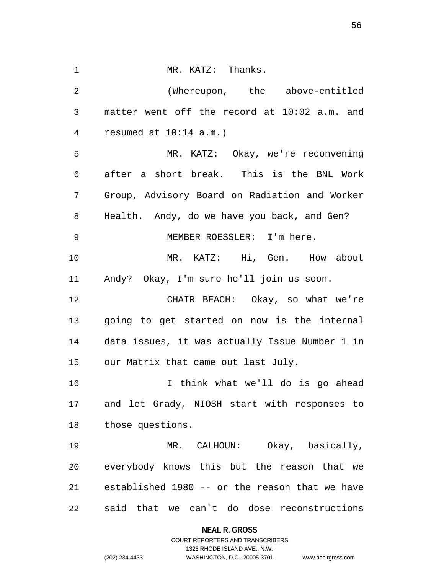1 MR. KATZ: Thanks. 2 (Whereupon, the above-entitled 3 matter went off the record at 10:02 a.m. and 4 resumed at 10:14 a.m.) 5 MR. KATZ: Okay, we're reconvening 6 after a short break. This is the BNL Work 7 Group, Advisory Board on Radiation and Worker 8 Health. Andy, do we have you back, and Gen? 9 MEMBER ROESSLER: I'm here. 10 MR. KATZ: Hi, Gen. How about 11 Andy? Okay, I'm sure he'll join us soon. 12 CHAIR BEACH: Okay, so what we're 13 going to get started on now is the internal 14 data issues, it was actually Issue Number 1 in 15 our Matrix that came out last July. 16 I think what we'll do is go ahead 17 and let Grady, NIOSH start with responses to 18 those questions. 19 MR. CALHOUN: Okay, basically, 20 everybody knows this but the reason that we 21 established 1980 -- or the reason that we have 22 said that we can't do dose reconstructions

**NEAL R. GROSS**

COURT REPORTERS AND TRANSCRIBERS 1323 RHODE ISLAND AVE., N.W. (202) 234-4433 WASHINGTON, D.C. 20005-3701 www.nealrgross.com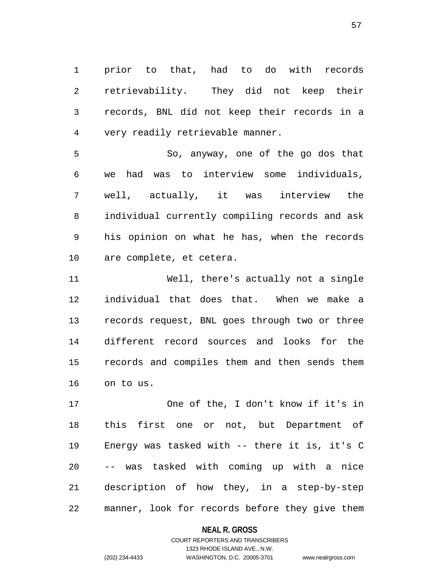1 prior to that, had to do with records 2 retrievability. They did not keep their 3 records, BNL did not keep their records in a 4 very readily retrievable manner.

5 So, anyway, one of the go dos that 6 we had was to interview some individuals, 7 well, actually, it was interview the 8 individual currently compiling records and ask 9 his opinion on what he has, when the records 10 are complete, et cetera.

11 Well, there's actually not a single 12 individual that does that. When we make a 13 records request, BNL goes through two or three 14 different record sources and looks for the 15 records and compiles them and then sends them 16 on to us.

17 One of the, I don't know if it's in 18 this first one or not, but Department of 19 Energy was tasked with -- there it is, it's C 20 -- was tasked with coming up with a nice 21 description of how they, in a step-by-step 22 manner, look for records before they give them

### **NEAL R. GROSS**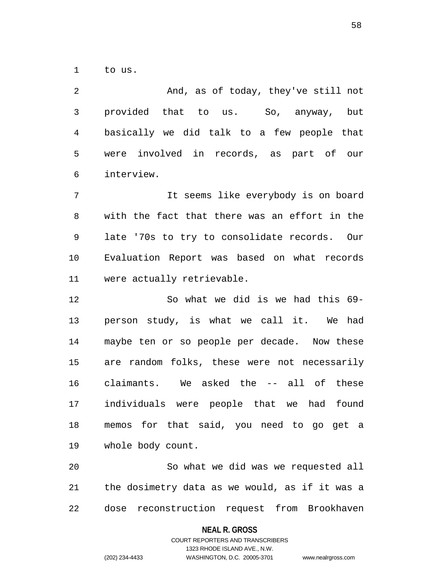1 to us.

2 And, as of today, they've still not 3 provided that to us. So, anyway, but 4 basically we did talk to a few people that 5 were involved in records, as part of our 6 interview. 7 It seems like everybody is on board

8 with the fact that there was an effort in the 9 late '70s to try to consolidate records. Our 10 Evaluation Report was based on what records 11 were actually retrievable.

12 So what we did is we had this 69- 13 person study, is what we call it. We had 14 maybe ten or so people per decade. Now these 15 are random folks, these were not necessarily 16 claimants. We asked the -- all of these 17 individuals were people that we had found 18 memos for that said, you need to go get a 19 whole body count.

20 So what we did was we requested all 21 the dosimetry data as we would, as if it was a 22 dose reconstruction request from Brookhaven

#### **NEAL R. GROSS**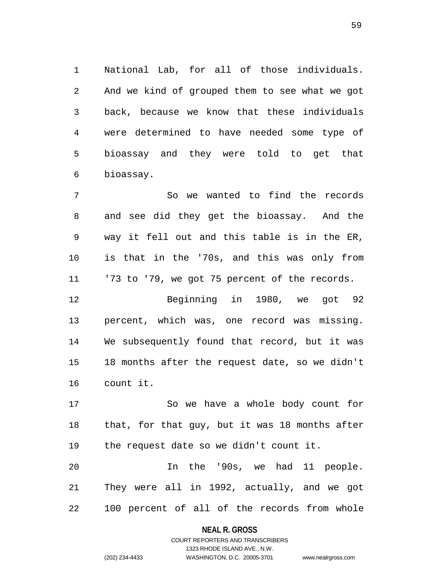1 National Lab, for all of those individuals. 2 And we kind of grouped them to see what we got 3 back, because we know that these individuals 4 were determined to have needed some type of 5 bioassay and they were told to get that 6 bioassay.

7 So we wanted to find the records 8 and see did they get the bioassay. And the 9 way it fell out and this table is in the ER, 10 is that in the '70s, and this was only from 11 '73 to '79, we got 75 percent of the records.

12 Beginning in 1980, we got 92 13 percent, which was, one record was missing. 14 We subsequently found that record, but it was 15 18 months after the request date, so we didn't 16 count it.

17 So we have a whole body count for 18 that, for that guy, but it was 18 months after 19 the request date so we didn't count it.

20 In the '90s, we had 11 people. 21 They were all in 1992, actually, and we got 22 100 percent of all of the records from whole

#### **NEAL R. GROSS**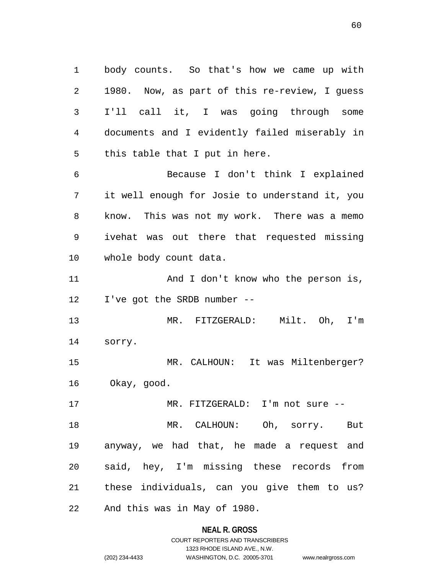1 body counts. So that's how we came up with 2 1980. Now, as part of this re-review, I guess 3 I'll call it, I was going through some 4 documents and I evidently failed miserably in 5 this table that I put in here. 6 Because I don't think I explained

7 it well enough for Josie to understand it, you 8 know. This was not my work. There was a memo 9 ivehat was out there that requested missing 10 whole body count data.

11 And I don't know who the person is, 12 I've got the SRDB number --

13 MR. FITZGERALD: Milt. Oh, I'm 14 sorry.

15 MR. CALHOUN: It was Miltenberger? 16 Okay, good.

17 MR. FITZGERALD: I'm not sure --

18 MR. CALHOUN: Oh, sorry. But 19 anyway, we had that, he made a request and 20 said, hey, I'm missing these records from 21 these individuals, can you give them to us? 22 And this was in May of 1980.

#### **NEAL R. GROSS**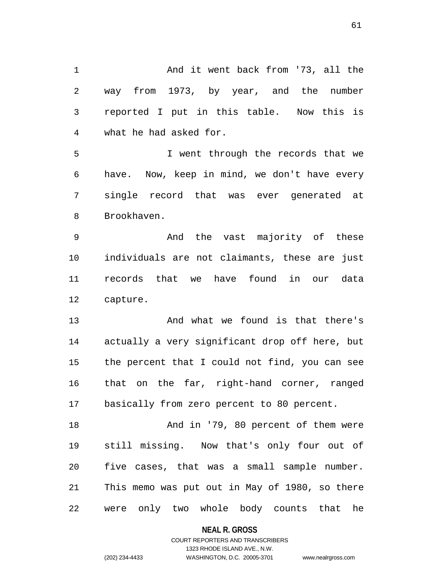1 And it went back from '73, all the 2 way from 1973, by year, and the number 3 reported I put in this table. Now this is 4 what he had asked for. 5 I went through the records that we 6 have. Now, keep in mind, we don't have every 7 single record that was ever generated at 8 Brookhaven. 9 And the vast majority of these 10 individuals are not claimants, these are just 11 records that we have found in our data 12 capture. 13 And what we found is that there's 14 actually a very significant drop off here, but 15 the percent that I could not find, you can see 16 that on the far, right-hand corner, ranged 17 basically from zero percent to 80 percent. 18 And in '79, 80 percent of them were 19 still missing. Now that's only four out of 20 five cases, that was a small sample number. 21 This memo was put out in May of 1980, so there

22 were only two whole body counts that he

**NEAL R. GROSS**

COURT REPORTERS AND TRANSCRIBERS 1323 RHODE ISLAND AVE., N.W. (202) 234-4433 WASHINGTON, D.C. 20005-3701 www.nealrgross.com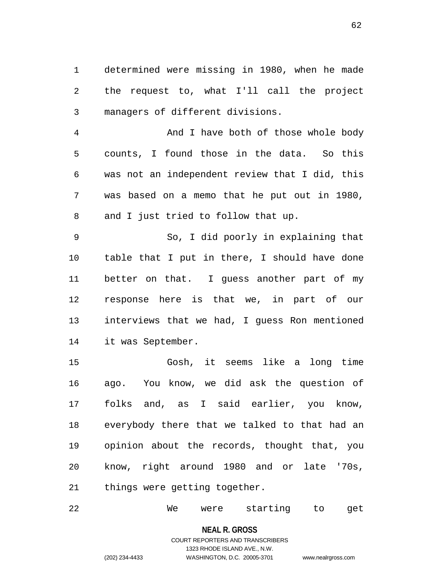1 determined were missing in 1980, when he made 2 the request to, what I'll call the project 3 managers of different divisions.

4 And I have both of those whole body 5 counts, I found those in the data. So this 6 was not an independent review that I did, this 7 was based on a memo that he put out in 1980, 8 and I just tried to follow that up.

9 So, I did poorly in explaining that 10 table that I put in there, I should have done 11 better on that. I guess another part of my 12 response here is that we, in part of our 13 interviews that we had, I guess Ron mentioned 14 it was September.

15 Gosh, it seems like a long time 16 ago. You know, we did ask the question of 17 folks and, as I said earlier, you know, 18 everybody there that we talked to that had an 19 opinion about the records, thought that, you 20 know, right around 1980 and or late '70s, 21 things were getting together.

22 We were starting to get

**NEAL R. GROSS**

## COURT REPORTERS AND TRANSCRIBERS 1323 RHODE ISLAND AVE., N.W. (202) 234-4433 WASHINGTON, D.C. 20005-3701 www.nealrgross.com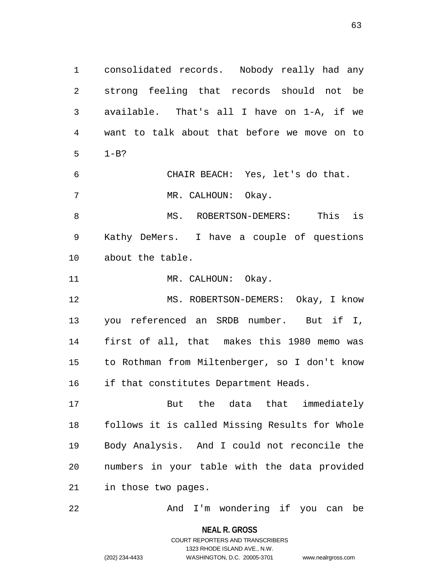1 consolidated records. Nobody really had any 2 strong feeling that records should not be 3 available. That's all I have on 1-A, if we 4 want to talk about that before we move on to 5 1-B? 6 CHAIR BEACH: Yes, let's do that. 7 MR. CALHOUN: Okay. 8 MS. ROBERTSON-DEMERS: This is 9 Kathy DeMers. I have a couple of questions 10 about the table. 11 MR. CALHOUN: Okay. 12 MS. ROBERTSON-DEMERS: Okay, I know 13 you referenced an SRDB number. But if I, 14 first of all, that makes this 1980 memo was 15 to Rothman from Miltenberger, so I don't know 16 if that constitutes Department Heads. 17 But the data that immediately

18 follows it is called Missing Results for Whole 19 Body Analysis. And I could not reconcile the 20 numbers in your table with the data provided 21 in those two pages.

22 And I'm wondering if you can be

**NEAL R. GROSS** COURT REPORTERS AND TRANSCRIBERS 1323 RHODE ISLAND AVE., N.W. (202) 234-4433 WASHINGTON, D.C. 20005-3701 www.nealrgross.com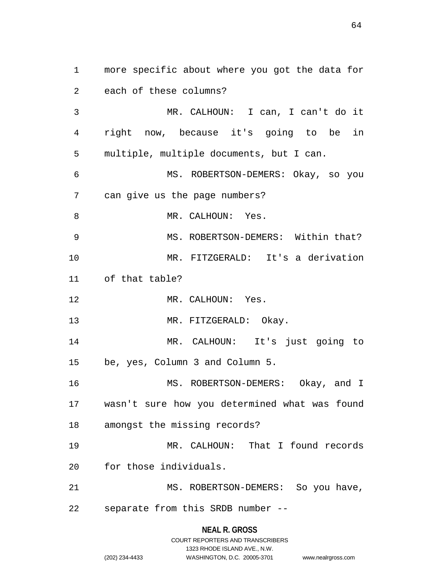1 more specific about where you got the data for 2 each of these columns? 3 MR. CALHOUN: I can, I can't do it 4 right now, because it's going to be in 5 multiple, multiple documents, but I can. 6 MS. ROBERTSON-DEMERS: Okay, so you 7 can give us the page numbers? 8 MR. CALHOUN: Yes. 9 MS. ROBERTSON-DEMERS: Within that? 10 MR. FITZGERALD: It's a derivation 11 of that table? 12 MR. CALHOUN: Yes. 13 MR. FITZGERALD: Okay. 14 MR. CALHOUN: It's just going to 15 be, yes, Column 3 and Column 5. 16 MS. ROBERTSON-DEMERS: Okay, and I 17 wasn't sure how you determined what was found 18 amongst the missing records? 19 MR. CALHOUN: That I found records 20 for those individuals. 21 MS. ROBERTSON-DEMERS: So you have, 22 separate from this SRDB number --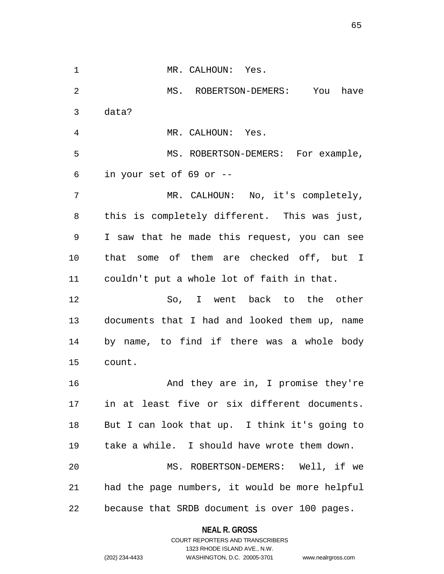1 MR. CALHOUN: Yes. 2 MS. ROBERTSON-DEMERS: You have 3 data? 4 MR. CALHOUN: Yes. 5 MS. ROBERTSON-DEMERS: For example, 6 in your set of 69 or -- 7 MR. CALHOUN: No, it's completely, 8 this is completely different. This was just, 9 I saw that he made this request, you can see 10 that some of them are checked off, but I 11 couldn't put a whole lot of faith in that. 12 So, I went back to the other 13 documents that I had and looked them up, name 14 by name, to find if there was a whole body 15 count. 16 And they are in, I promise they're 17 in at least five or six different documents. 18 But I can look that up. I think it's going to 19 take a while. I should have wrote them down. 20 MS. ROBERTSON-DEMERS: Well, if we 21 had the page numbers, it would be more helpful 22 because that SRDB document is over 100 pages.

> **NEAL R. GROSS** COURT REPORTERS AND TRANSCRIBERS

> > 1323 RHODE ISLAND AVE., N.W.

(202) 234-4433 WASHINGTON, D.C. 20005-3701 www.nealrgross.com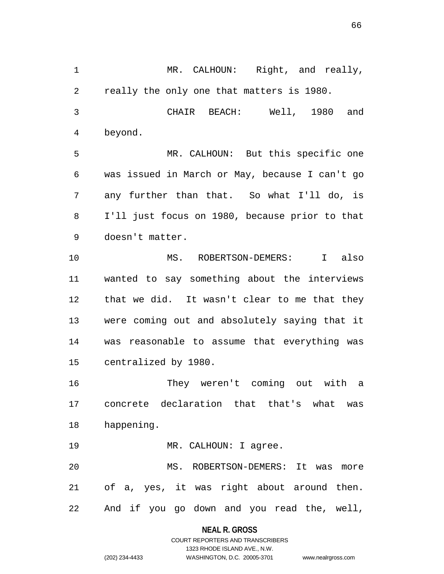1 MR. CALHOUN: Right, and really, 2 really the only one that matters is 1980. 3 CHAIR BEACH: Well, 1980 and 4 beyond. 5 MR. CALHOUN: But this specific one 6 was issued in March or May, because I can't go 7 any further than that. So what I'll do, is 8 I'll just focus on 1980, because prior to that 9 doesn't matter. 10 MS. ROBERTSON-DEMERS: I also 11 wanted to say something about the interviews 12 that we did. It wasn't clear to me that they 13 were coming out and absolutely saying that it 14 was reasonable to assume that everything was 15 centralized by 1980. 16 They weren't coming out with a 17 concrete declaration that that's what was 18 happening. 19 MR. CALHOUN: I agree. 20 MS. ROBERTSON-DEMERS: It was more

22 And if you go down and you read the, well,

21 of a, yes, it was right about around then.

### **NEAL R. GROSS**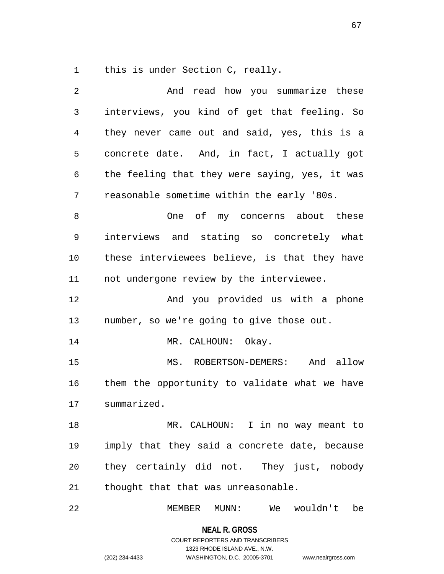1 this is under Section C, really.

| 2  | And read how you summarize these               |
|----|------------------------------------------------|
| 3  | interviews, you kind of get that feeling. So   |
| 4  | they never came out and said, yes, this is a   |
| 5  | concrete date. And, in fact, I actually got    |
| 6  | the feeling that they were saying, yes, it was |
| 7  | reasonable sometime within the early '80s.     |
| 8  | One of my concerns about these                 |
| 9  | interviews and stating so concretely what      |
| 10 | these interviewees believe, is that they have  |
| 11 | not undergone review by the interviewee.       |
| 12 | And you provided us with a phone               |
| 13 | number, so we're going to give those out.      |
| 14 | MR. CALHOUN: Okay.                             |
| 15 | MS. ROBERTSON-DEMERS: And allow                |
| 16 | them the opportunity to validate what we have  |
| 17 | summarized.                                    |
| 18 | MR. CALHOUN: I in no way meant to              |
| 19 | imply that they said a concrete date, because  |
| 20 | they certainly did not. They just, nobody      |
| 21 | thought that that was unreasonable.            |
| 22 | We wouldn't<br>MEMBER<br>MUNN:<br>be           |

**NEAL R. GROSS** COURT REPORTERS AND TRANSCRIBERS 1323 RHODE ISLAND AVE., N.W.

(202) 234-4433 WASHINGTON, D.C. 20005-3701 www.nealrgross.com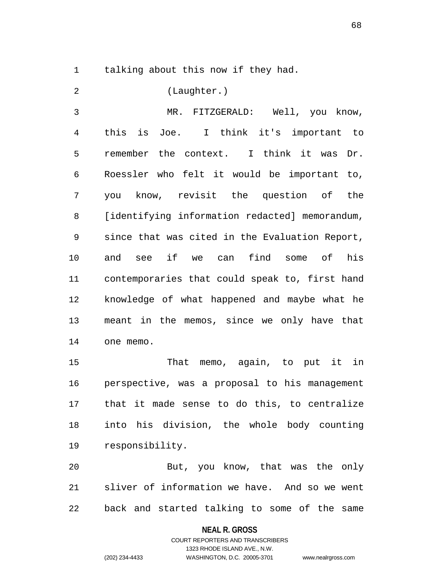1 talking about this now if they had.

2 (Laughter.)

3 MR. FITZGERALD: Well, you know, 4 this is Joe. I think it's important to 5 remember the context. I think it was Dr. 6 Roessler who felt it would be important to, 7 you know, revisit the question of the 8 [identifying information redacted] memorandum, 9 since that was cited in the Evaluation Report, 10 and see if we can find some of his 11 contemporaries that could speak to, first hand 12 knowledge of what happened and maybe what he 13 meant in the memos, since we only have that 14 one memo.

15 That memo, again, to put it in 16 perspective, was a proposal to his management 17 that it made sense to do this, to centralize 18 into his division, the whole body counting 19 responsibility.

20 But, you know, that was the only 21 sliver of information we have. And so we went 22 back and started talking to some of the same

#### **NEAL R. GROSS**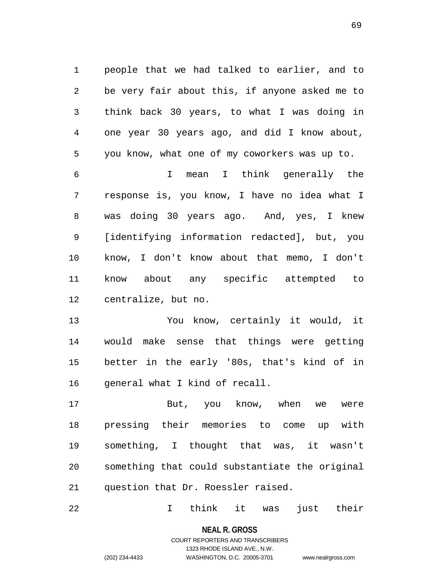1 people that we had talked to earlier, and to 2 be very fair about this, if anyone asked me to 3 think back 30 years, to what I was doing in 4 one year 30 years ago, and did I know about, 5 you know, what one of my coworkers was up to.

6 I mean I think generally the 7 response is, you know, I have no idea what I 8 was doing 30 years ago. And, yes, I knew 9 [identifying information redacted], but, you 10 know, I don't know about that memo, I don't 11 know about any specific attempted to 12 centralize, but no.

13 You know, certainly it would, it 14 would make sense that things were getting 15 better in the early '80s, that's kind of in 16 general what I kind of recall.

17 But, you know, when we were 18 pressing their memories to come up with 19 something, I thought that was, it wasn't 20 something that could substantiate the original 21 question that Dr. Roessler raised.

22 I think it was just their

**NEAL R. GROSS** COURT REPORTERS AND TRANSCRIBERS

1323 RHODE ISLAND AVE., N.W.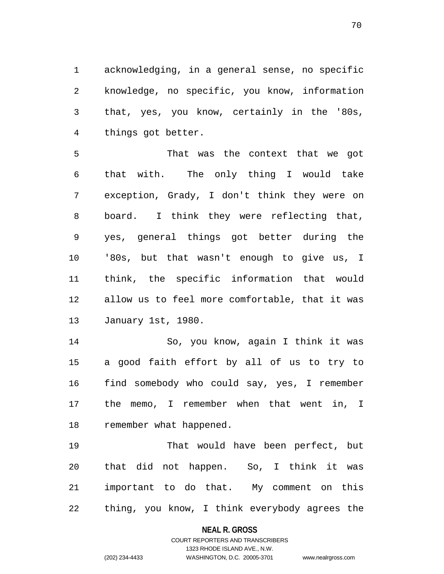1 acknowledging, in a general sense, no specific 2 knowledge, no specific, you know, information 3 that, yes, you know, certainly in the '80s, 4 things got better.

5 That was the context that we got 6 that with. The only thing I would take 7 exception, Grady, I don't think they were on 8 board. I think they were reflecting that, 9 yes, general things got better during the 10 '80s, but that wasn't enough to give us, I 11 think, the specific information that would 12 allow us to feel more comfortable, that it was 13 January 1st, 1980.

14 So, you know, again I think it was 15 a good faith effort by all of us to try to 16 find somebody who could say, yes, I remember 17 the memo, I remember when that went in, I 18 remember what happened.

19 That would have been perfect, but 20 that did not happen. So, I think it was 21 important to do that. My comment on this 22 thing, you know, I think everybody agrees the

#### **NEAL R. GROSS**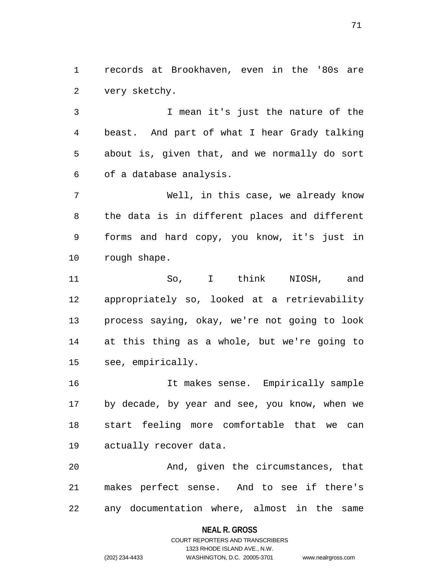1 records at Brookhaven, even in the '80s are 2 very sketchy.

3 I mean it's just the nature of the 4 beast. And part of what I hear Grady talking 5 about is, given that, and we normally do sort 6 of a database analysis.

7 Well, in this case, we already know 8 the data is in different places and different 9 forms and hard copy, you know, it's just in 10 rough shape.

11 So, I think NIOSH, and 12 appropriately so, looked at a retrievability 13 process saying, okay, we're not going to look 14 at this thing as a whole, but we're going to 15 see, empirically.

16 It makes sense. Empirically sample 17 by decade, by year and see, you know, when we 18 start feeling more comfortable that we can 19 actually recover data.

20 And, given the circumstances, that 21 makes perfect sense. And to see if there's 22 any documentation where, almost in the same

#### **NEAL R. GROSS**

COURT REPORTERS AND TRANSCRIBERS 1323 RHODE ISLAND AVE., N.W. (202) 234-4433 WASHINGTON, D.C. 20005-3701 www.nealrgross.com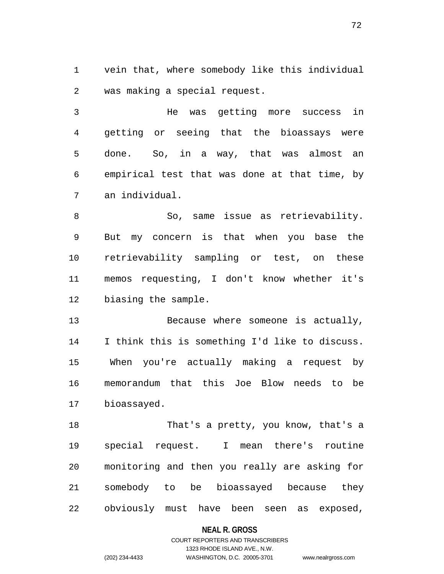1 vein that, where somebody like this individual 2 was making a special request.

72

3 He was getting more success in 4 getting or seeing that the bioassays were 5 done. So, in a way, that was almost an 6 empirical test that was done at that time, by 7 an individual.

8 So, same issue as retrievability. 9 But my concern is that when you base the 10 retrievability sampling or test, on these 11 memos requesting, I don't know whether it's 12 biasing the sample.

13 Because where someone is actually, 14 I think this is something I'd like to discuss. 15 When you're actually making a request by 16 memorandum that this Joe Blow needs to be 17 bioassayed.

18 That's a pretty, you know, that's a 19 special request. I mean there's routine 20 monitoring and then you really are asking for 21 somebody to be bioassayed because they 22 obviously must have been seen as exposed,

#### **NEAL R. GROSS**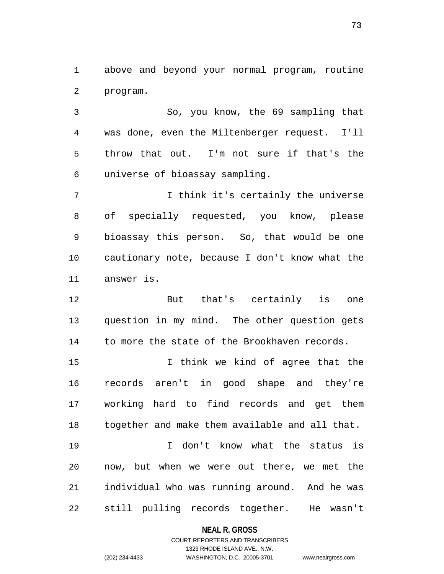1 above and beyond your normal program, routine 2 program.

3 So, you know, the 69 sampling that 4 was done, even the Miltenberger request. I'll 5 throw that out. I'm not sure if that's the 6 universe of bioassay sampling.

7 I think it's certainly the universe 8 of specially requested, you know, please 9 bioassay this person. So, that would be one 10 cautionary note, because I don't know what the 11 answer is.

12 But that's certainly is one 13 question in my mind. The other question gets 14 to more the state of the Brookhaven records.

15 I think we kind of agree that the 16 records aren't in good shape and they're 17 working hard to find records and get them 18 together and make them available and all that.

19 I don't know what the status is 20 now, but when we were out there, we met the 21 individual who was running around. And he was 22 still pulling records together. He wasn't

### **NEAL R. GROSS**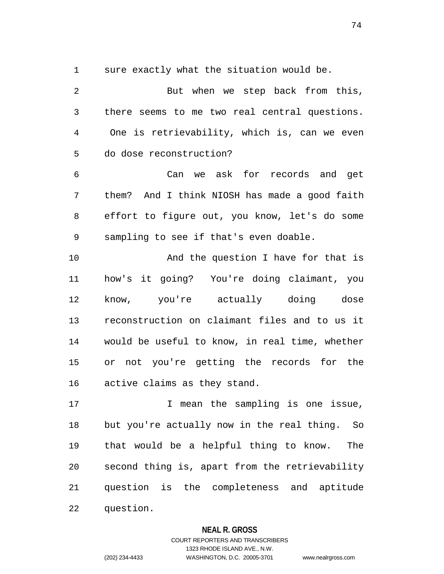1 sure exactly what the situation would be.

2 But when we step back from this, 3 there seems to me two real central questions. 4 One is retrievability, which is, can we even 5 do dose reconstruction? 6 Can we ask for records and get 7 them? And I think NIOSH has made a good faith 8 effort to figure out, you know, let's do some 9 sampling to see if that's even doable. 10 And the question I have for that is 11 how's it going? You're doing claimant, you 12 know, you're actually doing dose 13 reconstruction on claimant files and to us it 14 would be useful to know, in real time, whether 15 or not you're getting the records for the 16 active claims as they stand. 17 T mean the sampling is one issue, 18 but you're actually now in the real thing. So 19 that would be a helpful thing to know. The 20 second thing is, apart from the retrievability

21 question is the completeness and aptitude 22 question.

### **NEAL R. GROSS**

# COURT REPORTERS AND TRANSCRIBERS 1323 RHODE ISLAND AVE., N.W. (202) 234-4433 WASHINGTON, D.C. 20005-3701 www.nealrgross.com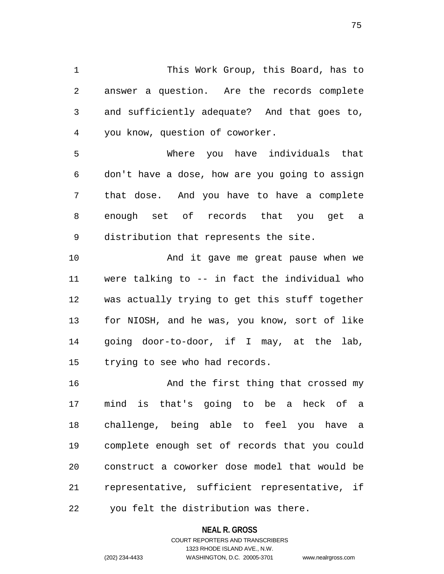1 This Work Group, this Board, has to 2 answer a question. Are the records complete 3 and sufficiently adequate? And that goes to, 4 you know, question of coworker.

5 Where you have individuals that 6 don't have a dose, how are you going to assign 7 that dose. And you have to have a complete 8 enough set of records that you get a 9 distribution that represents the site.

10 And it gave me great pause when we 11 were talking to -- in fact the individual who 12 was actually trying to get this stuff together 13 for NIOSH, and he was, you know, sort of like 14 going door-to-door, if I may, at the lab, 15 trying to see who had records.

16 And the first thing that crossed my 17 mind is that's going to be a heck of a 18 challenge, being able to feel you have a 19 complete enough set of records that you could 20 construct a coworker dose model that would be 21 representative, sufficient representative, if 22 you felt the distribution was there.

#### **NEAL R. GROSS**

COURT REPORTERS AND TRANSCRIBERS 1323 RHODE ISLAND AVE., N.W. (202) 234-4433 WASHINGTON, D.C. 20005-3701 www.nealrgross.com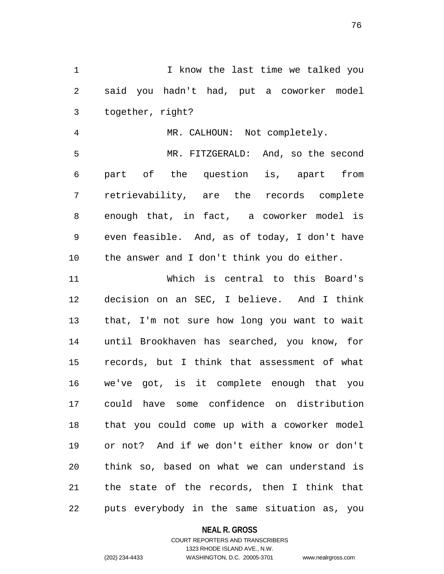1 1 I know the last time we talked you 2 said you hadn't had, put a coworker model 3 together, right?

4 MR. CALHOUN: Not completely. 5 MR. FITZGERALD: And, so the second 6 part of the question is, apart from 7 retrievability, are the records complete 8 enough that, in fact, a coworker model is 9 even feasible. And, as of today, I don't have 10 the answer and I don't think you do either.

11 Which is central to this Board's 12 decision on an SEC, I believe. And I think 13 that, I'm not sure how long you want to wait 14 until Brookhaven has searched, you know, for 15 records, but I think that assessment of what 16 we've got, is it complete enough that you 17 could have some confidence on distribution 18 that you could come up with a coworker model 19 or not? And if we don't either know or don't 20 think so, based on what we can understand is 21 the state of the records, then I think that 22 puts everybody in the same situation as, you

### **NEAL R. GROSS**

### COURT REPORTERS AND TRANSCRIBERS 1323 RHODE ISLAND AVE., N.W. (202) 234-4433 WASHINGTON, D.C. 20005-3701 www.nealrgross.com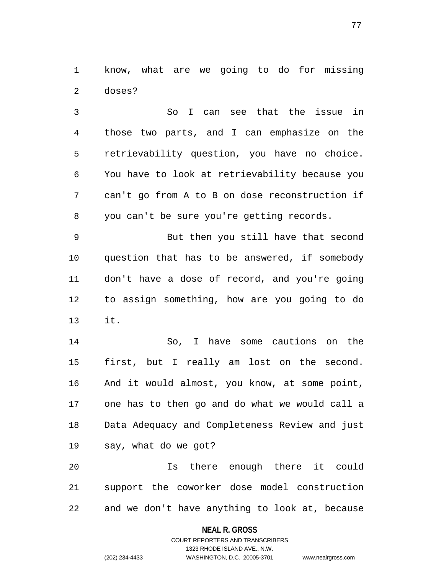1 know, what are we going to do for missing 2 doses?

3 So I can see that the issue in 4 those two parts, and I can emphasize on the 5 retrievability question, you have no choice. 6 You have to look at retrievability because you 7 can't go from A to B on dose reconstruction if 8 you can't be sure you're getting records.

9 But then you still have that second 10 question that has to be answered, if somebody 11 don't have a dose of record, and you're going 12 to assign something, how are you going to do 13 it.

14 So, I have some cautions on the 15 first, but I really am lost on the second. 16 And it would almost, you know, at some point, 17 one has to then go and do what we would call a 18 Data Adequacy and Completeness Review and just 19 say, what do we got?

20 Is there enough there it could 21 support the coworker dose model construction 22 and we don't have anything to look at, because

### **NEAL R. GROSS**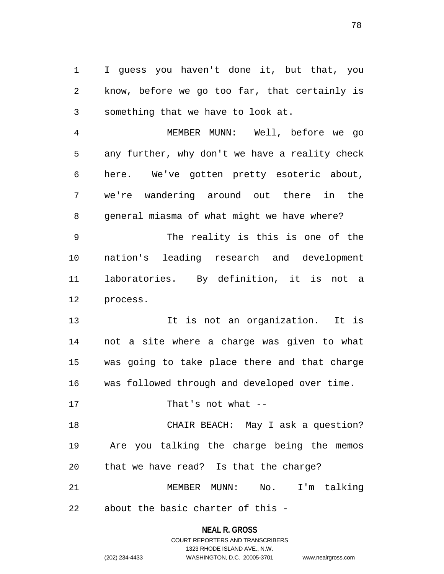1 I guess you haven't done it, but that, you 2 know, before we go too far, that certainly is 3 something that we have to look at.

4 MEMBER MUNN: Well, before we go 5 any further, why don't we have a reality check 6 here. We've gotten pretty esoteric about, 7 we're wandering around out there in the 8 general miasma of what might we have where?

9 The reality is this is one of the 10 nation's leading research and development 11 laboratories. By definition, it is not a 12 process.

13 13 It is not an organization. It is 14 not a site where a charge was given to what 15 was going to take place there and that charge 16 was followed through and developed over time.

17 That's not what --

18 CHAIR BEACH: May I ask a question? 19 Are you talking the charge being the memos 20 that we have read? Is that the charge?

21 MEMBER MUNN: No. I'm talking 22 about the basic charter of this -

> **NEAL R. GROSS** COURT REPORTERS AND TRANSCRIBERS 1323 RHODE ISLAND AVE., N.W. (202) 234-4433 WASHINGTON, D.C. 20005-3701 www.nealrgross.com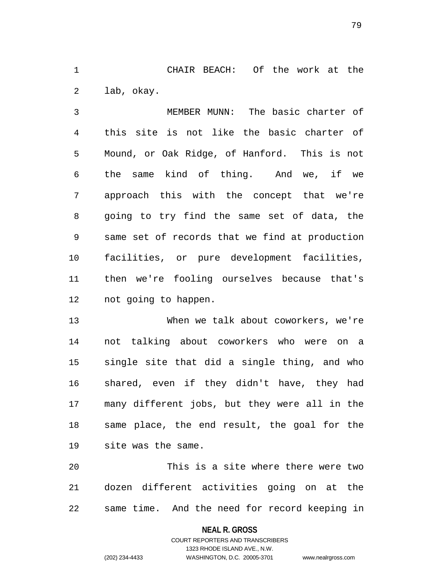1 CHAIR BEACH: Of the work at the 2 lab, okay.

3 MEMBER MUNN: The basic charter of 4 this site is not like the basic charter of 5 Mound, or Oak Ridge, of Hanford. This is not 6 the same kind of thing. And we, if we 7 approach this with the concept that we're 8 going to try find the same set of data, the 9 same set of records that we find at production 10 facilities, or pure development facilities, 11 then we're fooling ourselves because that's 12 not going to happen.

13 When we talk about coworkers, we're 14 not talking about coworkers who were on a 15 single site that did a single thing, and who 16 shared, even if they didn't have, they had 17 many different jobs, but they were all in the 18 same place, the end result, the goal for the 19 site was the same.

20 This is a site where there were two 21 dozen different activities going on at the 22 same time. And the need for record keeping in

### **NEAL R. GROSS**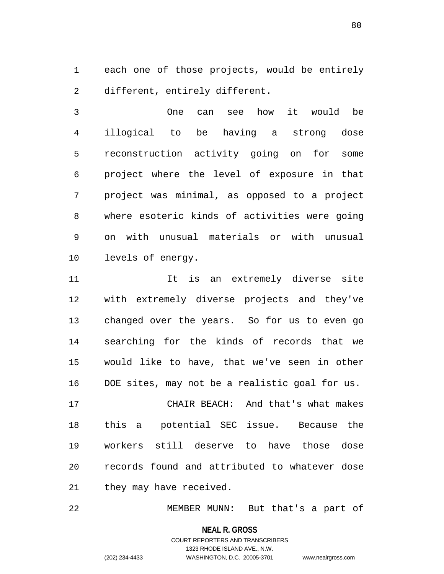1 each one of those projects, would be entirely 2 different, entirely different.

3 One can see how it would be 4 illogical to be having a strong dose 5 reconstruction activity going on for some 6 project where the level of exposure in that 7 project was minimal, as opposed to a project 8 where esoteric kinds of activities were going 9 on with unusual materials or with unusual 10 levels of energy.

11 11 It is an extremely diverse site 12 with extremely diverse projects and they've 13 changed over the years. So for us to even go 14 searching for the kinds of records that we 15 would like to have, that we've seen in other 16 DOE sites, may not be a realistic goal for us.

17 CHAIR BEACH: And that's what makes 18 this a potential SEC issue. Because the 19 workers still deserve to have those dose 20 records found and attributed to whatever dose 21 they may have received.

22 MEMBER MUNN: But that's a part of

**NEAL R. GROSS** COURT REPORTERS AND TRANSCRIBERS 1323 RHODE ISLAND AVE., N.W. (202) 234-4433 WASHINGTON, D.C. 20005-3701 www.nealrgross.com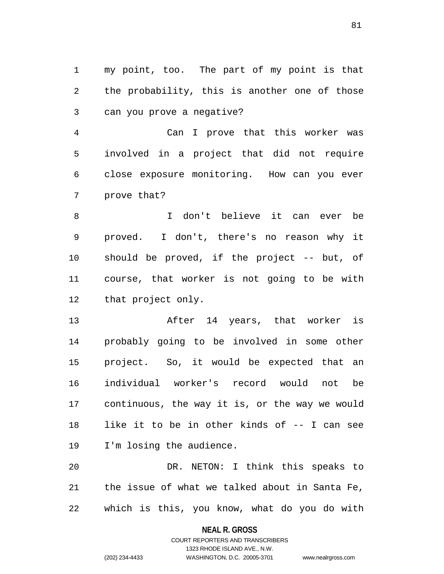1 my point, too. The part of my point is that 2 the probability, this is another one of those 3 can you prove a negative?

4 Can I prove that this worker was 5 involved in a project that did not require 6 close exposure monitoring. How can you ever 7 prove that?

8 I don't believe it can ever be 9 proved. I don't, there's no reason why it 10 should be proved, if the project -- but, of 11 course, that worker is not going to be with 12 that project only.

13 After 14 years, that worker is 14 probably going to be involved in some other 15 project. So, it would be expected that an 16 individual worker's record would not be 17 continuous, the way it is, or the way we would 18 like it to be in other kinds of -- I can see 19 I'm losing the audience.

20 DR. NETON: I think this speaks to 21 the issue of what we talked about in Santa Fe, 22 which is this, you know, what do you do with

**NEAL R. GROSS**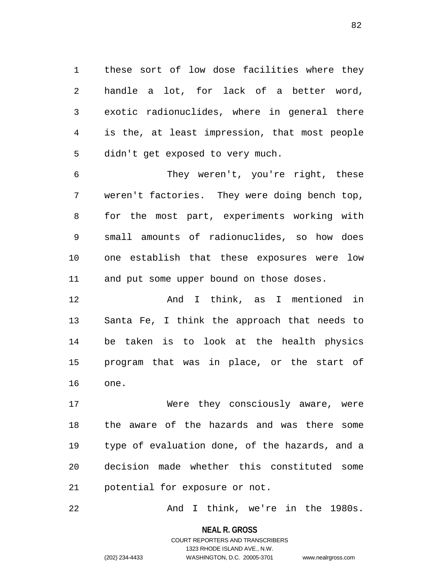1 these sort of low dose facilities where they 2 handle a lot, for lack of a better word, 3 exotic radionuclides, where in general there 4 is the, at least impression, that most people 5 didn't get exposed to very much.

6 They weren't, you're right, these 7 weren't factories. They were doing bench top, 8 for the most part, experiments working with 9 small amounts of radionuclides, so how does 10 one establish that these exposures were low 11 and put some upper bound on those doses.

12 And I think, as I mentioned in 13 Santa Fe, I think the approach that needs to 14 be taken is to look at the health physics 15 program that was in place, or the start of 16 one.

17 Were they consciously aware, were 18 the aware of the hazards and was there some 19 type of evaluation done, of the hazards, and a 20 decision made whether this constituted some 21 potential for exposure or not.

22 And I think, we're in the 1980s.

**NEAL R. GROSS** COURT REPORTERS AND TRANSCRIBERS 1323 RHODE ISLAND AVE., N.W. (202) 234-4433 WASHINGTON, D.C. 20005-3701 www.nealrgross.com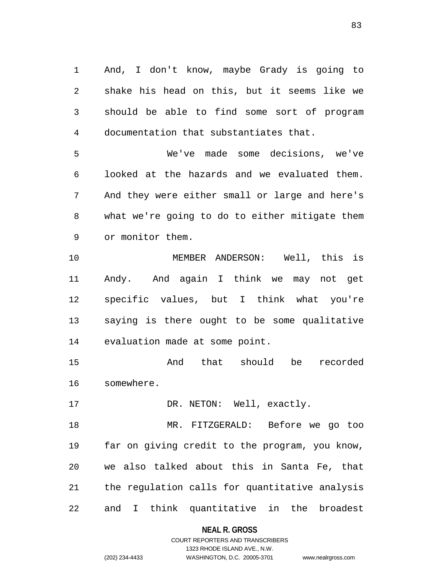1 And, I don't know, maybe Grady is going to 2 shake his head on this, but it seems like we 3 should be able to find some sort of program 4 documentation that substantiates that.

5 We've made some decisions, we've 6 looked at the hazards and we evaluated them. 7 And they were either small or large and here's 8 what we're going to do to either mitigate them 9 or monitor them.

10 MEMBER ANDERSON: Well, this is 11 Andy. And again I think we may not get 12 specific values, but I think what you're 13 saying is there ought to be some qualitative 14 evaluation made at some point.

15 And that should be recorded 16 somewhere.

17 DR. NETON: Well, exactly.

18 MR. FITZGERALD: Before we go too 19 far on giving credit to the program, you know, 20 we also talked about this in Santa Fe, that 21 the regulation calls for quantitative analysis 22 and I think quantitative in the broadest

### **NEAL R. GROSS**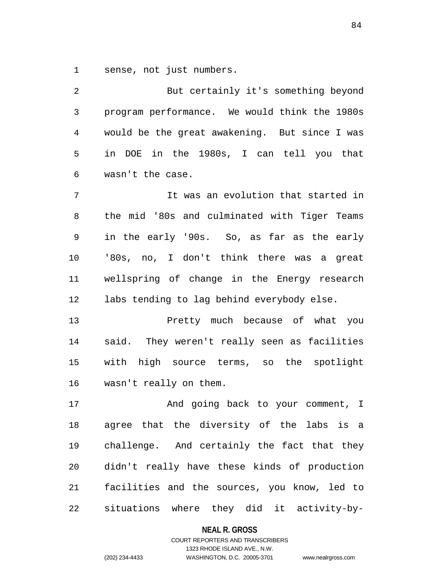1 sense, not just numbers.

2 But certainly it's something beyond 3 program performance. We would think the 1980s 4 would be the great awakening. But since I was 5 in DOE in the 1980s, I can tell you that 6 wasn't the case. 7 It was an evolution that started in 8 the mid '80s and culminated with Tiger Teams 9 in the early '90s. So, as far as the early 10 '80s, no, I don't think there was a great 11 wellspring of change in the Energy research 12 labs tending to lag behind everybody else. 13 Pretty much because of what you 14 said. They weren't really seen as facilities 15 with high source terms, so the spotlight 16 wasn't really on them. 17 And going back to your comment, I 18 agree that the diversity of the labs is a 19 challenge. And certainly the fact that they 20 didn't really have these kinds of production 21 facilities and the sources, you know, led to 22 situations where they did it activity-by-

**NEAL R. GROSS**

COURT REPORTERS AND TRANSCRIBERS 1323 RHODE ISLAND AVE., N.W. (202) 234-4433 WASHINGTON, D.C. 20005-3701 www.nealrgross.com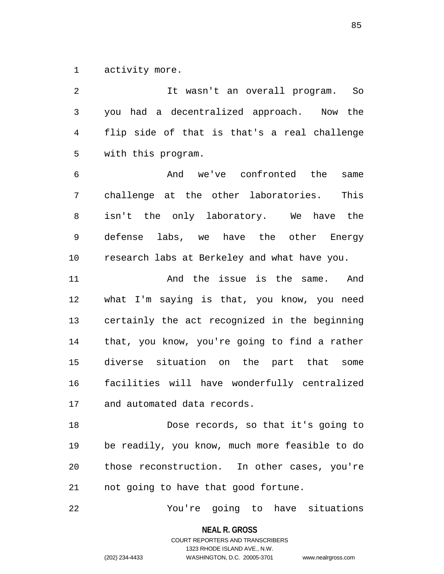1 activity more.

2 It wasn't an overall program. So 3 you had a decentralized approach. Now the 4 flip side of that is that's a real challenge 5 with this program. 6 And we've confronted the same 7 challenge at the other laboratories. This 8 isn't the only laboratory. We have the 9 defense labs, we have the other Energy 10 research labs at Berkeley and what have you. 11 And the issue is the same. And 12 what I'm saying is that, you know, you need 13 certainly the act recognized in the beginning 14 that, you know, you're going to find a rather 15 diverse situation on the part that some 16 facilities will have wonderfully centralized 17 and automated data records. 18 Dose records, so that it's going to 19 be readily, you know, much more feasible to do 20 those reconstruction. In other cases, you're 21 not going to have that good fortune.

22 You're going to have situations

**NEAL R. GROSS**

COURT REPORTERS AND TRANSCRIBERS 1323 RHODE ISLAND AVE., N.W. (202) 234-4433 WASHINGTON, D.C. 20005-3701 www.nealrgross.com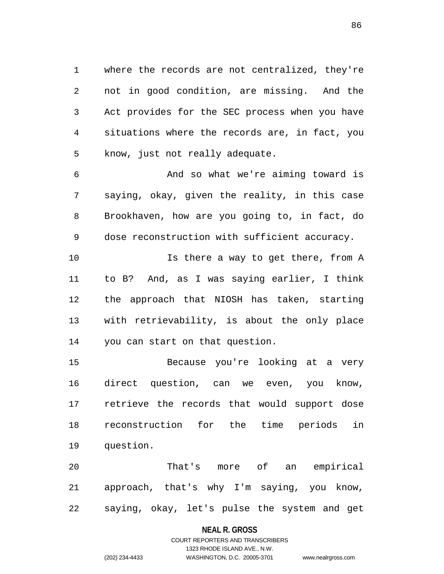1 where the records are not centralized, they're 2 not in good condition, are missing. And the 3 Act provides for the SEC process when you have 4 situations where the records are, in fact, you 5 know, just not really adequate.

6 And so what we're aiming toward is 7 saying, okay, given the reality, in this case 8 Brookhaven, how are you going to, in fact, do 9 dose reconstruction with sufficient accuracy.

10 **Is there a way to get there, from A** 11 to B? And, as I was saying earlier, I think 12 the approach that NIOSH has taken, starting 13 with retrievability, is about the only place 14 you can start on that question.

15 Because you're looking at a very 16 direct question, can we even, you know, 17 retrieve the records that would support dose 18 reconstruction for the time periods in 19 question.

20 That's more of an empirical 21 approach, that's why I'm saying, you know, 22 saying, okay, let's pulse the system and get

#### **NEAL R. GROSS**

# COURT REPORTERS AND TRANSCRIBERS 1323 RHODE ISLAND AVE., N.W. (202) 234-4433 WASHINGTON, D.C. 20005-3701 www.nealrgross.com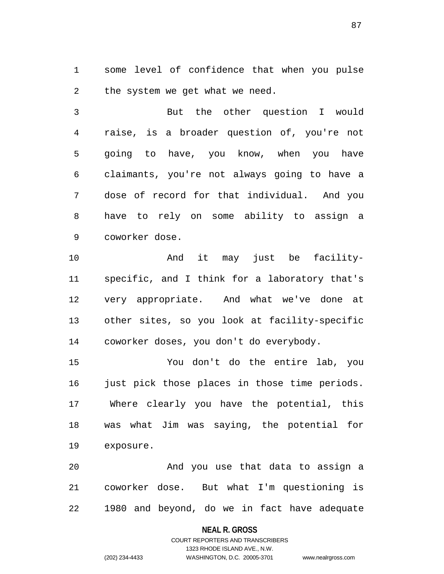1 some level of confidence that when you pulse 2 the system we get what we need.

3 But the other question I would 4 raise, is a broader question of, you're not 5 going to have, you know, when you have 6 claimants, you're not always going to have a 7 dose of record for that individual. And you 8 have to rely on some ability to assign a 9 coworker dose.

10 And it may just be facility-11 specific, and I think for a laboratory that's 12 very appropriate. And what we've done at 13 other sites, so you look at facility-specific 14 coworker doses, you don't do everybody.

15 You don't do the entire lab, you 16 just pick those places in those time periods. 17 Where clearly you have the potential, this 18 was what Jim was saying, the potential for 19 exposure.

20 And you use that data to assign a 21 coworker dose. But what I'm questioning is 22 1980 and beyond, do we in fact have adequate

### **NEAL R. GROSS**

# COURT REPORTERS AND TRANSCRIBERS 1323 RHODE ISLAND AVE., N.W. (202) 234-4433 WASHINGTON, D.C. 20005-3701 www.nealrgross.com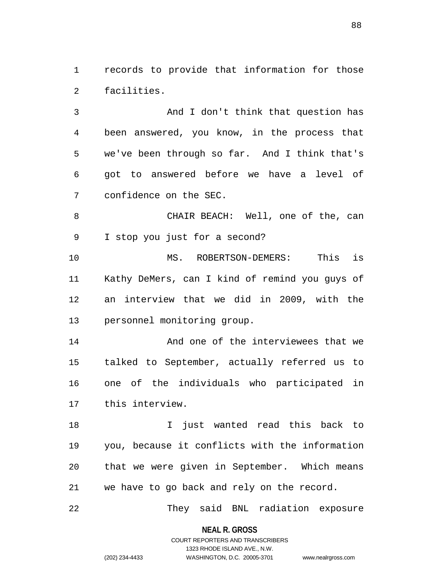1 records to provide that information for those 2 facilities.

3 And I don't think that question has 4 been answered, you know, in the process that 5 we've been through so far. And I think that's 6 got to answered before we have a level of 7 confidence on the SEC.

8 CHAIR BEACH: Well, one of the, can 9 I stop you just for a second?

10 MS. ROBERTSON-DEMERS: This is 11 Kathy DeMers, can I kind of remind you guys of 12 an interview that we did in 2009, with the 13 personnel monitoring group.

14 And one of the interviewees that we 15 talked to September, actually referred us to 16 one of the individuals who participated in 17 this interview.

18 I just wanted read this back to 19 you, because it conflicts with the information 20 that we were given in September. Which means 21 we have to go back and rely on the record.

22 They said BNL radiation exposure

**NEAL R. GROSS**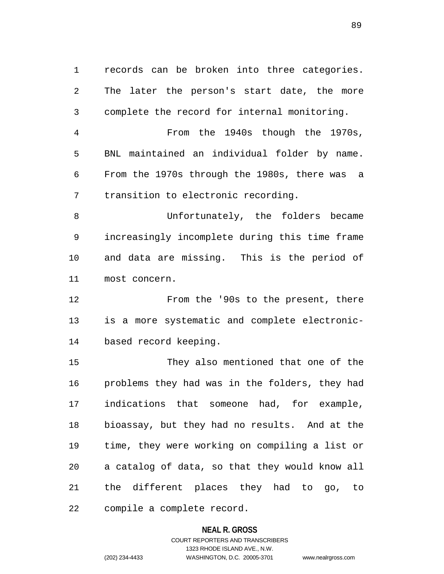1 records can be broken into three categories. 2 The later the person's start date, the more 3 complete the record for internal monitoring.

4 From the 1940s though the 1970s, 5 BNL maintained an individual folder by name. 6 From the 1970s through the 1980s, there was a 7 transition to electronic recording.

8 Unfortunately, the folders became 9 increasingly incomplete during this time frame 10 and data are missing. This is the period of 11 most concern.

12 From the '90s to the present, there 13 is a more systematic and complete electronic-14 based record keeping.

15 They also mentioned that one of the 16 problems they had was in the folders, they had 17 indications that someone had, for example, 18 bioassay, but they had no results. And at the 19 time, they were working on compiling a list or 20 a catalog of data, so that they would know all 21 the different places they had to go, to 22 compile a complete record.

### **NEAL R. GROSS**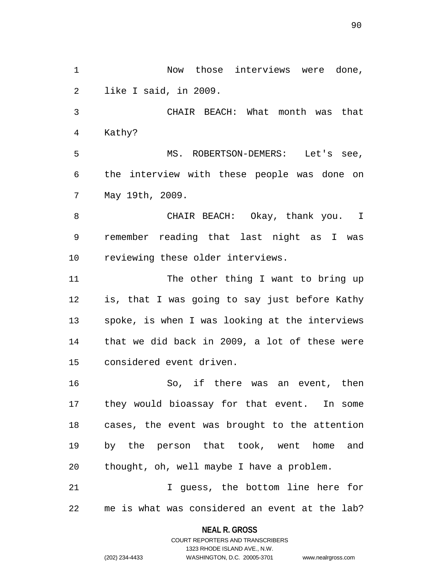1 Now those interviews were done, 2 like I said, in 2009. 3 CHAIR BEACH: What month was that 4 Kathy? 5 MS. ROBERTSON-DEMERS: Let's see, 6 the interview with these people was done on 7 May 19th, 2009. 8 CHAIR BEACH: Okay, thank you. I 9 remember reading that last night as I was 10 reviewing these older interviews. 11 The other thing I want to bring up 12 is, that I was going to say just before Kathy 13 spoke, is when I was looking at the interviews 14 that we did back in 2009, a lot of these were 15 considered event driven. 16 So, if there was an event, then 17 they would bioassay for that event. In some 18 cases, the event was brought to the attention 19 by the person that took, went home and 20 thought, oh, well maybe I have a problem. 21 1 J guess, the bottom line here for 22 me is what was considered an event at the lab?

### **NEAL R. GROSS**

COURT REPORTERS AND TRANSCRIBERS 1323 RHODE ISLAND AVE., N.W. (202) 234-4433 WASHINGTON, D.C. 20005-3701 www.nealrgross.com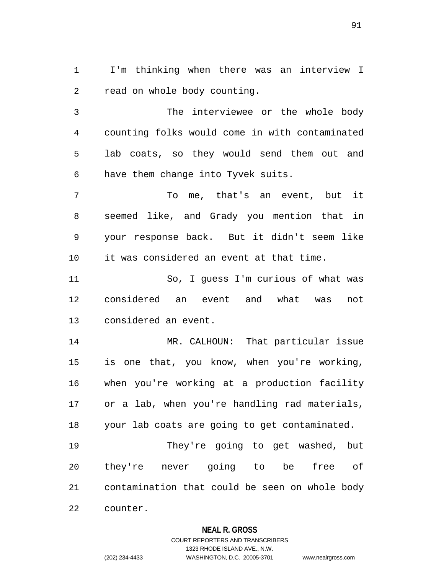1 I'm thinking when there was an interview I 2 read on whole body counting.

3 The interviewee or the whole body 4 counting folks would come in with contaminated 5 lab coats, so they would send them out and 6 have them change into Tyvek suits.

7 To me, that's an event, but it 8 seemed like, and Grady you mention that in 9 your response back. But it didn't seem like 10 it was considered an event at that time.

11 So, I guess I'm curious of what was 12 considered an event and what was not 13 considered an event.

14 MR. CALHOUN: That particular issue 15 is one that, you know, when you're working, 16 when you're working at a production facility 17 or a lab, when you're handling rad materials, 18 your lab coats are going to get contaminated.

19 They're going to get washed, but 20 they're never going to be free of 21 contamination that could be seen on whole body 22 counter.

### **NEAL R. GROSS**

# COURT REPORTERS AND TRANSCRIBERS 1323 RHODE ISLAND AVE., N.W. (202) 234-4433 WASHINGTON, D.C. 20005-3701 www.nealrgross.com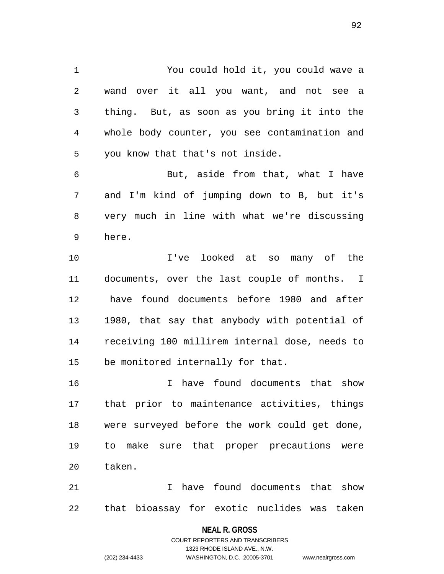1 You could hold it, you could wave a 2 wand over it all you want, and not see a 3 thing. But, as soon as you bring it into the 4 whole body counter, you see contamination and 5 you know that that's not inside.

6 But, aside from that, what I have 7 and I'm kind of jumping down to B, but it's 8 very much in line with what we're discussing 9 here.

10 I've looked at so many of the 11 documents, over the last couple of months. I 12 have found documents before 1980 and after 13 1980, that say that anybody with potential of 14 receiving 100 millirem internal dose, needs to 15 be monitored internally for that.

16 I have found documents that show 17 that prior to maintenance activities, things 18 were surveyed before the work could get done, 19 to make sure that proper precautions were 20 taken.

21 I have found documents that show 22 that bioassay for exotic nuclides was taken

**NEAL R. GROSS**

COURT REPORTERS AND TRANSCRIBERS 1323 RHODE ISLAND AVE., N.W. (202) 234-4433 WASHINGTON, D.C. 20005-3701 www.nealrgross.com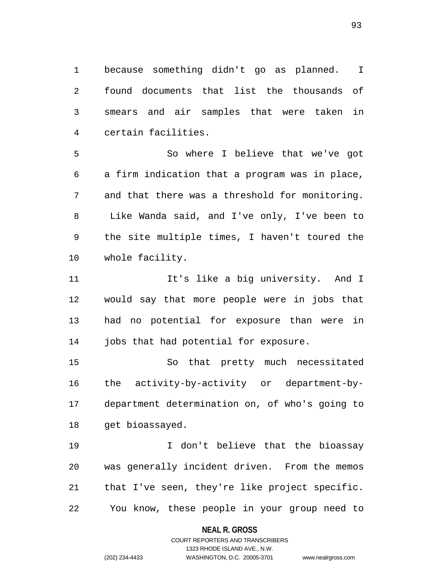1 because something didn't go as planned. I 2 found documents that list the thousands of 3 smears and air samples that were taken in 4 certain facilities.

5 So where I believe that we've got 6 a firm indication that a program was in place, 7 and that there was a threshold for monitoring. 8 Like Wanda said, and I've only, I've been to 9 the site multiple times, I haven't toured the 10 whole facility.

11 11 It's like a big university. And I 12 would say that more people were in jobs that 13 had no potential for exposure than were in 14 jobs that had potential for exposure.

15 So that pretty much necessitated 16 the activity-by-activity or department-by-17 department determination on, of who's going to 18 get bioassayed.

19 I don't believe that the bioassay 20 was generally incident driven. From the memos 21 that I've seen, they're like project specific. 22 You know, these people in your group need to

### **NEAL R. GROSS**

COURT REPORTERS AND TRANSCRIBERS 1323 RHODE ISLAND AVE., N.W. (202) 234-4433 WASHINGTON, D.C. 20005-3701 www.nealrgross.com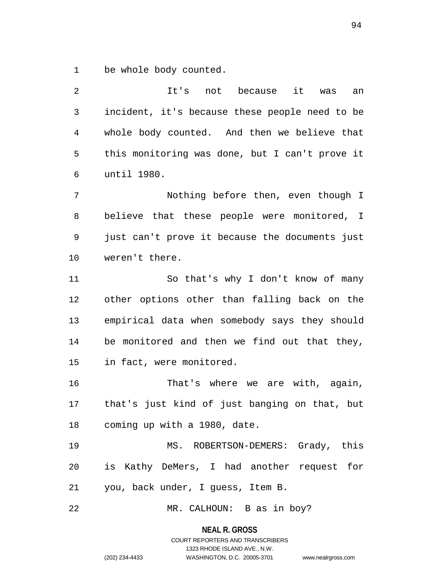1 be whole body counted.

2 It's not because it was an 3 incident, it's because these people need to be 4 whole body counted. And then we believe that 5 this monitoring was done, but I can't prove it 6 until 1980. 7 Nothing before then, even though I 8 believe that these people were monitored, I 9 just can't prove it because the documents just 10 weren't there. 11 So that's why I don't know of many 12 other options other than falling back on the 13 empirical data when somebody says they should 14 be monitored and then we find out that they, 15 in fact, were monitored. 16 That's where we are with, again, 17 that's just kind of just banging on that, but 18 coming up with a 1980, date. 19 MS. ROBERTSON-DEMERS: Grady, this 20 is Kathy DeMers, I had another request for 21 you, back under, I guess, Item B. 22 MR. CALHOUN: B as in boy?

**NEAL R. GROSS**

COURT REPORTERS AND TRANSCRIBERS 1323 RHODE ISLAND AVE., N.W. (202) 234-4433 WASHINGTON, D.C. 20005-3701 www.nealrgross.com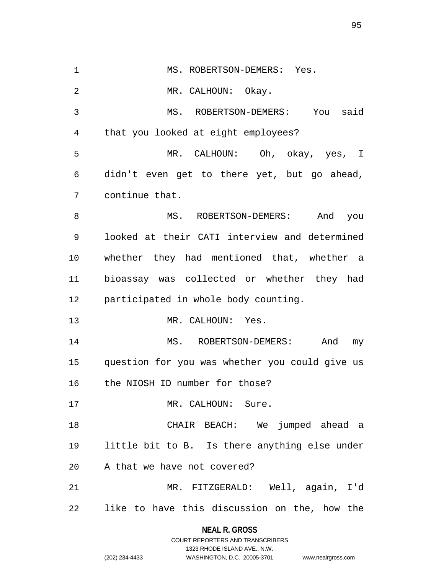1 MS. ROBERTSON-DEMERS: Yes. 2 MR. CALHOUN: Okay. 3 MS. ROBERTSON-DEMERS: You said 4 that you looked at eight employees? 5 MR. CALHOUN: Oh, okay, yes, I 6 didn't even get to there yet, but go ahead, 7 continue that. 8 MS. ROBERTSON-DEMERS: And you 9 looked at their CATI interview and determined 10 whether they had mentioned that, whether a 11 bioassay was collected or whether they had 12 participated in whole body counting. 13 MR. CALHOUN: Yes. 14 MS. ROBERTSON-DEMERS: And my 15 question for you was whether you could give us 16 the NIOSH ID number for those? 17 MR. CALHOUN: Sure. 18 CHAIR BEACH: We jumped ahead a 19 little bit to B. Is there anything else under 20 A that we have not covered? 21 MR. FITZGERALD: Well, again, I'd 22 like to have this discussion on the, how the

> **NEAL R. GROSS** COURT REPORTERS AND TRANSCRIBERS

> > 1323 RHODE ISLAND AVE., N.W.

(202) 234-4433 WASHINGTON, D.C. 20005-3701 www.nealrgross.com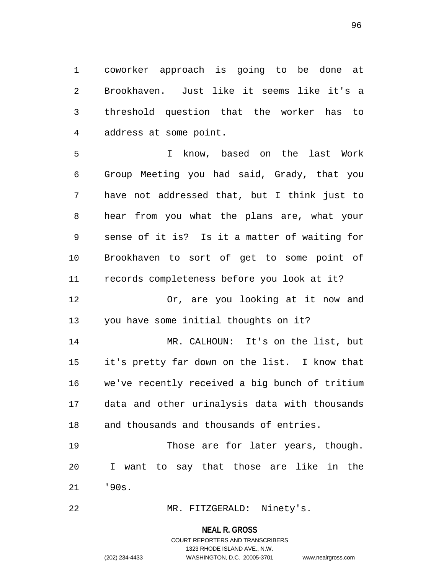1 coworker approach is going to be done at 2 Brookhaven. Just like it seems like it's a 3 threshold question that the worker has to 4 address at some point.

5 I know, based on the last Work 6 Group Meeting you had said, Grady, that you 7 have not addressed that, but I think just to 8 hear from you what the plans are, what your 9 sense of it is? Is it a matter of waiting for 10 Brookhaven to sort of get to some point of 11 records completeness before you look at it? 12 Or, are you looking at it now and 13 you have some initial thoughts on it? 14 MR. CALHOUN: It's on the list, but 15 it's pretty far down on the list. I know that 16 we've recently received a big bunch of tritium 17 data and other urinalysis data with thousands 18 and thousands and thousands of entries. 19 Those are for later years, though.

20 I want to say that those are like in the 21 '90s.

22 MR. FITZGERALD: Ninety's.

#### **NEAL R. GROSS**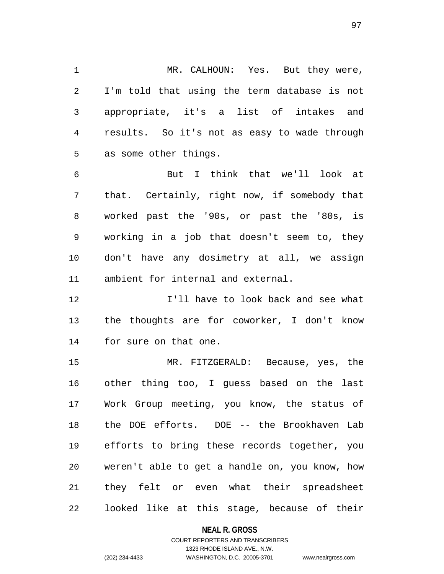1 MR. CALHOUN: Yes. But they were, 2 I'm told that using the term database is not 3 appropriate, it's a list of intakes and 4 results. So it's not as easy to wade through 5 as some other things.

6 But I think that we'll look at 7 that. Certainly, right now, if somebody that 8 worked past the '90s, or past the '80s, is 9 working in a job that doesn't seem to, they 10 don't have any dosimetry at all, we assign 11 ambient for internal and external.

12 I'll have to look back and see what 13 the thoughts are for coworker, I don't know 14 for sure on that one.

15 MR. FITZGERALD: Because, yes, the 16 other thing too, I guess based on the last 17 Work Group meeting, you know, the status of 18 the DOE efforts. DOE -- the Brookhaven Lab 19 efforts to bring these records together, you 20 weren't able to get a handle on, you know, how 21 they felt or even what their spreadsheet 22 looked like at this stage, because of their

### **NEAL R. GROSS**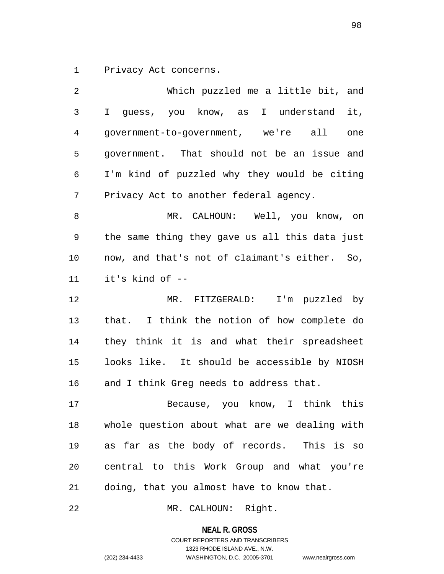1 Privacy Act concerns.

2 Which puzzled me a little bit, and 3 I guess, you know, as I understand it, 4 government-to-government, we're all one 5 government. That should not be an issue and 6 I'm kind of puzzled why they would be citing 7 Privacy Act to another federal agency. 8 MR. CALHOUN: Well, you know, on 9 the same thing they gave us all this data just 10 now, and that's not of claimant's either. So, 11 it's kind of -- 12 MR. FITZGERALD: I'm puzzled by 13 that. I think the notion of how complete do 14 they think it is and what their spreadsheet 15 looks like. It should be accessible by NIOSH 16 and I think Greg needs to address that. 17 Because, you know, I think this 18 whole question about what are we dealing with 19 as far as the body of records. This is so 20 central to this Work Group and what you're 21 doing, that you almost have to know that.

22 MR. CALHOUN: Right.

**NEAL R. GROSS**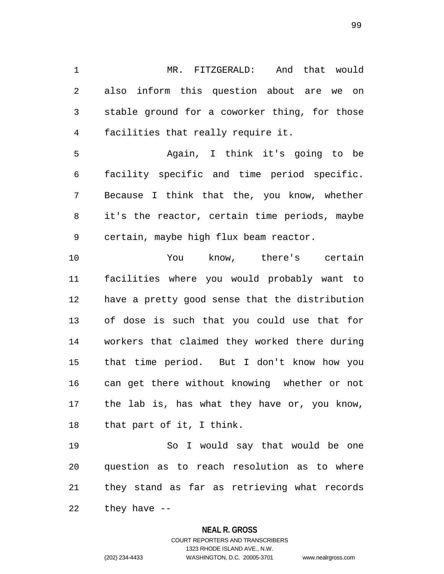1 MR. FITZGERALD: And that would 2 also inform this question about are we on 3 stable ground for a coworker thing, for those 4 facilities that really require it.

5 Again, I think it's going to be 6 facility specific and time period specific. 7 Because I think that the, you know, whether 8 it's the reactor, certain time periods, maybe 9 certain, maybe high flux beam reactor.

10 You know, there's certain 11 facilities where you would probably want to 12 have a pretty good sense that the distribution 13 of dose is such that you could use that for 14 workers that claimed they worked there during 15 that time period. But I don't know how you 16 can get there without knowing whether or not 17 the lab is, has what they have or, you know, 18 that part of it, I think.

19 So I would say that would be one 20 question as to reach resolution as to where 21 they stand as far as retrieving what records 22 they have --

### **NEAL R. GROSS**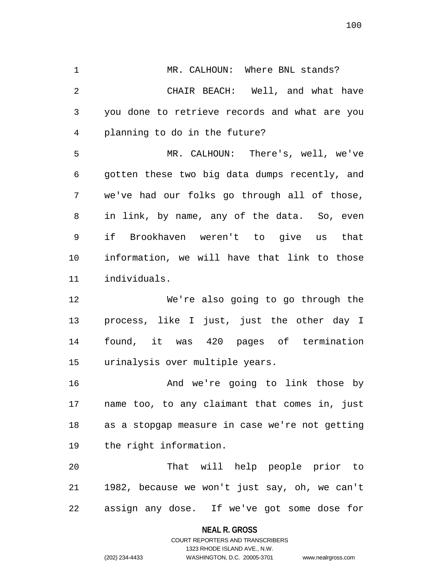1 MR. CALHOUN: Where BNL stands? 2 CHAIR BEACH: Well, and what have 3 you done to retrieve records and what are you 4 planning to do in the future?

5 MR. CALHOUN: There's, well, we've 6 gotten these two big data dumps recently, and 7 we've had our folks go through all of those, 8 in link, by name, any of the data. So, even 9 if Brookhaven weren't to give us that 10 information, we will have that link to those 11 individuals.

12 We're also going to go through the 13 process, like I just, just the other day I 14 found, it was 420 pages of termination 15 urinalysis over multiple years.

16 And we're going to link those by 17 name too, to any claimant that comes in, just 18 as a stopgap measure in case we're not getting 19 the right information.

20 That will help people prior to 21 1982, because we won't just say, oh, we can't 22 assign any dose. If we've got some dose for

> **NEAL R. GROSS** COURT REPORTERS AND TRANSCRIBERS

> > 1323 RHODE ISLAND AVE., N.W.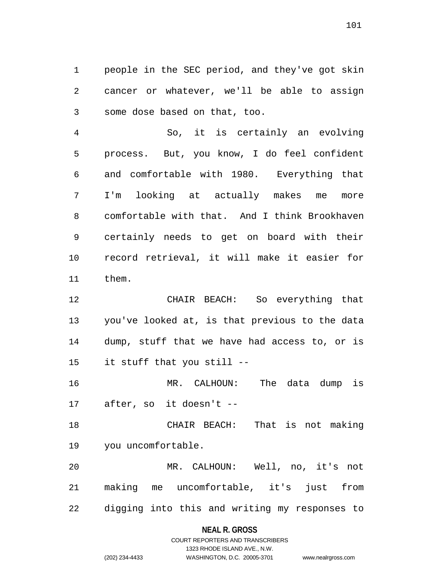1 people in the SEC period, and they've got skin 2 cancer or whatever, we'll be able to assign 3 some dose based on that, too.

4 So, it is certainly an evolving 5 process. But, you know, I do feel confident 6 and comfortable with 1980. Everything that 7 I'm looking at actually makes me more 8 comfortable with that. And I think Brookhaven 9 certainly needs to get on board with their 10 record retrieval, it will make it easier for 11 them.

12 CHAIR BEACH: So everything that 13 you've looked at, is that previous to the data 14 dump, stuff that we have had access to, or is 15 it stuff that you still --

16 MR. CALHOUN: The data dump is 17 after, so it doesn't --

18 CHAIR BEACH: That is not making 19 you uncomfortable.

20 MR. CALHOUN: Well, no, it's not 21 making me uncomfortable, it's just from 22 digging into this and writing my responses to

### **NEAL R. GROSS**

### COURT REPORTERS AND TRANSCRIBERS 1323 RHODE ISLAND AVE., N.W. (202) 234-4433 WASHINGTON, D.C. 20005-3701 www.nealrgross.com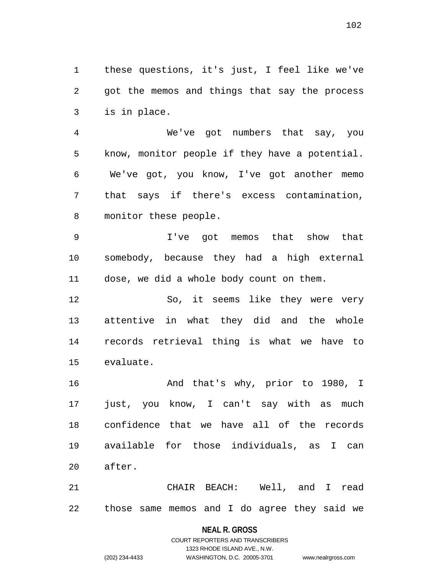1 these questions, it's just, I feel like we've 2 got the memos and things that say the process 3 is in place.

4 We've got numbers that say, you 5 know, monitor people if they have a potential. 6 We've got, you know, I've got another memo 7 that says if there's excess contamination, 8 monitor these people.

9 I've got memos that show that 10 somebody, because they had a high external 11 dose, we did a whole body count on them.

12 So, it seems like they were very 13 attentive in what they did and the whole 14 records retrieval thing is what we have to 15 evaluate.

16 And that's why, prior to 1980, I 17 just, you know, I can't say with as much 18 confidence that we have all of the records 19 available for those individuals, as I can 20 after.

21 CHAIR BEACH: Well, and I read 22 those same memos and I do agree they said we

# **NEAL R. GROSS** COURT REPORTERS AND TRANSCRIBERS 1323 RHODE ISLAND AVE., N.W.

(202) 234-4433 WASHINGTON, D.C. 20005-3701 www.nealrgross.com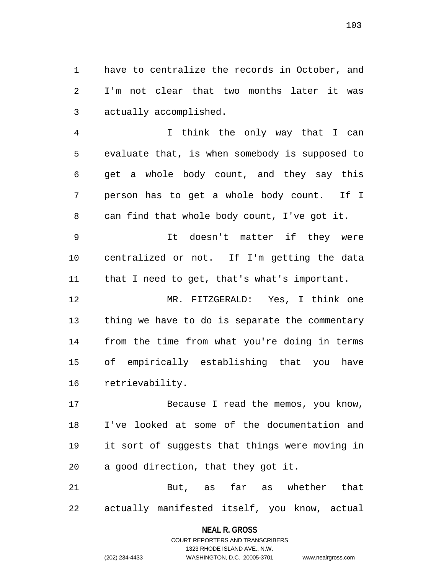1 have to centralize the records in October, and 2 I'm not clear that two months later it was 3 actually accomplished.

4 I think the only way that I can 5 evaluate that, is when somebody is supposed to 6 get a whole body count, and they say this 7 person has to get a whole body count. If I 8 can find that whole body count, I've got it.

9 It doesn't matter if they were 10 centralized or not. If I'm getting the data 11 that I need to get, that's what's important.

12 MR. FITZGERALD: Yes, I think one 13 thing we have to do is separate the commentary 14 from the time from what you're doing in terms 15 of empirically establishing that you have 16 retrievability.

17 Because I read the memos, you know, 18 I've looked at some of the documentation and 19 it sort of suggests that things were moving in 20 a good direction, that they got it.

21 But, as far as whether that 22 actually manifested itself, you know, actual

#### **NEAL R. GROSS**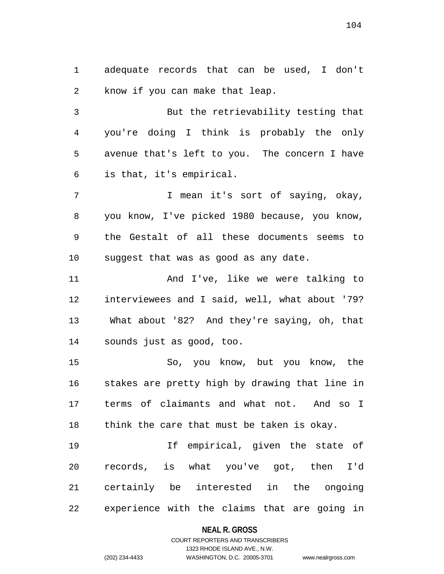1 adequate records that can be used, I don't 2 know if you can make that leap.

3 But the retrievability testing that 4 you're doing I think is probably the only 5 avenue that's left to you. The concern I have 6 is that, it's empirical.

7 T mean it's sort of saying, okay, 8 you know, I've picked 1980 because, you know, 9 the Gestalt of all these documents seems to 10 suggest that was as good as any date.

11 And I've, like we were talking to 12 interviewees and I said, well, what about '79? 13 What about '82? And they're saying, oh, that 14 sounds just as good, too.

15 So, you know, but you know, the 16 stakes are pretty high by drawing that line in 17 terms of claimants and what not. And so I 18 think the care that must be taken is okay.

19 If empirical, given the state of 20 records, is what you've got, then I'd 21 certainly be interested in the ongoing 22 experience with the claims that are going in

### **NEAL R. GROSS**

### COURT REPORTERS AND TRANSCRIBERS 1323 RHODE ISLAND AVE., N.W. (202) 234-4433 WASHINGTON, D.C. 20005-3701 www.nealrgross.com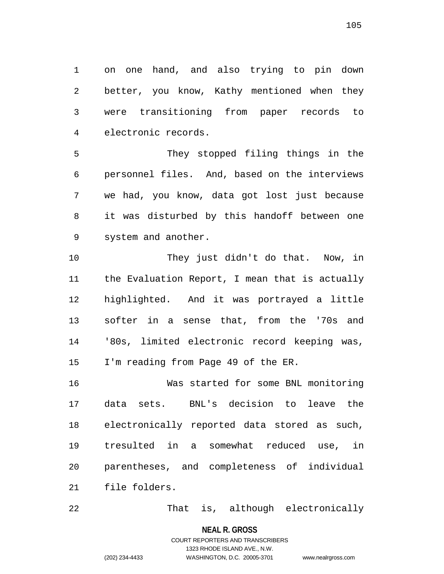1 on one hand, and also trying to pin down 2 better, you know, Kathy mentioned when they 3 were transitioning from paper records to 4 electronic records.

5 They stopped filing things in the 6 personnel files. And, based on the interviews 7 we had, you know, data got lost just because 8 it was disturbed by this handoff between one 9 system and another.

10 They just didn't do that. Now, in 11 the Evaluation Report, I mean that is actually 12 highlighted. And it was portrayed a little 13 softer in a sense that, from the '70s and 14 '80s, limited electronic record keeping was, 15 I'm reading from Page 49 of the ER.

16 Was started for some BNL monitoring 17 data sets. BNL's decision to leave the 18 electronically reported data stored as such, 19 tresulted in a somewhat reduced use, in 20 parentheses, and completeness of individual 21 file folders.

22 That is, although electronically

**NEAL R. GROSS**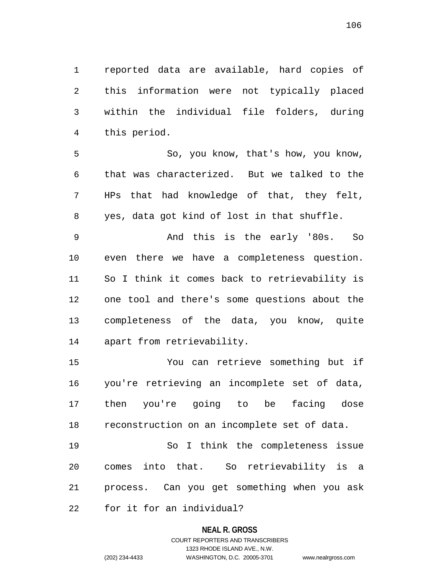1 reported data are available, hard copies of 2 this information were not typically placed 3 within the individual file folders, during 4 this period.

5 So, you know, that's how, you know, 6 that was characterized. But we talked to the 7 HPs that had knowledge of that, they felt, 8 yes, data got kind of lost in that shuffle.

9 And this is the early '80s. So 10 even there we have a completeness question. 11 So I think it comes back to retrievability is 12 one tool and there's some questions about the 13 completeness of the data, you know, quite 14 apart from retrievability.

15 You can retrieve something but if 16 you're retrieving an incomplete set of data, 17 then you're going to be facing dose 18 reconstruction on an incomplete set of data.

19 So I think the completeness issue 20 comes into that. So retrievability is a 21 process. Can you get something when you ask 22 for it for an individual?

#### **NEAL R. GROSS**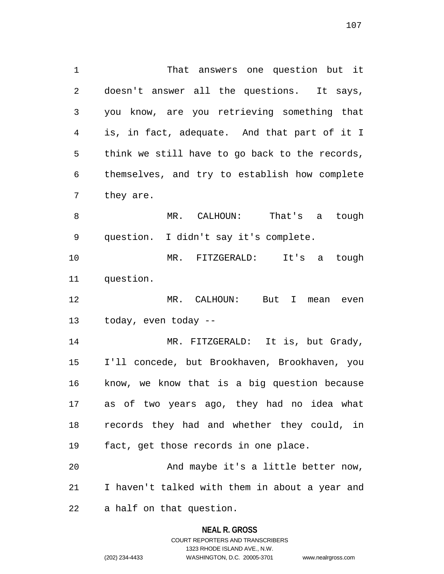1 That answers one question but it 2 doesn't answer all the questions. It says, 3 you know, are you retrieving something that 4 is, in fact, adequate. And that part of it I 5 think we still have to go back to the records, 6 themselves, and try to establish how complete 7 they are.

8 MR. CALHOUN: That's a tough 9 question. I didn't say it's complete.

10 MR. FITZGERALD: It's a tough 11 question.

12 MR. CALHOUN: But I mean even 13 today, even today --

14 MR. FITZGERALD: It is, but Grady, 15 I'll concede, but Brookhaven, Brookhaven, you 16 know, we know that is a big question because 17 as of two years ago, they had no idea what 18 records they had and whether they could, in 19 fact, get those records in one place.

20 And maybe it's a little better now, 21 I haven't talked with them in about a year and 22 a half on that question.

#### **NEAL R. GROSS**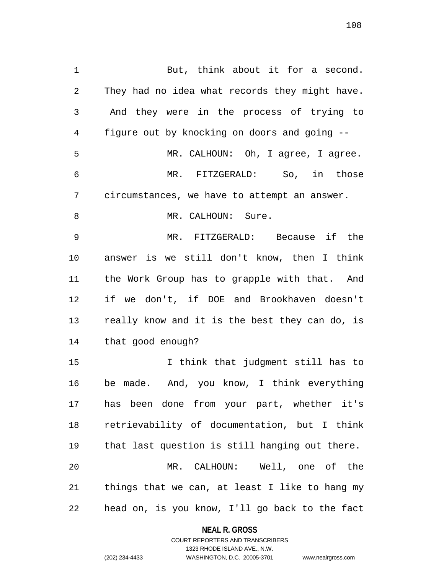1 But, think about it for a second. 2 They had no idea what records they might have. 3 And they were in the process of trying to 4 figure out by knocking on doors and going -- 5 MR. CALHOUN: Oh, I agree, I agree. 6 MR. FITZGERALD: So, in those 7 circumstances, we have to attempt an answer. 8 MR. CALHOUN: Sure. 9 MR. FITZGERALD: Because if the 10 answer is we still don't know, then I think 11 the Work Group has to grapple with that. And 12 if we don't, if DOE and Brookhaven doesn't 13 really know and it is the best they can do, is 14 that good enough? 15 I think that judgment still has to 16 be made. And, you know, I think everything 17 has been done from your part, whether it's 18 retrievability of documentation, but I think 19 that last question is still hanging out there. 20 MR. CALHOUN: Well, one of the 21 things that we can, at least I like to hang my 22 head on, is you know, I'll go back to the fact

> **NEAL R. GROSS** COURT REPORTERS AND TRANSCRIBERS

> > 1323 RHODE ISLAND AVE., N.W.

(202) 234-4433 WASHINGTON, D.C. 20005-3701 www.nealrgross.com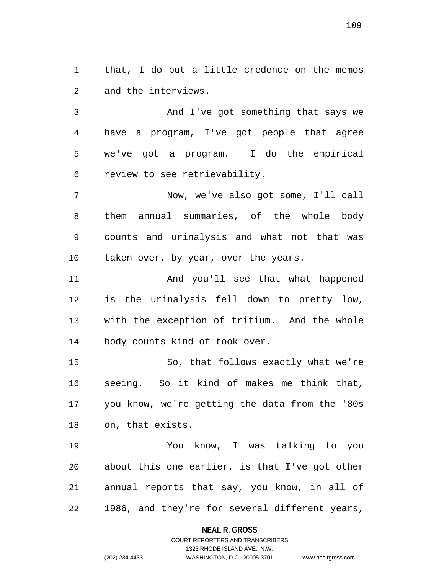1 that, I do put a little credence on the memos 2 and the interviews.

3 And I've got something that says we 4 have a program, I've got people that agree 5 we've got a program. I do the empirical 6 review to see retrievability.

7 Now, we've also got some, I'll call 8 them annual summaries, of the whole body 9 counts and urinalysis and what not that was 10 taken over, by year, over the years.

11 And you'll see that what happened 12 is the urinalysis fell down to pretty low, 13 with the exception of tritium. And the whole 14 body counts kind of took over.

15 So, that follows exactly what we're 16 seeing. So it kind of makes me think that, 17 you know, we're getting the data from the '80s 18 on, that exists.

19 You know, I was talking to you 20 about this one earlier, is that I've got other 21 annual reports that say, you know, in all of 22 1986, and they're for several different years,

#### **NEAL R. GROSS**

# COURT REPORTERS AND TRANSCRIBERS 1323 RHODE ISLAND AVE., N.W. (202) 234-4433 WASHINGTON, D.C. 20005-3701 www.nealrgross.com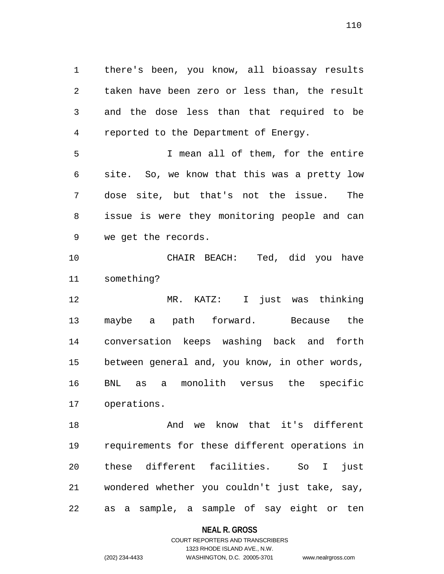1 there's been, you know, all bioassay results 2 taken have been zero or less than, the result 3 and the dose less than that required to be 4 reported to the Department of Energy.

5 I mean all of them, for the entire 6 site. So, we know that this was a pretty low 7 dose site, but that's not the issue. The 8 issue is were they monitoring people and can 9 we get the records.

10 CHAIR BEACH: Ted, did you have 11 something?

12 MR. KATZ: I just was thinking 13 maybe a path forward. Because the 14 conversation keeps washing back and forth 15 between general and, you know, in other words, 16 BNL as a monolith versus the specific 17 operations.

18 And we know that it's different 19 requirements for these different operations in 20 these different facilities. So I just 21 wondered whether you couldn't just take, say, 22 as a sample, a sample of say eight or ten

**NEAL R. GROSS**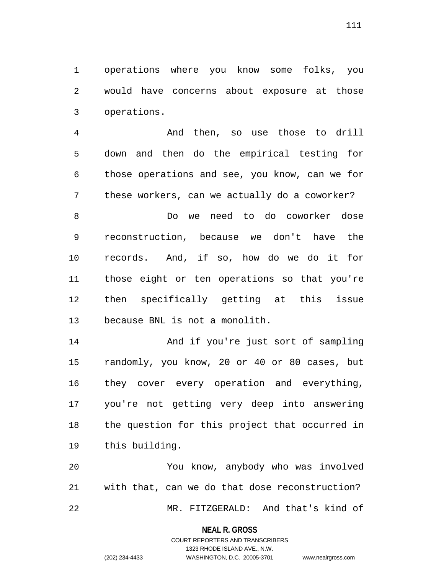1 operations where you know some folks, you 2 would have concerns about exposure at those 3 operations.

4 And then, so use those to drill 5 down and then do the empirical testing for 6 those operations and see, you know, can we for 7 these workers, can we actually do a coworker?

8 Do we need to do coworker dose 9 reconstruction, because we don't have the 10 records. And, if so, how do we do it for 11 those eight or ten operations so that you're 12 then specifically getting at this issue 13 because BNL is not a monolith.

14 And if you're just sort of sampling 15 randomly, you know, 20 or 40 or 80 cases, but 16 they cover every operation and everything, 17 you're not getting very deep into answering 18 the question for this project that occurred in 19 this building.

20 You know, anybody who was involved 21 with that, can we do that dose reconstruction? 22 MR. FITZGERALD: And that's kind of

#### **NEAL R. GROSS**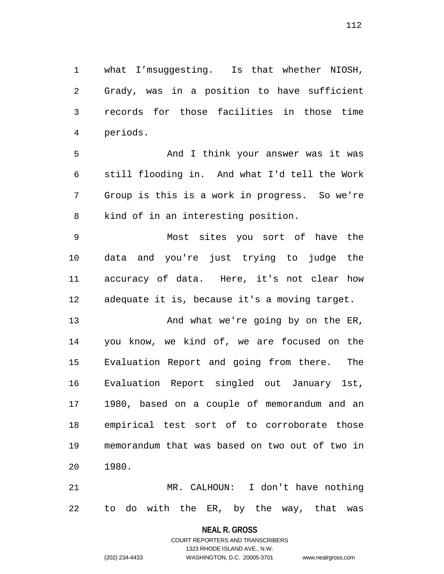1 what I'msuggesting. Is that whether NIOSH, 2 Grady, was in a position to have sufficient 3 records for those facilities in those time 4 periods.

5 And I think your answer was it was 6 still flooding in. And what I'd tell the Work 7 Group is this is a work in progress. So we're 8 kind of in an interesting position.

9 Most sites you sort of have the 10 data and you're just trying to judge the 11 accuracy of data. Here, it's not clear how 12 adequate it is, because it's a moving target.

13 And what we're going by on the ER, 14 you know, we kind of, we are focused on the 15 Evaluation Report and going from there. The 16 Evaluation Report singled out January 1st, 17 1980, based on a couple of memorandum and an 18 empirical test sort of to corroborate those 19 memorandum that was based on two out of two in 20 1980.

21 MR. CALHOUN: I don't have nothing 22 to do with the ER, by the way, that was

> **NEAL R. GROSS** COURT REPORTERS AND TRANSCRIBERS

1323 RHODE ISLAND AVE., N.W. (202) 234-4433 WASHINGTON, D.C. 20005-3701 www.nealrgross.com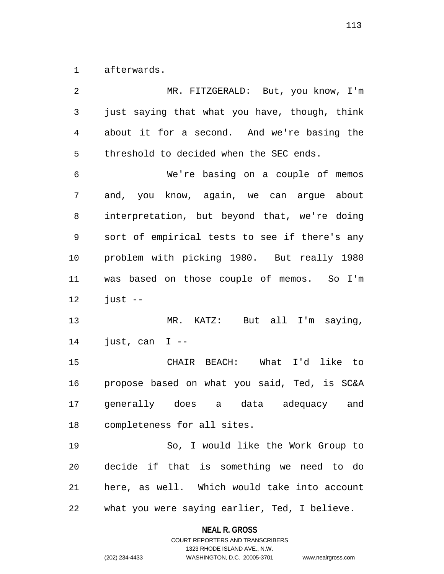1 afterwards.

| 2              | MR. FITZGERALD: But, you know, I'm            |
|----------------|-----------------------------------------------|
| 3              | just saying that what you have, though, think |
| $\overline{4}$ | about it for a second. And we're basing the   |
| 5              | threshold to decided when the SEC ends.       |
| 6              | We're basing on a couple of memos             |
| 7              | and, you know, again, we can argue about      |
| 8              | interpretation, but beyond that, we're doing  |
| 9              | sort of empirical tests to see if there's any |
| 10             | problem with picking 1980. But really 1980    |
| 11             | was based on those couple of memos. So I'm    |
| 12             | $just --$                                     |
| 13             | MR. KATZ: But all I'm saying,                 |
| 14             | just, can $I$ --                              |
| 15             | CHAIR BEACH: What I'd like to                 |
| 16             | propose based on what you said, Ted, is SC&A  |
| 17             | generally does a data adequacy and            |
| 18             | completeness for all sites.                   |
| 19             | So, I would like the Work Group to            |
| 20             | decide if that is something we need to do     |
| 21             | here, as well. Which would take into account  |
| 22             | what you were saying earlier, Ted, I believe. |

**NEAL R. GROSS** COURT REPORTERS AND TRANSCRIBERS

1323 RHODE ISLAND AVE., N.W.

(202) 234-4433 WASHINGTON, D.C. 20005-3701 www.nealrgross.com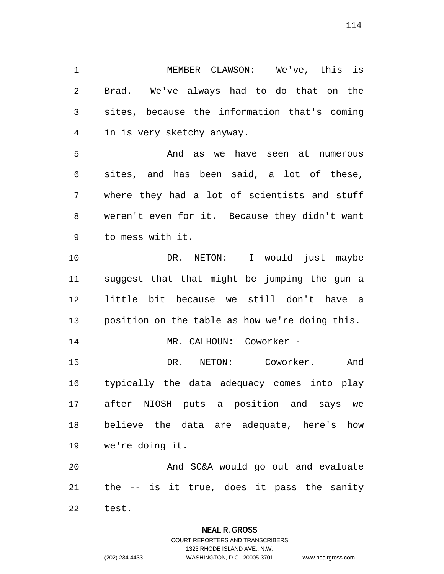1 MEMBER CLAWSON: We've, this is 2 Brad. We've always had to do that on the 3 sites, because the information that's coming 4 in is very sketchy anyway.

5 And as we have seen at numerous 6 sites, and has been said, a lot of these, 7 where they had a lot of scientists and stuff 8 weren't even for it. Because they didn't want 9 to mess with it.

10 DR. NETON: I would just maybe 11 suggest that that might be jumping the gun a 12 little bit because we still don't have a 13 position on the table as how we're doing this. 14 MR. CALHOUN: Coworker -15 DR. NETON: Coworker. And 16 typically the data adequacy comes into play 17 after NIOSH puts a position and says we 18 believe the data are adequate, here's how 19 we're doing it.

20 And SC&A would go out and evaluate 21 the -- is it true, does it pass the sanity

22 test.

#### **NEAL R. GROSS**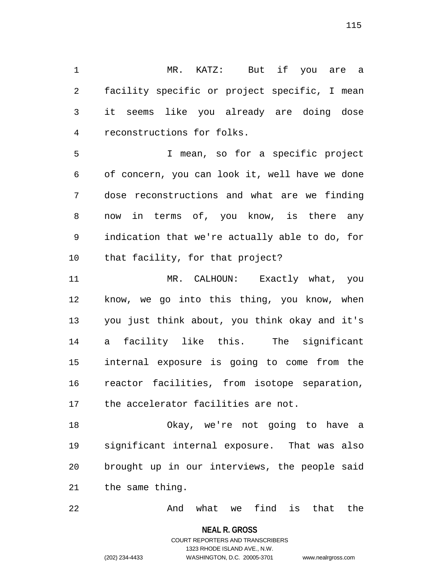1 MR. KATZ: But if you are a 2 facility specific or project specific, I mean 3 it seems like you already are doing dose 4 reconstructions for folks.

5 I mean, so for a specific project 6 of concern, you can look it, well have we done 7 dose reconstructions and what are we finding 8 now in terms of, you know, is there any 9 indication that we're actually able to do, for 10 that facility, for that project?

11 MR. CALHOUN: Exactly what, you 12 know, we go into this thing, you know, when 13 you just think about, you think okay and it's 14 a facility like this. The significant 15 internal exposure is going to come from the 16 reactor facilities, from isotope separation, 17 the accelerator facilities are not.

18 Okay, we're not going to have a 19 significant internal exposure. That was also 20 brought up in our interviews, the people said 21 the same thing.

22 And what we find is that the

**NEAL R. GROSS**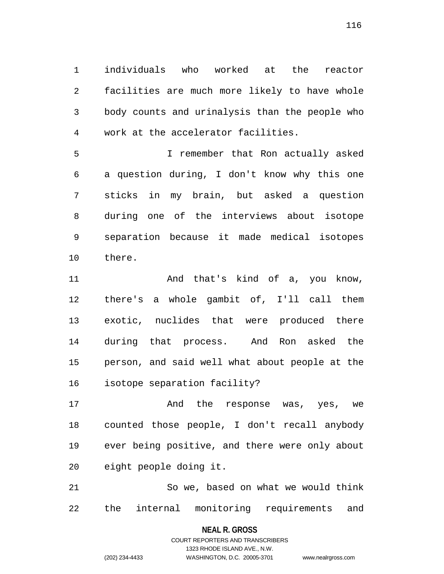1 individuals who worked at the reactor 2 facilities are much more likely to have whole 3 body counts and urinalysis than the people who 4 work at the accelerator facilities.

5 I remember that Ron actually asked 6 a question during, I don't know why this one 7 sticks in my brain, but asked a question 8 during one of the interviews about isotope 9 separation because it made medical isotopes 10 there.

11 and that's kind of a, you know, 12 there's a whole gambit of, I'll call them 13 exotic, nuclides that were produced there 14 during that process. And Ron asked the 15 person, and said well what about people at the 16 isotope separation facility?

17 and the response was, yes, we 18 counted those people, I don't recall anybody 19 ever being positive, and there were only about 20 eight people doing it.

21 So we, based on what we would think 22 the internal monitoring requirements and

> **NEAL R. GROSS** COURT REPORTERS AND TRANSCRIBERS

> > 1323 RHODE ISLAND AVE., N.W.

(202) 234-4433 WASHINGTON, D.C. 20005-3701 www.nealrgross.com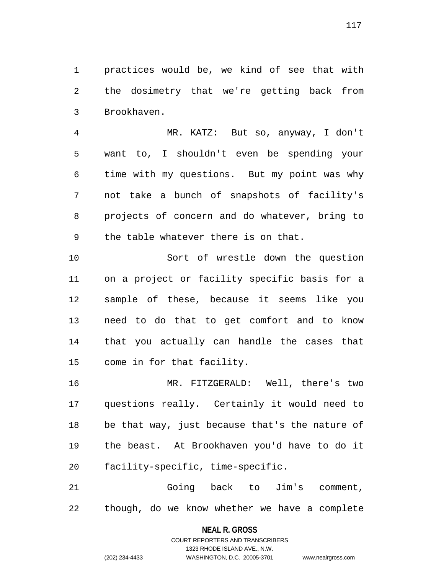1 practices would be, we kind of see that with 2 the dosimetry that we're getting back from 3 Brookhaven.

4 MR. KATZ: But so, anyway, I don't 5 want to, I shouldn't even be spending your 6 time with my questions. But my point was why 7 not take a bunch of snapshots of facility's 8 projects of concern and do whatever, bring to 9 the table whatever there is on that.

10 Sort of wrestle down the question 11 on a project or facility specific basis for a 12 sample of these, because it seems like you 13 need to do that to get comfort and to know 14 that you actually can handle the cases that 15 come in for that facility.

16 MR. FITZGERALD: Well, there's two 17 questions really. Certainly it would need to 18 be that way, just because that's the nature of 19 the beast. At Brookhaven you'd have to do it 20 facility-specific, time-specific.

21 Going back to Jim's comment, 22 though, do we know whether we have a complete

#### **NEAL R. GROSS**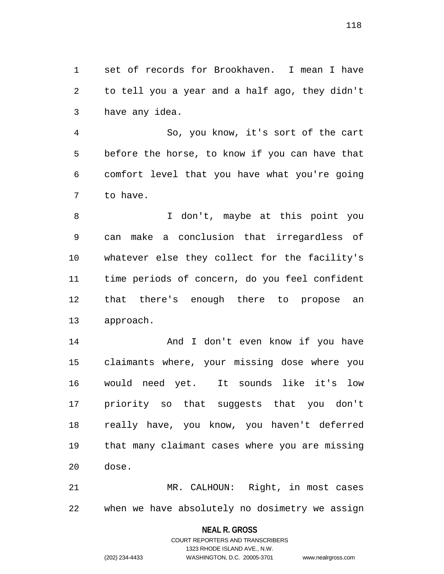1 set of records for Brookhaven. I mean I have 2 to tell you a year and a half ago, they didn't 3 have any idea.

4 So, you know, it's sort of the cart 5 before the horse, to know if you can have that 6 comfort level that you have what you're going 7 to have.

8 I don't, maybe at this point you 9 can make a conclusion that irregardless of 10 whatever else they collect for the facility's 11 time periods of concern, do you feel confident 12 that there's enough there to propose an 13 approach.

14 And I don't even know if you have 15 claimants where, your missing dose where you 16 would need yet. It sounds like it's low 17 priority so that suggests that you don't 18 really have, you know, you haven't deferred 19 that many claimant cases where you are missing 20 dose.

21 MR. CALHOUN: Right, in most cases 22 when we have absolutely no dosimetry we assign

#### **NEAL R. GROSS**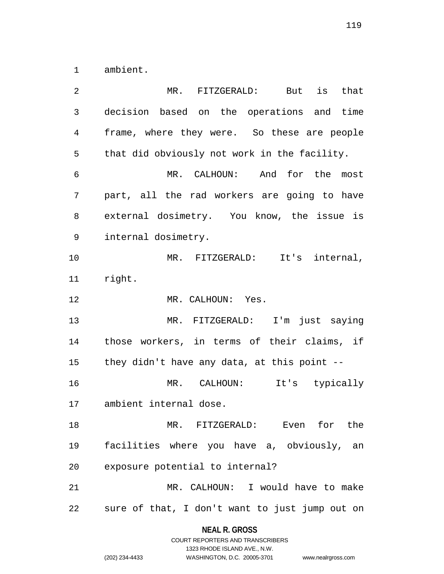1 ambient.

| 2  | $MR$ .<br>But is<br>FITZGERALD:<br>that        |
|----|------------------------------------------------|
| 3  | decision based on the operations and time      |
| 4  | frame, where they were. So these are people    |
| 5  | that did obviously not work in the facility.   |
| 6  | MR. CALHOUN: And for the most                  |
| 7  | part, all the rad workers are going to have    |
| 8  | external dosimetry. You know, the issue is     |
| 9  | internal dosimetry.                            |
| 10 | MR. FITZGERALD: It's internal,                 |
| 11 | right.                                         |
| 12 | MR. CALHOUN: Yes.                              |
| 13 | MR. FITZGERALD: I'm just saying                |
| 14 | those workers, in terms of their claims, if    |
| 15 | they didn't have any data, at this point --    |
| 16 | It's typically<br>MR. CALHOUN:                 |
| 17 | ambient internal dose.                         |
| 18 | MR. FITZGERALD: Even for the                   |
| 19 | facilities where you have a, obviously, an     |
| 20 | exposure potential to internal?                |
| 21 | MR. CALHOUN: I would have to make              |
| 22 | sure of that, I don't want to just jump out on |

**NEAL R. GROSS** COURT REPORTERS AND TRANSCRIBERS

1323 RHODE ISLAND AVE., N.W.

|                | 1323 RHODE ISLAND AVE., N.W. |                    |
|----------------|------------------------------|--------------------|
| (202) 234-4433 | WASHINGTON, D.C. 20005-3701  | www.nealrgross.com |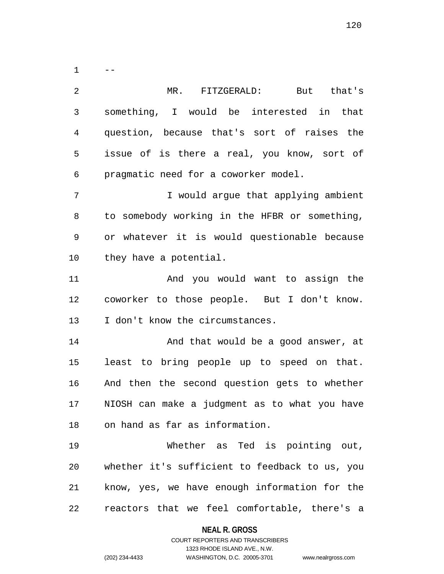$1 - -$ 2 MR. FITZGERALD: But that's 3 something, I would be interested in that 4 question, because that's sort of raises the 5 issue of is there a real, you know, sort of 6 pragmatic need for a coworker model. 7 I would argue that applying ambient 8 to somebody working in the HFBR or something, 9 or whatever it is would questionable because 10 they have a potential. 11 And you would want to assign the 12 coworker to those people. But I don't know. 13 I don't know the circumstances. 14 And that would be a good answer, at 15 least to bring people up to speed on that. 16 And then the second question gets to whether

17 NIOSH can make a judgment as to what you have 18 on hand as far as information.

19 Whether as Ted is pointing out, 20 whether it's sufficient to feedback to us, you 21 know, yes, we have enough information for the 22 reactors that we feel comfortable, there's a

> **NEAL R. GROSS** COURT REPORTERS AND TRANSCRIBERS

> > 1323 RHODE ISLAND AVE., N.W.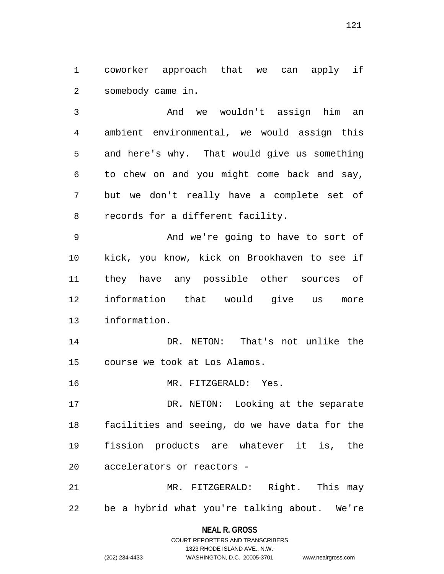1 coworker approach that we can apply if 2 somebody came in.

3 And we wouldn't assign him an 4 ambient environmental, we would assign this 5 and here's why. That would give us something 6 to chew on and you might come back and say, 7 but we don't really have a complete set of 8 records for a different facility.

9 And we're going to have to sort of 10 kick, you know, kick on Brookhaven to see if 11 they have any possible other sources of 12 information that would give us more 13 information.

14 DR. NETON: That's not unlike the 15 course we took at Los Alamos.

16 MR. FITZGERALD: Yes.

17 DR. NETON: Looking at the separate 18 facilities and seeing, do we have data for the 19 fission products are whatever it is, the 20 accelerators or reactors -

21 MR. FITZGERALD: Right. This may 22 be a hybrid what you're talking about. We're

### **NEAL R. GROSS** COURT REPORTERS AND TRANSCRIBERS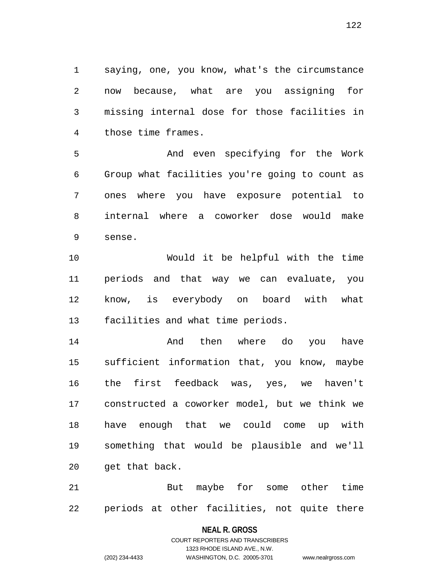1 saying, one, you know, what's the circumstance 2 now because, what are you assigning for 3 missing internal dose for those facilities in 4 those time frames.

5 And even specifying for the Work 6 Group what facilities you're going to count as 7 ones where you have exposure potential to 8 internal where a coworker dose would make 9 sense.

10 Would it be helpful with the time 11 periods and that way we can evaluate, you 12 know, is everybody on board with what 13 facilities and what time periods.

14 And then where do you have 15 sufficient information that, you know, maybe 16 the first feedback was, yes, we haven't 17 constructed a coworker model, but we think we 18 have enough that we could come up with 19 something that would be plausible and we'll 20 get that back.

21 But maybe for some other time 22 periods at other facilities, not quite there

#### **NEAL R. GROSS**

```
122
```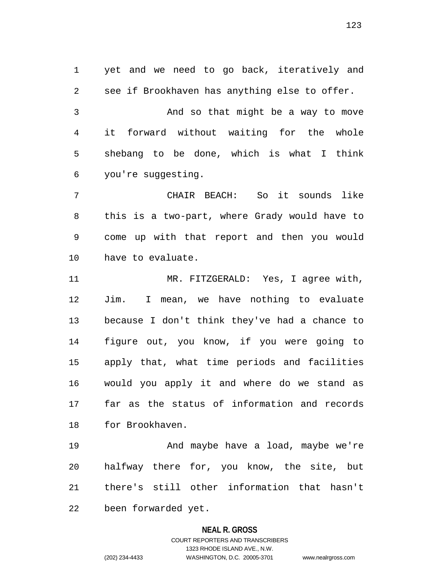1 yet and we need to go back, iteratively and 2 see if Brookhaven has anything else to offer. 3 And so that might be a way to move 4 it forward without waiting for the whole 5 shebang to be done, which is what I think 6 you're suggesting.

7 CHAIR BEACH: So it sounds like 8 this is a two-part, where Grady would have to 9 come up with that report and then you would 10 have to evaluate.

11 MR. FITZGERALD: Yes, I agree with, 12 Jim. I mean, we have nothing to evaluate 13 because I don't think they've had a chance to 14 figure out, you know, if you were going to 15 apply that, what time periods and facilities 16 would you apply it and where do we stand as 17 far as the status of information and records 18 for Brookhaven.

19 And maybe have a load, maybe we're 20 halfway there for, you know, the site, but 21 there's still other information that hasn't 22 been forwarded yet.

#### **NEAL R. GROSS**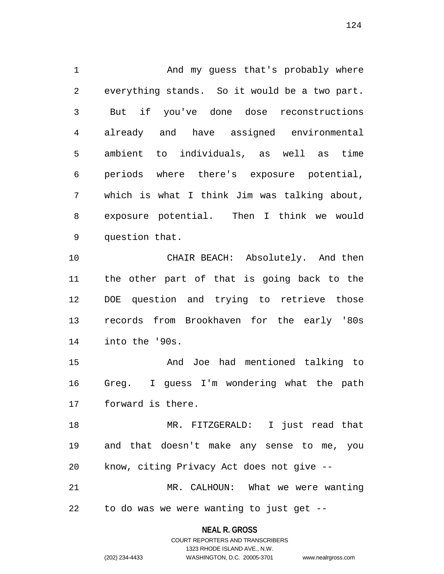1 And my guess that's probably where 2 everything stands. So it would be a two part. 3 But if you've done dose reconstructions 4 already and have assigned environmental 5 ambient to individuals, as well as time 6 periods where there's exposure potential, 7 which is what I think Jim was talking about, 8 exposure potential. Then I think we would 9 question that.

10 CHAIR BEACH: Absolutely. And then 11 the other part of that is going back to the 12 DOE question and trying to retrieve those 13 records from Brookhaven for the early '80s 14 into the '90s.

15 And Joe had mentioned talking to 16 Greg. I guess I'm wondering what the path 17 forward is there.

18 MR. FITZGERALD: I just read that 19 and that doesn't make any sense to me, you 20 know, citing Privacy Act does not give --

21 MR. CALHOUN: What we were wanting 22 to do was we were wanting to just get --

> **NEAL R. GROSS** COURT REPORTERS AND TRANSCRIBERS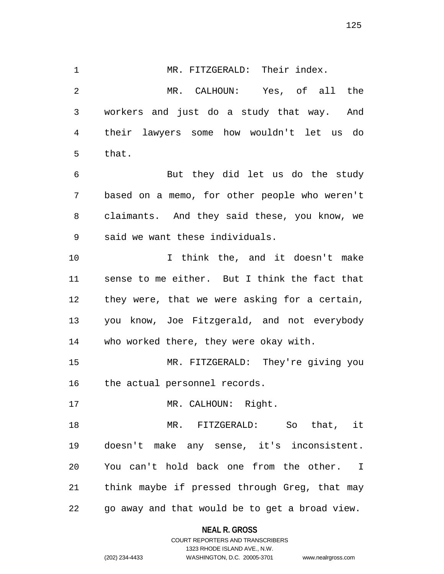1 MR. FITZGERALD: Their index. 2 MR. CALHOUN: Yes, of all the 3 workers and just do a study that way. And 4 their lawyers some how wouldn't let us do 5 that. 6 But they did let us do the study 7 based on a memo, for other people who weren't 8 claimants. And they said these, you know, we 9 said we want these individuals. 10 I think the, and it doesn't make 11 sense to me either. But I think the fact that 12 they were, that we were asking for a certain, 13 you know, Joe Fitzgerald, and not everybody 14 who worked there, they were okay with. 15 MR. FITZGERALD: They're giving you 16 the actual personnel records. 17 MR. CALHOUN: Right. 18 MR. FITZGERALD: So that, it 19 doesn't make any sense, it's inconsistent. 20 You can't hold back one from the other. I 21 think maybe if pressed through Greg, that may

22 go away and that would be to get a broad view.

**NEAL R. GROSS**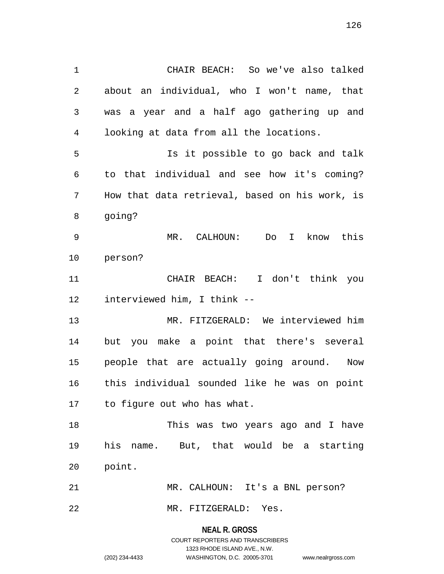1 CHAIR BEACH: So we've also talked 2 about an individual, who I won't name, that 3 was a year and a half ago gathering up and 4 looking at data from all the locations. 5 Is it possible to go back and talk 6 to that individual and see how it's coming? 7 How that data retrieval, based on his work, is 8 going? 9 MR. CALHOUN: Do I know this 10 person? 11 CHAIR BEACH: I don't think you 12 interviewed him, I think -- 13 MR. FITZGERALD: We interviewed him 14 but you make a point that there's several 15 people that are actually going around. Now 16 this individual sounded like he was on point 17 to figure out who has what. 18 This was two years ago and I have 19 his name. But, that would be a starting

21 MR. CALHOUN: It's a BNL person?

22 MR. FITZGERALD: Yes.

**NEAL R. GROSS** COURT REPORTERS AND TRANSCRIBERS 1323 RHODE ISLAND AVE., N.W. (202) 234-4433 WASHINGTON, D.C. 20005-3701 www.nealrgross.com

20 point.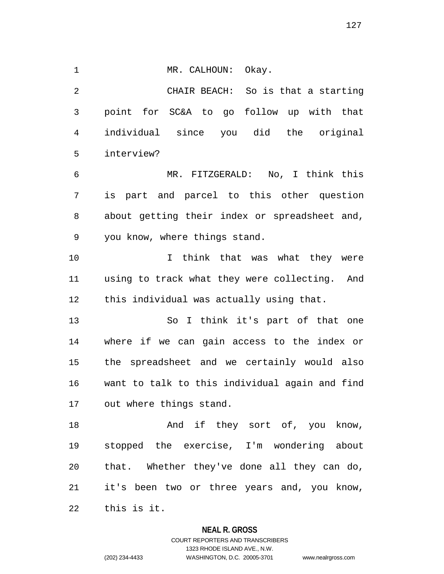1 MR. CALHOUN: Okay.

2 CHAIR BEACH: So is that a starting 3 point for SC&A to go follow up with that 4 individual since you did the original 5 interview?

6 MR. FITZGERALD: No, I think this 7 is part and parcel to this other question 8 about getting their index or spreadsheet and, 9 you know, where things stand.

10 I think that was what they were 11 using to track what they were collecting. And 12 this individual was actually using that.

13 So I think it's part of that one 14 where if we can gain access to the index or 15 the spreadsheet and we certainly would also 16 want to talk to this individual again and find 17 out where things stand.

18 And if they sort of, you know, 19 stopped the exercise, I'm wondering about 20 that. Whether they've done all they can do, 21 it's been two or three years and, you know, 22 this is it.

#### **NEAL R. GROSS**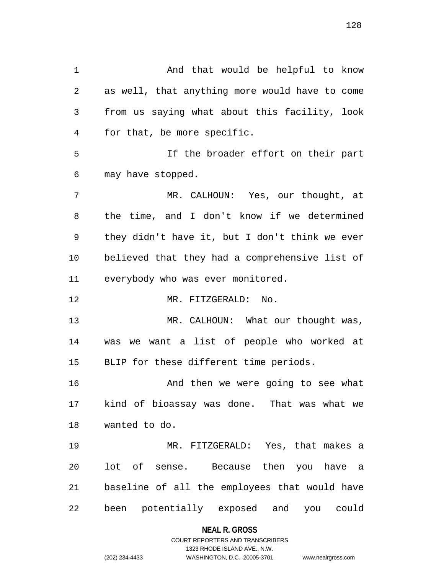1 And that would be helpful to know 2 as well, that anything more would have to come 3 from us saying what about this facility, look 4 for that, be more specific. 5 If the broader effort on their part 6 may have stopped. 7 MR. CALHOUN: Yes, our thought, at 8 the time, and I don't know if we determined 9 they didn't have it, but I don't think we ever 10 believed that they had a comprehensive list of 11 everybody who was ever monitored. 12 MR. FITZGERALD: No. 13 MR. CALHOUN: What our thought was, 14 was we want a list of people who worked at 15 BLIP for these different time periods. 16 And then we were going to see what 17 kind of bioassay was done. That was what we 18 wanted to do. 19 MR. FITZGERALD: Yes, that makes a 20 lot of sense. Because then you have a 21 baseline of all the employees that would have 22 been potentially exposed and you could

#### **NEAL R. GROSS**

### COURT REPORTERS AND TRANSCRIBERS 1323 RHODE ISLAND AVE., N.W. (202) 234-4433 WASHINGTON, D.C. 20005-3701 www.nealrgross.com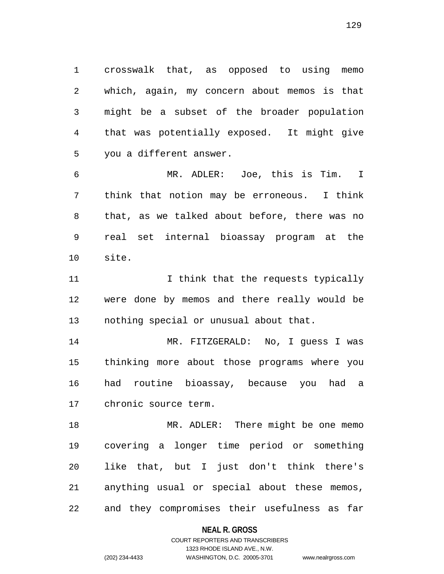1 crosswalk that, as opposed to using memo 2 which, again, my concern about memos is that 3 might be a subset of the broader population 4 that was potentially exposed. It might give 5 you a different answer.

6 MR. ADLER: Joe, this is Tim. I 7 think that notion may be erroneous. I think 8 that, as we talked about before, there was no 9 real set internal bioassay program at the 10 site.

11 11 I think that the requests typically 12 were done by memos and there really would be 13 nothing special or unusual about that.

14 MR. FITZGERALD: No, I guess I was 15 thinking more about those programs where you 16 had routine bioassay, because you had a 17 chronic source term.

18 MR. ADLER: There might be one memo 19 covering a longer time period or something 20 like that, but I just don't think there's 21 anything usual or special about these memos, 22 and they compromises their usefulness as far

#### **NEAL R. GROSS**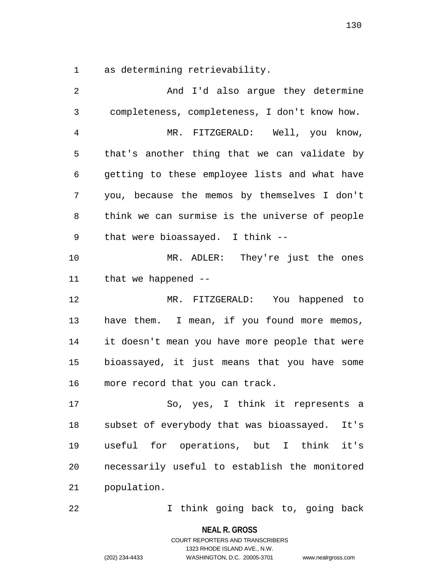1 as determining retrievability.

2 And I'd also argue they determine 3 completeness, completeness, I don't know how. 4 MR. FITZGERALD: Well, you know, 5 that's another thing that we can validate by 6 getting to these employee lists and what have 7 you, because the memos by themselves I don't 8 think we can surmise is the universe of people 9 that were bioassayed. I think -- 10 MR. ADLER: They're just the ones 11 that we happened -- 12 MR. FITZGERALD: You happened to 13 have them. I mean, if you found more memos, 14 it doesn't mean you have more people that were 15 bioassayed, it just means that you have some 16 more record that you can track. 17 So, yes, I think it represents a 18 subset of everybody that was bioassayed. It's 19 useful for operations, but I think it's 20 necessarily useful to establish the monitored 21 population.

22 I think going back to, going back

**NEAL R. GROSS**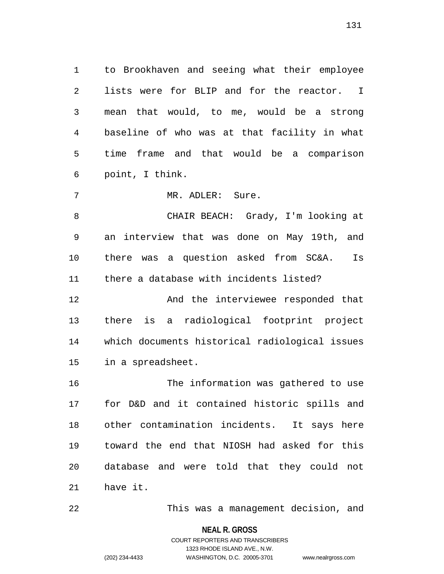1 to Brookhaven and seeing what their employee 2 lists were for BLIP and for the reactor. I 3 mean that would, to me, would be a strong 4 baseline of who was at that facility in what 5 time frame and that would be a comparison 6 point, I think.

7 MR. ADLER: Sure.

8 CHAIR BEACH: Grady, I'm looking at 9 an interview that was done on May 19th, and 10 there was a question asked from SC&A. Is 11 there a database with incidents listed?

12 And the interviewee responded that 13 there is a radiological footprint project 14 which documents historical radiological issues 15 in a spreadsheet.

16 The information was gathered to use 17 for D&D and it contained historic spills and 18 other contamination incidents. It says here 19 toward the end that NIOSH had asked for this 20 database and were told that they could not 21 have it.

22 This was a management decision, and

**NEAL R. GROSS**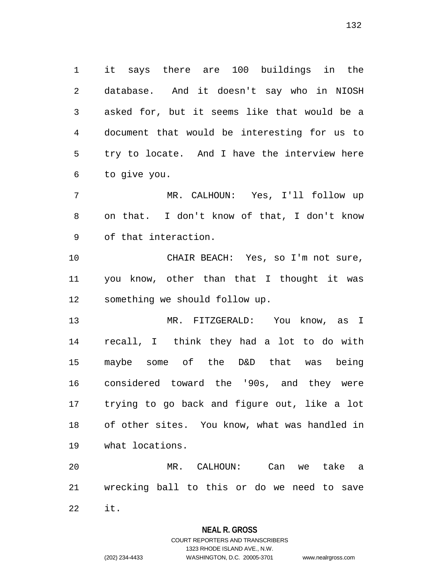1 it says there are 100 buildings in the 2 database. And it doesn't say who in NIOSH 3 asked for, but it seems like that would be a 4 document that would be interesting for us to 5 try to locate. And I have the interview here 6 to give you.

7 MR. CALHOUN: Yes, I'll follow up 8 on that. I don't know of that, I don't know 9 of that interaction.

10 CHAIR BEACH: Yes, so I'm not sure, 11 you know, other than that I thought it was 12 something we should follow up.

13 MR. FITZGERALD: You know, as I 14 recall, I think they had a lot to do with 15 maybe some of the D&D that was being 16 considered toward the '90s, and they were 17 trying to go back and figure out, like a lot 18 of other sites. You know, what was handled in 19 what locations.

20 MR. CALHOUN: Can we take a 21 wrecking ball to this or do we need to save 22 it.

**NEAL R. GROSS**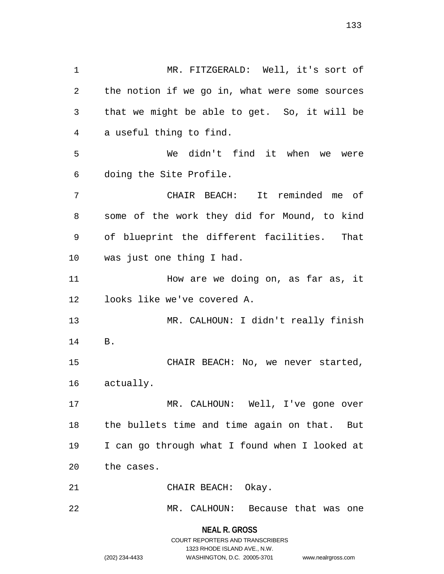1 MR. FITZGERALD: Well, it's sort of 2 the notion if we go in, what were some sources 3 that we might be able to get. So, it will be 4 a useful thing to find. 5 We didn't find it when we were 6 doing the Site Profile. 7 CHAIR BEACH: It reminded me of 8 some of the work they did for Mound, to kind 9 of blueprint the different facilities. That 10 was just one thing I had. 11 How are we doing on, as far as, it 12 looks like we've covered A. 13 MR. CALHOUN: I didn't really finish 14 B. 15 CHAIR BEACH: No, we never started, 16 actually. 17 MR. CALHOUN: Well, I've gone over 18 the bullets time and time again on that. But 19 I can go through what I found when I looked at 20 the cases. 21 CHAIR BEACH: Okay. 22 MR. CALHOUN: Because that was one

> **NEAL R. GROSS** COURT REPORTERS AND TRANSCRIBERS 1323 RHODE ISLAND AVE., N.W. (202) 234-4433 WASHINGTON, D.C. 20005-3701 www.nealrgross.com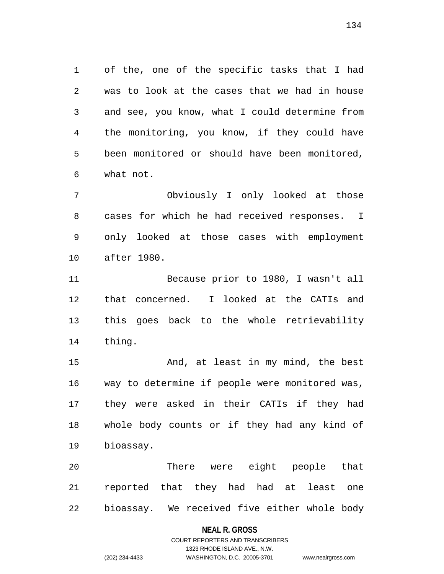1 of the, one of the specific tasks that I had 2 was to look at the cases that we had in house 3 and see, you know, what I could determine from 4 the monitoring, you know, if they could have 5 been monitored or should have been monitored, 6 what not.

7 Obviously I only looked at those 8 cases for which he had received responses. I 9 only looked at those cases with employment 10 after 1980.

11 Because prior to 1980, I wasn't all 12 that concerned. I looked at the CATIs and 13 this goes back to the whole retrievability 14 thing.

15 And, at least in my mind, the best 16 way to determine if people were monitored was, 17 they were asked in their CATIs if they had 18 whole body counts or if they had any kind of 19 bioassay.

20 There were eight people that 21 reported that they had had at least one 22 bioassay. We received five either whole body

#### **NEAL R. GROSS**

# COURT REPORTERS AND TRANSCRIBERS 1323 RHODE ISLAND AVE., N.W. (202) 234-4433 WASHINGTON, D.C. 20005-3701 www.nealrgross.com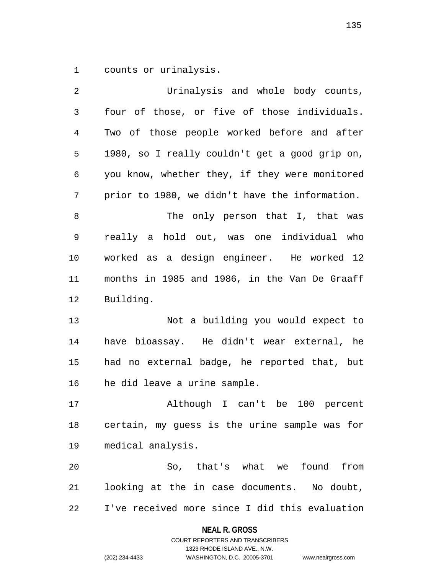1 counts or urinalysis.

| 2              | Urinalysis and whole body counts,              |  |
|----------------|------------------------------------------------|--|
| $\mathfrak{Z}$ | four of those, or five of those individuals.   |  |
| 4              | Two of those people worked before and after    |  |
| 5              | 1980, so I really couldn't get a good grip on, |  |
| 6              | you know, whether they, if they were monitored |  |
| 7              | prior to 1980, we didn't have the information. |  |
| 8              | The only person that I, that was               |  |
| 9              | really a hold out, was one individual who      |  |
| 10             | worked as a design engineer. He worked 12      |  |
| 11             | months in 1985 and 1986, in the Van De Graaff  |  |
| 12             | Building.                                      |  |
| 13             | Not a building you would expect to             |  |
| 14             | have bioassay. He didn't wear external, he     |  |
| 15             | had no external badge, he reported that, but   |  |
| 16             | he did leave a urine sample.                   |  |
| 17             | Although I can't be 100 percent                |  |
| 18             | certain, my quess is the urine sample was for  |  |
| 19             | medical analysis.                              |  |
| 20             | So, that's what we found<br>from               |  |
| 21             | looking at the in case documents. No doubt,    |  |
| 22             | I've received more since I did this evaluation |  |

# **NEAL R. GROSS**

COURT REPORTERS AND TRANSCRIBERS 1323 RHODE ISLAND AVE., N.W. (202) 234-4433 WASHINGTON, D.C. 20005-3701 www.nealrgross.com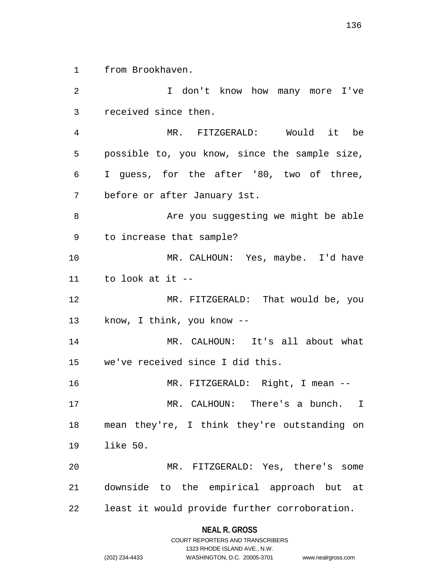1 from Brookhaven.

2 I don't know how many more I've 3 received since then. 4 MR. FITZGERALD: Would it be 5 possible to, you know, since the sample size, 6 I guess, for the after '80, two of three, 7 before or after January 1st. 8 Are you suggesting we might be able 9 to increase that sample? 10 MR. CALHOUN: Yes, maybe. I'd have 11 to look at it -- 12 MR. FITZGERALD: That would be, you 13 know, I think, you know -- 14 MR. CALHOUN: It's all about what 15 we've received since I did this. 16 MR. FITZGERALD: Right, I mean -- 17 MR. CALHOUN: There's a bunch. I 18 mean they're, I think they're outstanding on 19 like 50. 20 MR. FITZGERALD: Yes, there's some 21 downside to the empirical approach but at 22 least it would provide further corroboration.

#### **NEAL R. GROSS**

|                | COURT REPORTERS AND TRANSCRIBERS |                    |
|----------------|----------------------------------|--------------------|
|                | 1323 RHODE ISLAND AVE N.W.       |                    |
| (202) 234-4433 | WASHINGTON, D.C. 20005-3701      | www.nealrgross.com |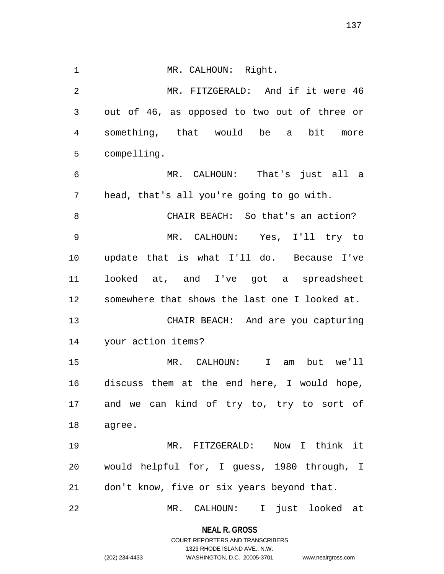1 MR. CALHOUN: Right.

2 MR. FITZGERALD: And if it were 46 3 out of 46, as opposed to two out of three or 4 something, that would be a bit more 5 compelling.

6 MR. CALHOUN: That's just all a 7 head, that's all you're going to go with.

8 CHAIR BEACH: So that's an action? 9 MR. CALHOUN: Yes, I'll try to 10 update that is what I'll do. Because I've 11 looked at, and I've got a spreadsheet 12 somewhere that shows the last one I looked at. 13 CHAIR BEACH: And are you capturing

14 your action items?

15 MR. CALHOUN: I am but we'll 16 discuss them at the end here, I would hope, 17 and we can kind of try to, try to sort of 18 agree.

19 MR. FITZGERALD: Now I think it 20 would helpful for, I guess, 1980 through, I 21 don't know, five or six years beyond that.

22 MR. CALHOUN: I just looked at

**NEAL R. GROSS** COURT REPORTERS AND TRANSCRIBERS

1323 RHODE ISLAND AVE., N.W.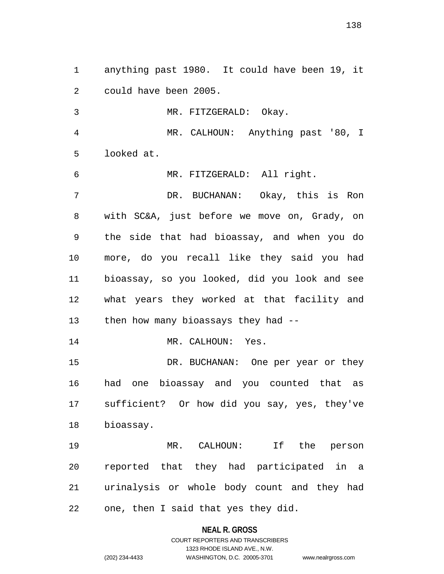1 anything past 1980. It could have been 19, it 2 could have been 2005.

3 MR. FITZGERALD: Okay.

4 MR. CALHOUN: Anything past '80, I 5 looked at.

6 MR. FITZGERALD: All right.

7 DR. BUCHANAN: Okay, this is Ron 8 with SC&A, just before we move on, Grady, on 9 the side that had bioassay, and when you do 10 more, do you recall like they said you had 11 bioassay, so you looked, did you look and see 12 what years they worked at that facility and 13 then how many bioassays they had --

14 MR. CALHOUN: Yes.

15 DR. BUCHANAN: One per year or they 16 had one bioassay and you counted that as 17 sufficient? Or how did you say, yes, they've 18 bioassay.

19 MR. CALHOUN: If the person 20 reported that they had participated in a 21 urinalysis or whole body count and they had 22 one, then I said that yes they did.

**NEAL R. GROSS**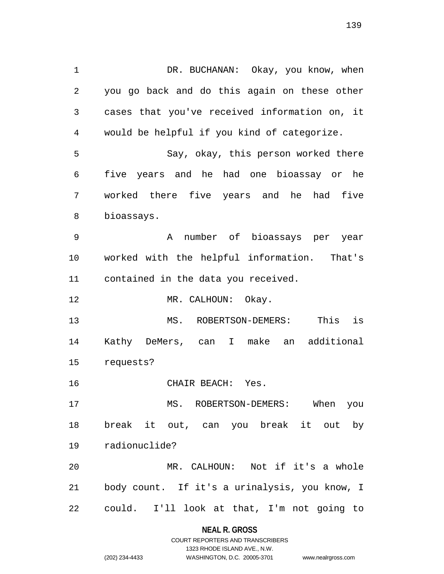1 DR. BUCHANAN: Okay, you know, when 2 you go back and do this again on these other 3 cases that you've received information on, it 4 would be helpful if you kind of categorize. 5 Say, okay, this person worked there 6 five years and he had one bioassay or he 7 worked there five years and he had five 8 bioassays. 9 A number of bioassays per year 10 worked with the helpful information. That's 11 contained in the data you received. 12 MR. CALHOUN: Okay. 13 MS. ROBERTSON-DEMERS: This is 14 Kathy DeMers, can I make an additional 15 requests? 16 CHAIR BEACH: Yes. 17 MS. ROBERTSON-DEMERS: When you 18 break it out, can you break it out by 19 radionuclide? 20 MR. CALHOUN: Not if it's a whole 21 body count. If it's a urinalysis, you know, I 22 could. I'll look at that, I'm not going to

#### **NEAL R. GROSS**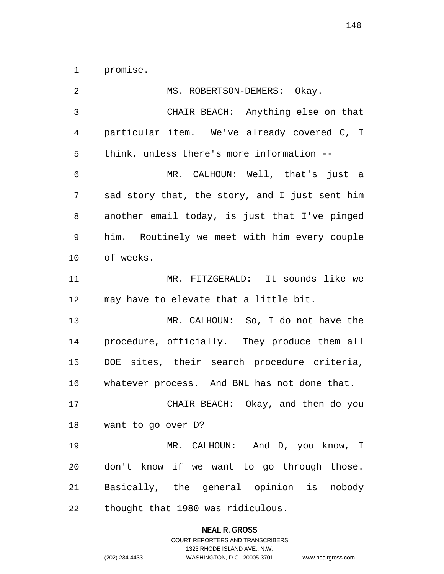1 promise.

| MS. ROBERTSON-DEMERS: Okay.                    |
|------------------------------------------------|
| CHAIR BEACH: Anything else on that             |
| particular item. We've already covered C, I    |
| think, unless there's more information --      |
| MR. CALHOUN: Well, that's just a               |
| sad story that, the story, and I just sent him |
| another email today, is just that I've pinged  |
| him. Routinely we meet with him every couple   |
| of weeks.                                      |
| MR. FITZGERALD: It sounds like we              |
| may have to elevate that a little bit.         |
| MR. CALHOUN: So, I do not have the             |
| procedure, officially. They produce them all   |
| DOE sites, their search procedure criteria,    |
| whatever process. And BNL has not done that.   |
| CHAIR BEACH: Okay, and then do you             |
| 18 want to go over D?                          |
| MR. CALHOUN: And D, you know, I                |
| don't know if we want to go through those.     |
| Basically, the general opinion is nobody       |
| thought that 1980 was ridiculous.              |
|                                                |

# **NEAL R. GROSS**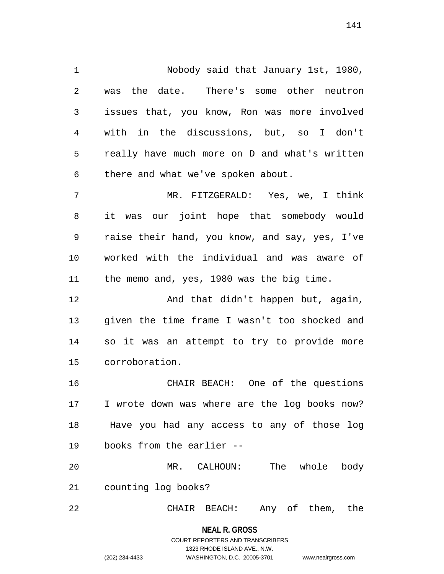1 Nobody said that January 1st, 1980, 2 was the date. There's some other neutron 3 issues that, you know, Ron was more involved 4 with in the discussions, but, so I don't 5 really have much more on D and what's written 6 there and what we've spoken about. 7 MR. FITZGERALD: Yes, we, I think

8 it was our joint hope that somebody would 9 raise their hand, you know, and say, yes, I've 10 worked with the individual and was aware of 11 the memo and, yes, 1980 was the big time.

12 And that didn't happen but, again, 13 given the time frame I wasn't too shocked and 14 so it was an attempt to try to provide more 15 corroboration.

16 CHAIR BEACH: One of the questions 17 I wrote down was where are the log books now? 18 Have you had any access to any of those log 19 books from the earlier --

20 MR. CALHOUN: The whole body 21 counting log books?

22 CHAIR BEACH: Any of them, the

**NEAL R. GROSS** COURT REPORTERS AND TRANSCRIBERS 1323 RHODE ISLAND AVE., N.W. (202) 234-4433 WASHINGTON, D.C. 20005-3701 www.nealrgross.com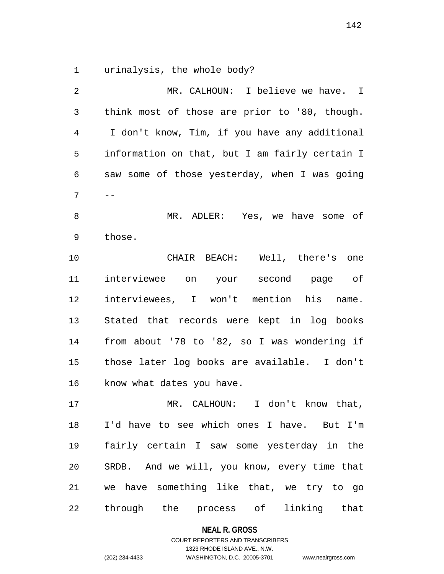1 urinalysis, the whole body?

2 MR. CALHOUN: I believe we have. I 3 think most of those are prior to '80, though. 4 I don't know, Tim, if you have any additional 5 information on that, but I am fairly certain I 6 saw some of those yesterday, when I was going  $7 - -$ 8 MR. ADLER: Yes, we have some of 9 those. 10 CHAIR BEACH: Well, there's one 11 interviewee on your second page of 12 interviewees, I won't mention his name. 13 Stated that records were kept in log books 14 from about '78 to '82, so I was wondering if 15 those later log books are available. I don't 16 know what dates you have. 17 MR. CALHOUN: I don't know that, 18 I'd have to see which ones I have. But I'm 19 fairly certain I saw some yesterday in the 20 SRDB. And we will, you know, every time that 21 we have something like that, we try to go 22 through the process of linking that

#### **NEAL R. GROSS**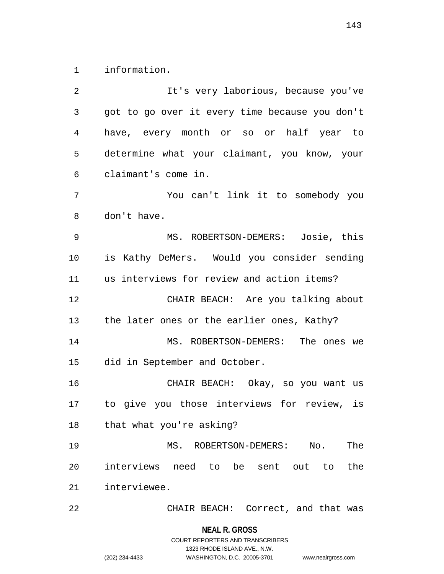1 information.

2 It's very laborious, because you've 3 got to go over it every time because you don't 4 have, every month or so or half year to 5 determine what your claimant, you know, your 6 claimant's come in. 7 You can't link it to somebody you 8 don't have. 9 MS. ROBERTSON-DEMERS: Josie, this 10 is Kathy DeMers. Would you consider sending 11 us interviews for review and action items? 12 CHAIR BEACH: Are you talking about 13 the later ones or the earlier ones, Kathy? 14 MS. ROBERTSON-DEMERS: The ones we 15 did in September and October. 16 CHAIR BEACH: Okay, so you want us 17 to give you those interviews for review, is 18 that what you're asking? 19 MS. ROBERTSON-DEMERS: No. The 20 interviews need to be sent out to the 21 interviewee. 22 CHAIR BEACH: Correct, and that was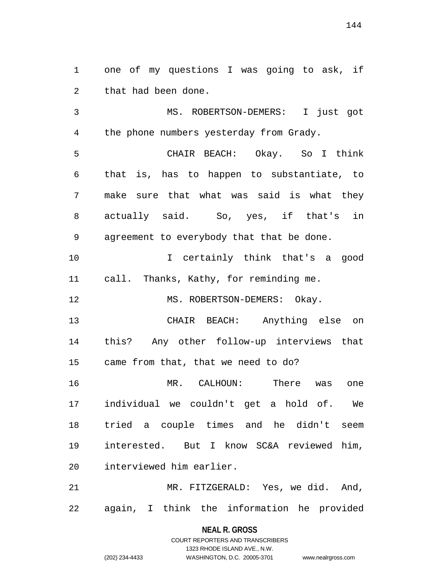1 one of my questions I was going to ask, if 2 that had been done.

3 MS. ROBERTSON-DEMERS: I just got 4 the phone numbers yesterday from Grady. 5 CHAIR BEACH: Okay. So I think 6 that is, has to happen to substantiate, to 7 make sure that what was said is what they 8 actually said. So, yes, if that's in 9 agreement to everybody that that be done. 10 I certainly think that's a good 11 call. Thanks, Kathy, for reminding me.

12 MS. ROBERTSON-DEMERS: Okay.

13 CHAIR BEACH: Anything else on 14 this? Any other follow-up interviews that 15 came from that, that we need to do?

16 MR. CALHOUN: There was one 17 individual we couldn't get a hold of. We 18 tried a couple times and he didn't seem 19 interested. But I know SC&A reviewed him, 20 interviewed him earlier.

21 MR. FITZGERALD: Yes, we did. And, 22 again, I think the information he provided

> **NEAL R. GROSS** COURT REPORTERS AND TRANSCRIBERS

> > 1323 RHODE ISLAND AVE., N.W.

(202) 234-4433 WASHINGTON, D.C. 20005-3701 www.nealrgross.com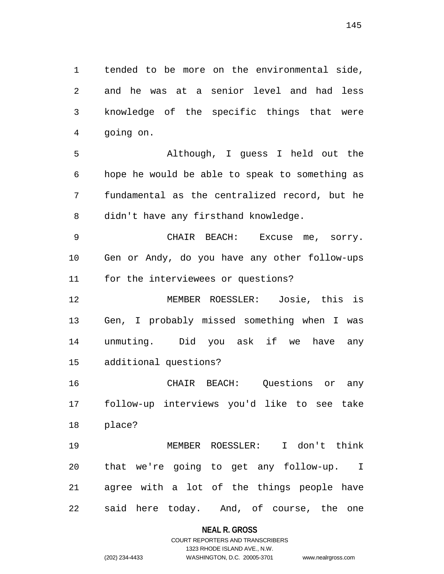1 tended to be more on the environmental side, 2 and he was at a senior level and had less 3 knowledge of the specific things that were 4 going on.

5 Although, I guess I held out the 6 hope he would be able to speak to something as 7 fundamental as the centralized record, but he 8 didn't have any firsthand knowledge.

9 CHAIR BEACH: Excuse me, sorry. 10 Gen or Andy, do you have any other follow-ups 11 for the interviewees or questions?

12 MEMBER ROESSLER: Josie, this is 13 Gen, I probably missed something when I was 14 unmuting. Did you ask if we have any 15 additional questions?

16 CHAIR BEACH: Questions or any 17 follow-up interviews you'd like to see take 18 place?

19 MEMBER ROESSLER: I don't think 20 that we're going to get any follow-up. I 21 agree with a lot of the things people have 22 said here today. And, of course, the one

#### **NEAL R. GROSS**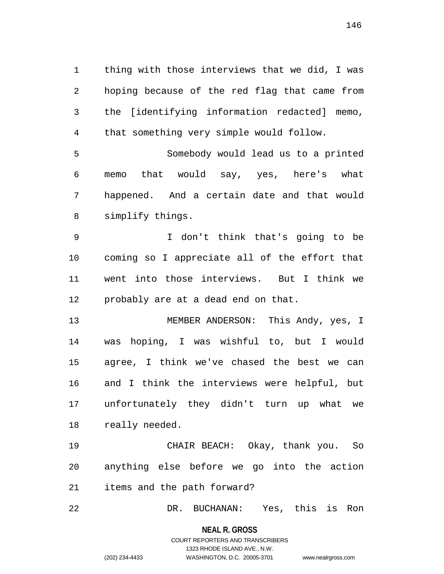1 thing with those interviews that we did, I was 2 hoping because of the red flag that came from 3 the [identifying information redacted] memo, 4 that something very simple would follow. 5 Somebody would lead us to a printed 6 memo that would say, yes, here's what 7 happened. And a certain date and that would

8 simplify things.

9 I don't think that's going to be 10 coming so I appreciate all of the effort that 11 went into those interviews. But I think we 12 probably are at a dead end on that.

13 MEMBER ANDERSON: This Andy, yes, I 14 was hoping, I was wishful to, but I would 15 agree, I think we've chased the best we can 16 and I think the interviews were helpful, but 17 unfortunately they didn't turn up what we 18 really needed.

19 CHAIR BEACH: Okay, thank you. So 20 anything else before we go into the action 21 items and the path forward?

22 DR. BUCHANAN: Yes, this is Ron

**NEAL R. GROSS**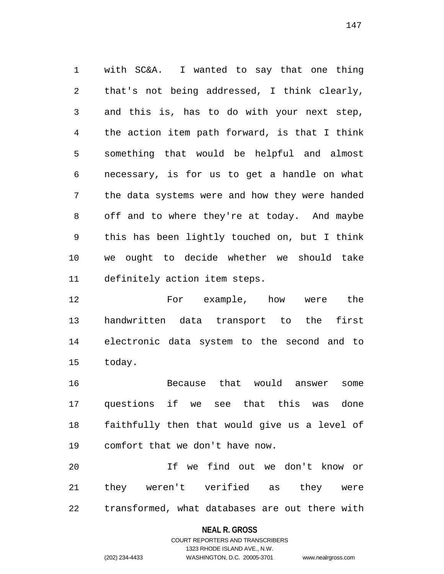1 with SC&A. I wanted to say that one thing 2 that's not being addressed, I think clearly, 3 and this is, has to do with your next step, 4 the action item path forward, is that I think 5 something that would be helpful and almost 6 necessary, is for us to get a handle on what 7 the data systems were and how they were handed 8 off and to where they're at today. And maybe 9 this has been lightly touched on, but I think 10 we ought to decide whether we should take 11 definitely action item steps.

12 For example, how were the 13 handwritten data transport to the first 14 electronic data system to the second and to 15 today.

16 Because that would answer some 17 questions if we see that this was done 18 faithfully then that would give us a level of 19 comfort that we don't have now.

20 If we find out we don't know or 21 they weren't verified as they were 22 transformed, what databases are out there with

#### **NEAL R. GROSS**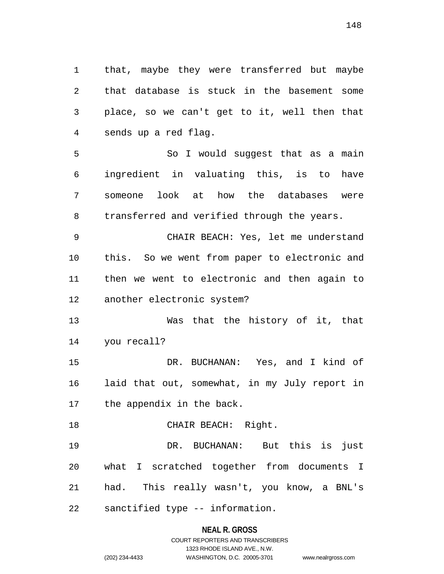1 that, maybe they were transferred but maybe 2 that database is stuck in the basement some 3 place, so we can't get to it, well then that 4 sends up a red flag.

5 So I would suggest that as a main 6 ingredient in valuating this, is to have 7 someone look at how the databases were 8 transferred and verified through the years.

9 CHAIR BEACH: Yes, let me understand 10 this. So we went from paper to electronic and 11 then we went to electronic and then again to 12 another electronic system?

13 Was that the history of it, that 14 you recall?

15 DR. BUCHANAN: Yes, and I kind of 16 laid that out, somewhat, in my July report in 17 the appendix in the back.

18 CHAIR BEACH: Right. 19 DR. BUCHANAN: But this is just 20 what I scratched together from documents I 21 had. This really wasn't, you know, a BNL's 22 sanctified type -- information.

**NEAL R. GROSS**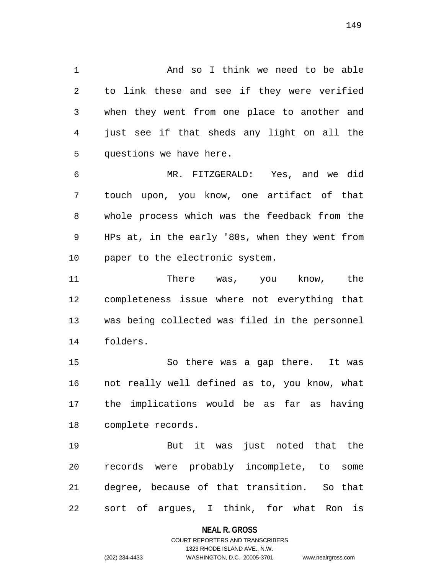1 And so I think we need to be able 2 to link these and see if they were verified 3 when they went from one place to another and 4 just see if that sheds any light on all the 5 questions we have here.

6 MR. FITZGERALD: Yes, and we did 7 touch upon, you know, one artifact of that 8 whole process which was the feedback from the 9 HPs at, in the early '80s, when they went from 10 paper to the electronic system.

11 There was, you know, the 12 completeness issue where not everything that 13 was being collected was filed in the personnel 14 folders.

15 So there was a gap there. It was 16 not really well defined as to, you know, what 17 the implications would be as far as having 18 complete records.

19 But it was just noted that the 20 records were probably incomplete, to some 21 degree, because of that transition. So that 22 sort of argues, I think, for what Ron is

#### **NEAL R. GROSS**

#### COURT REPORTERS AND TRANSCRIBERS 1323 RHODE ISLAND AVE., N.W. (202) 234-4433 WASHINGTON, D.C. 20005-3701 www.nealrgross.com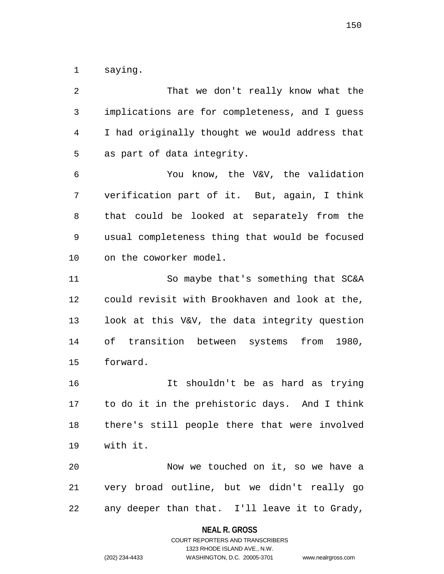1 saying.

| 2  | That we don't really know what the             |
|----|------------------------------------------------|
| 3  | implications are for completeness, and I guess |
| 4  | I had originally thought we would address that |
| 5  | as part of data integrity.                     |
| 6  | You know, the V&V, the validation              |
| 7  | verification part of it. But, again, I think   |
| 8  | that could be looked at separately from the    |
| 9  | usual completeness thing that would be focused |
| 10 | on the coworker model.                         |
| 11 | So maybe that's something that SC&A            |
| 12 | could revisit with Brookhaven and look at the, |
| 13 | look at this V&V, the data integrity question  |
| 14 | of transition between systems from 1980,       |
| 15 | forward.                                       |
| 16 | shouldn't be as hard as trying<br>It           |
| 17 | to do it in the prehistoric days. And I think  |
| 18 | there's still people there that were involved  |
| 19 | with it.                                       |
| 20 | Now we touched on it, so we have a             |
| 21 | very broad outline, but we didn't really go    |
| 22 | any deeper than that. I'll leave it to Grady,  |
|    |                                                |

## **NEAL R. GROSS**

COURT REPORTERS AND TRANSCRIBERS 1323 RHODE ISLAND AVE., N.W. (202) 234-4433 WASHINGTON, D.C. 20005-3701 www.nealrgross.com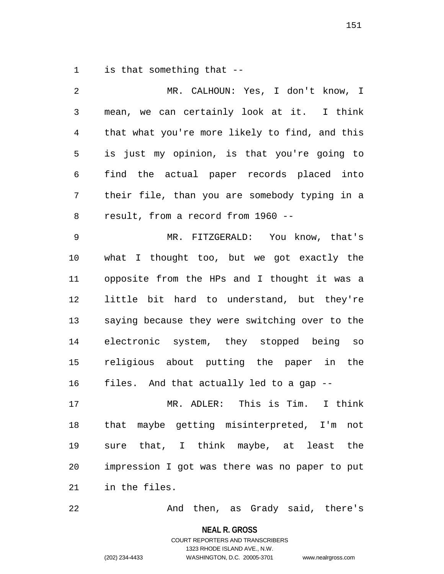1 is that something that --

| 2  | MR. CALHOUN: Yes, I don't know, I              |
|----|------------------------------------------------|
| 3  | mean, we can certainly look at it. I think     |
| 4  | that what you're more likely to find, and this |
| 5  | is just my opinion, is that you're going to    |
| 6  | find the actual paper records placed into      |
| 7  | their file, than you are somebody typing in a  |
| 8  | result, from a record from 1960 --             |
| 9  | MR. FITZGERALD: You know, that's               |
| 10 | what I thought too, but we got exactly the     |
| 11 | opposite from the HPs and I thought it was a   |
| 12 | little bit hard to understand, but they're     |
| 13 | saying because they were switching over to the |
| 14 | electronic system, they stopped being so       |
| 15 | religious about putting the paper in the       |
| 16 | files. And that actually led to a gap --       |
| 17 | MR. ADLER: This is Tim.<br>I think             |
| 18 | that maybe getting misinterpreted, I'm<br>not  |
| 19 | sure that, I think maybe, at least<br>the      |
| 20 | impression I got was there was no paper to put |
| 21 | in the files.                                  |

22 And then, as Grady said, there's

**NEAL R. GROSS**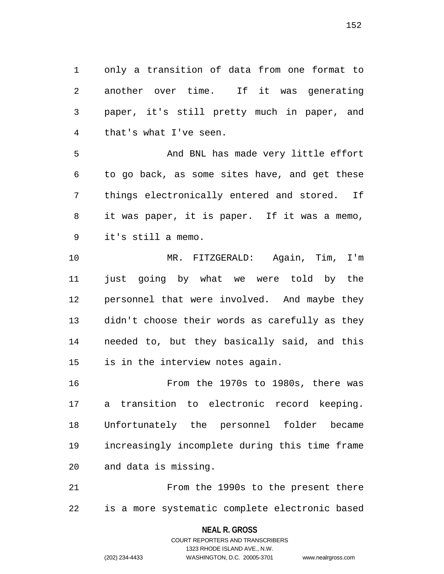1 only a transition of data from one format to 2 another over time. If it was generating 3 paper, it's still pretty much in paper, and 4 that's what I've seen.

5 And BNL has made very little effort 6 to go back, as some sites have, and get these 7 things electronically entered and stored. If 8 it was paper, it is paper. If it was a memo, 9 it's still a memo.

10 MR. FITZGERALD: Again, Tim, I'm 11 just going by what we were told by the 12 personnel that were involved. And maybe they 13 didn't choose their words as carefully as they 14 needed to, but they basically said, and this 15 is in the interview notes again.

16 From the 1970s to 1980s, there was 17 a transition to electronic record keeping. 18 Unfortunately the personnel folder became 19 increasingly incomplete during this time frame 20 and data is missing.

21 From the 1990s to the present there 22 is a more systematic complete electronic based

**NEAL R. GROSS**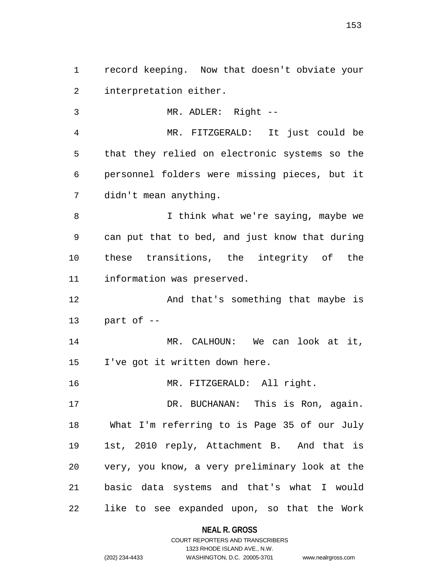1 record keeping. Now that doesn't obviate your 2 interpretation either. 3 MR. ADLER: Right --

4 MR. FITZGERALD: It just could be 5 that they relied on electronic systems so the 6 personnel folders were missing pieces, but it 7 didn't mean anything.

8 I think what we're saying, maybe we 9 can put that to bed, and just know that during 10 these transitions, the integrity of the 11 information was preserved.

12 And that's something that maybe is 13 part of --

14 MR. CALHOUN: We can look at it, 15 I've got it written down here.

16 MR. FITZGERALD: All right.

17 DR. BUCHANAN: This is Ron, again. 18 What I'm referring to is Page 35 of our July 19 1st, 2010 reply, Attachment B. And that is 20 very, you know, a very preliminary look at the 21 basic data systems and that's what I would 22 like to see expanded upon, so that the Work

> **NEAL R. GROSS** COURT REPORTERS AND TRANSCRIBERS

1323 RHODE ISLAND AVE., N.W. (202) 234-4433 WASHINGTON, D.C. 20005-3701 www.nealrgross.com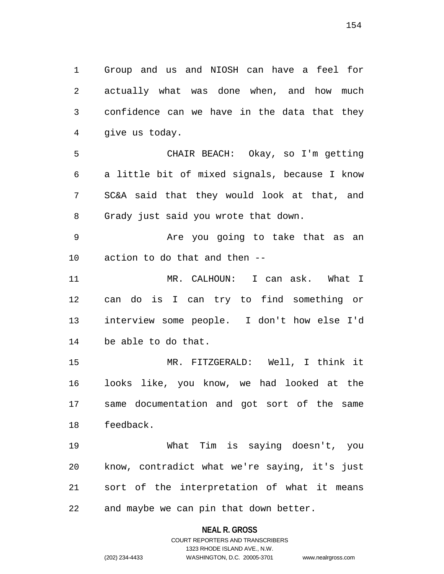1 Group and us and NIOSH can have a feel for 2 actually what was done when, and how much 3 confidence can we have in the data that they 4 give us today.

5 CHAIR BEACH: Okay, so I'm getting 6 a little bit of mixed signals, because I know 7 SC&A said that they would look at that, and 8 Grady just said you wrote that down.

9 Are you going to take that as an 10 action to do that and then --

11 MR. CALHOUN: I can ask. What I 12 can do is I can try to find something or 13 interview some people. I don't how else I'd 14 be able to do that.

15 MR. FITZGERALD: Well, I think it 16 looks like, you know, we had looked at the 17 same documentation and got sort of the same 18 feedback.

19 What Tim is saying doesn't, you 20 know, contradict what we're saying, it's just 21 sort of the interpretation of what it means 22 and maybe we can pin that down better.

#### **NEAL R. GROSS**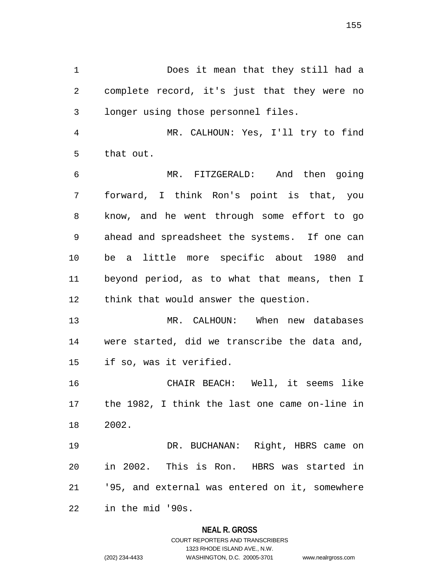1 Does it mean that they still had a 2 complete record, it's just that they were no 3 longer using those personnel files.

4 MR. CALHOUN: Yes, I'll try to find 5 that out.

6 MR. FITZGERALD: And then going 7 forward, I think Ron's point is that, you 8 know, and he went through some effort to go 9 ahead and spreadsheet the systems. If one can 10 be a little more specific about 1980 and 11 beyond period, as to what that means, then I 12 think that would answer the question.

13 MR. CALHOUN: When new databases 14 were started, did we transcribe the data and, 15 if so, was it verified.

16 CHAIR BEACH: Well, it seems like 17 the 1982, I think the last one came on-line in 18 2002.

19 DR. BUCHANAN: Right, HBRS came on 20 in 2002. This is Ron. HBRS was started in 21 '95, and external was entered on it, somewhere 22 in the mid '90s.

#### **NEAL R. GROSS**

## COURT REPORTERS AND TRANSCRIBERS 1323 RHODE ISLAND AVE., N.W. (202) 234-4433 WASHINGTON, D.C. 20005-3701 www.nealrgross.com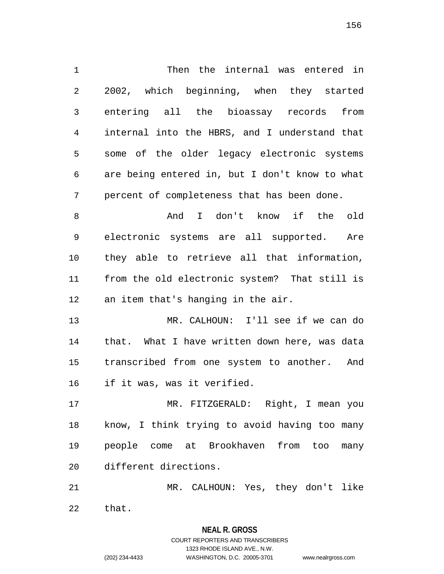1 Then the internal was entered in 2 2002, which beginning, when they started 3 entering all the bioassay records from 4 internal into the HBRS, and I understand that 5 some of the older legacy electronic systems 6 are being entered in, but I don't know to what 7 percent of completeness that has been done. 8 And I don't know if the old 9 electronic systems are all supported. Are 10 they able to retrieve all that information, 11 from the old electronic system? That still is 12 an item that's hanging in the air. 13 MR. CALHOUN: I'll see if we can do 14 that. What I have written down here, was data 15 transcribed from one system to another. And 16 if it was, was it verified. 17 MR. FITZGERALD: Right, I mean you 18 know, I think trying to avoid having too many 19 people come at Brookhaven from too many

20 different directions.

21 MR. CALHOUN: Yes, they don't like 22 that.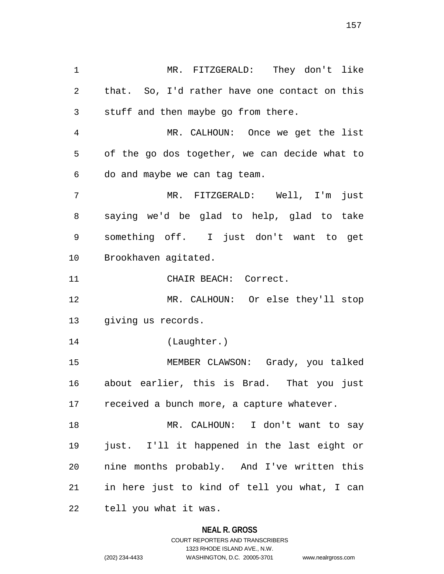1 MR. FITZGERALD: They don't like 2 that. So, I'd rather have one contact on this 3 stuff and then maybe go from there. 4 MR. CALHOUN: Once we get the list 5 of the go dos together, we can decide what to 6 do and maybe we can tag team. 7 MR. FITZGERALD: Well, I'm just 8 saying we'd be glad to help, glad to take 9 something off. I just don't want to get 10 Brookhaven agitated. 11 CHAIR BEACH: Correct. 12 MR. CALHOUN: Or else they'll stop 13 giving us records. 14 (Laughter.) 15 MEMBER CLAWSON: Grady, you talked 16 about earlier, this is Brad. That you just 17 received a bunch more, a capture whatever. 18 MR. CALHOUN: I don't want to say 19 just. I'll it happened in the last eight or 20 nine months probably. And I've written this 21 in here just to kind of tell you what, I can 22 tell you what it was.

#### **NEAL R. GROSS**

COURT REPORTERS AND TRANSCRIBERS 1323 RHODE ISLAND AVE., N.W. (202) 234-4433 WASHINGTON, D.C. 20005-3701 www.nealrgross.com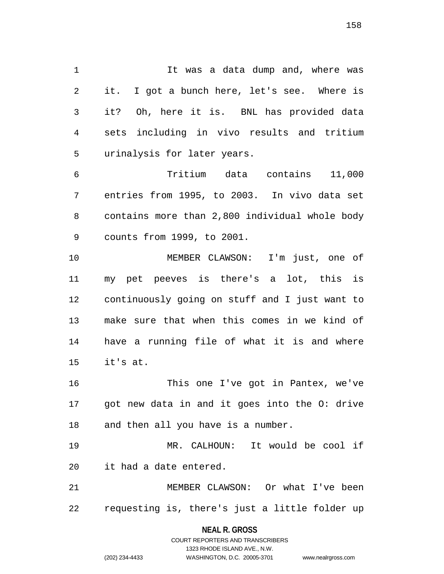1 1 It was a data dump and, where was 2 it. I got a bunch here, let's see. Where is 3 it? Oh, here it is. BNL has provided data 4 sets including in vivo results and tritium 5 urinalysis for later years.

6 Tritium data contains 11,000 7 entries from 1995, to 2003. In vivo data set 8 contains more than 2,800 individual whole body 9 counts from 1999, to 2001.

10 MEMBER CLAWSON: I'm just, one of 11 my pet peeves is there's a lot, this is 12 continuously going on stuff and I just want to 13 make sure that when this comes in we kind of 14 have a running file of what it is and where 15 it's at.

16 This one I've got in Pantex, we've 17 got new data in and it goes into the O: drive 18 and then all you have is a number.

19 MR. CALHOUN: It would be cool if 20 it had a date entered.

21 MEMBER CLAWSON: Or what I've been 22 requesting is, there's just a little folder up

> **NEAL R. GROSS** COURT REPORTERS AND TRANSCRIBERS

> > 1323 RHODE ISLAND AVE., N.W.

(202) 234-4433 WASHINGTON, D.C. 20005-3701 www.nealrgross.com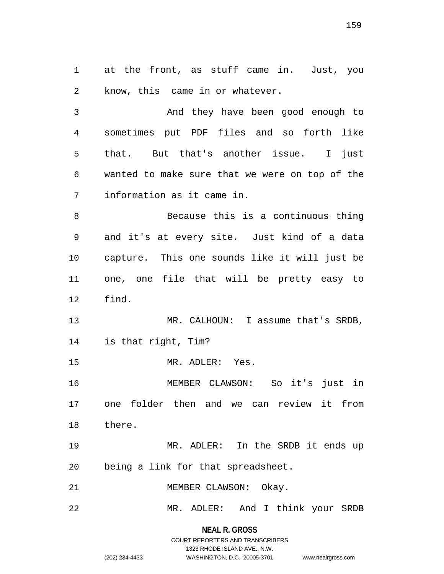1 at the front, as stuff came in. Just, you 2 know, this came in or whatever.

3 And they have been good enough to 4 sometimes put PDF files and so forth like 5 that. But that's another issue. I just 6 wanted to make sure that we were on top of the 7 information as it came in.

8 Because this is a continuous thing 9 and it's at every site. Just kind of a data 10 capture. This one sounds like it will just be 11 one, one file that will be pretty easy to 12 find.

13 MR. CALHOUN: I assume that's SRDB, 14 is that right, Tim?

15 MR. ADLER: Yes.

16 MEMBER CLAWSON: So it's just in 17 one folder then and we can review it from 18 there.

19 MR. ADLER: In the SRDB it ends up 20 being a link for that spreadsheet.

21 MEMBER CLAWSON: Okay.

22 MR. ADLER: And I think your SRDB

**NEAL R. GROSS** COURT REPORTERS AND TRANSCRIBERS

1323 RHODE ISLAND AVE., N.W.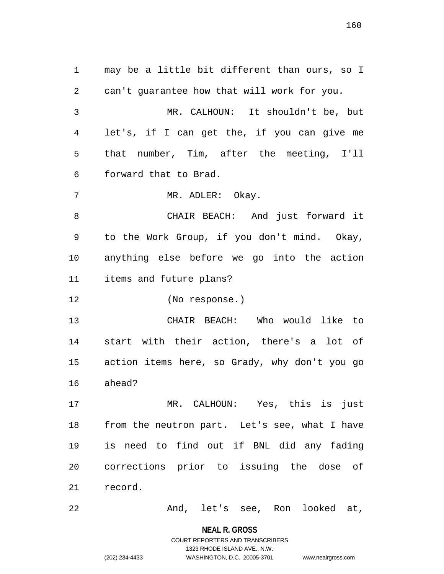1 may be a little bit different than ours, so I 2 can't guarantee how that will work for you. 3 MR. CALHOUN: It shouldn't be, but 4 let's, if I can get the, if you can give me 5 that number, Tim, after the meeting, I'll 6 forward that to Brad. 7 MR. ADLER: Okay. 8 CHAIR BEACH: And just forward it 9 to the Work Group, if you don't mind. Okay, 10 anything else before we go into the action 11 items and future plans? 12 (No response.) 13 CHAIR BEACH: Who would like to 14 start with their action, there's a lot of 15 action items here, so Grady, why don't you go 16 ahead? 17 MR. CALHOUN: Yes, this is just 18 from the neutron part. Let's see, what I have 19 is need to find out if BNL did any fading 20 corrections prior to issuing the dose of 21 record. 22 And, let's see, Ron looked at,

> **NEAL R. GROSS** COURT REPORTERS AND TRANSCRIBERS

> > 1323 RHODE ISLAND AVE., N.W.

(202) 234-4433 WASHINGTON, D.C. 20005-3701 www.nealrgross.com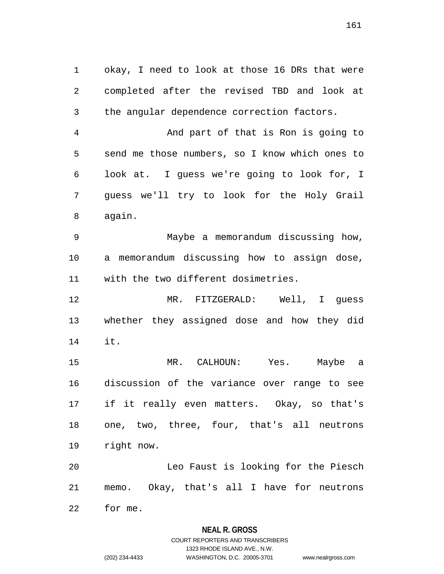1 okay, I need to look at those 16 DRs that were 2 completed after the revised TBD and look at 3 the angular dependence correction factors.

4 And part of that is Ron is going to 5 send me those numbers, so I know which ones to 6 look at. I guess we're going to look for, I 7 guess we'll try to look for the Holy Grail 8 again.

9 Maybe a memorandum discussing how, 10 a memorandum discussing how to assign dose, 11 with the two different dosimetries.

12 MR. FITZGERALD: Well, I guess 13 whether they assigned dose and how they did 14 it.

15 MR. CALHOUN: Yes. Maybe a 16 discussion of the variance over range to see 17 if it really even matters. Okay, so that's 18 one, two, three, four, that's all neutrons 19 right now.

20 Leo Faust is looking for the Piesch 21 memo. Okay, that's all I have for neutrons

22 for me.

## **NEAL R. GROSS**

## COURT REPORTERS AND TRANSCRIBERS 1323 RHODE ISLAND AVE., N.W. (202) 234-4433 WASHINGTON, D.C. 20005-3701 www.nealrgross.com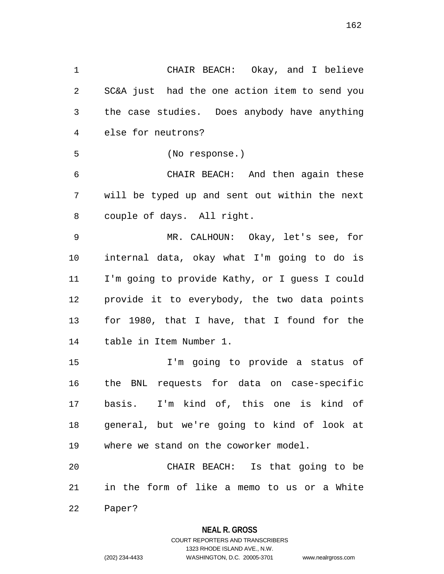1 CHAIR BEACH: Okay, and I believe 2 SC&A just had the one action item to send you 3 the case studies. Does anybody have anything 4 else for neutrons? 5 (No response.) 6 CHAIR BEACH: And then again these 7 will be typed up and sent out within the next 8 couple of days. All right. 9 MR. CALHOUN: Okay, let's see, for 10 internal data, okay what I'm going to do is 11 I'm going to provide Kathy, or I guess I could 12 provide it to everybody, the two data points 13 for 1980, that I have, that I found for the 14 table in Item Number 1. 15 I'm going to provide a status of 16 the BNL requests for data on case-specific 17 basis. I'm kind of, this one is kind of 18 general, but we're going to kind of look at 19 where we stand on the coworker model. 20 CHAIR BEACH: Is that going to be

21 in the form of like a memo to us or a White

22 Paper?

#### **NEAL R. GROSS**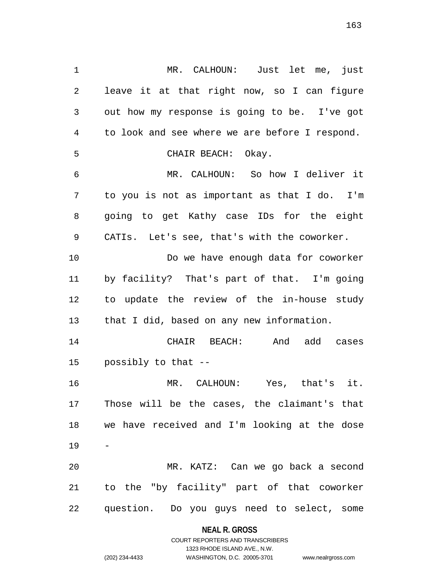1 MR. CALHOUN: Just let me, just 2 leave it at that right now, so I can figure 3 out how my response is going to be. I've got 4 to look and see where we are before I respond. 5 CHAIR BEACH: Okay. 6 MR. CALHOUN: So how I deliver it 7 to you is not as important as that I do. I'm 8 going to get Kathy case IDs for the eight 9 CATIs. Let's see, that's with the coworker. 10 Do we have enough data for coworker 11 by facility? That's part of that. I'm going 12 to update the review of the in-house study 13 that I did, based on any new information. 14 CHAIR BEACH: And add cases 15 possibly to that -- 16 MR. CALHOUN: Yes, that's it. 17 Those will be the cases, the claimant's that 18 we have received and I'm looking at the dose 19 20 MR. KATZ: Can we go back a second 21 to the "by facility" part of that coworker 22 question. Do you guys need to select, some

**NEAL R. GROSS**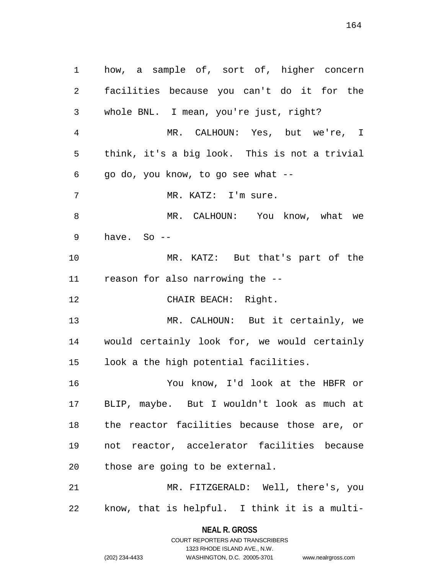1 how, a sample of, sort of, higher concern 2 facilities because you can't do it for the 3 whole BNL. I mean, you're just, right? 4 MR. CALHOUN: Yes, but we're, I 5 think, it's a big look. This is not a trivial 6 go do, you know, to go see what -- 7 MR. KATZ: I'm sure. 8 MR. CALHOUN: You know, what we 9 have. So -- 10 MR. KATZ: But that's part of the 11 reason for also narrowing the -- 12 CHAIR BEACH: Right. 13 MR. CALHOUN: But it certainly, we 14 would certainly look for, we would certainly 15 look a the high potential facilities. 16 You know, I'd look at the HBFR or 17 BLIP, maybe. But I wouldn't look as much at 18 the reactor facilities because those are, or 19 not reactor, accelerator facilities because 20 those are going to be external. 21 MR. FITZGERALD: Well, there's, you 22 know, that is helpful. I think it is a multi-

> **NEAL R. GROSS** COURT REPORTERS AND TRANSCRIBERS

> > 1323 RHODE ISLAND AVE., N.W.

(202) 234-4433 WASHINGTON, D.C. 20005-3701 www.nealrgross.com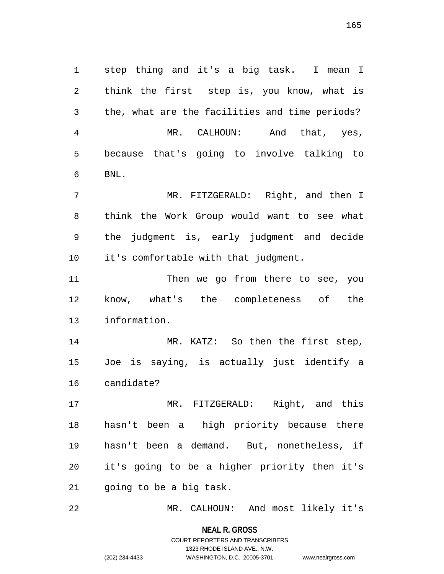1 step thing and it's a big task. I mean I 2 think the first step is, you know, what is 3 the, what are the facilities and time periods? 4 MR. CALHOUN: And that, yes, 5 because that's going to involve talking to 6 BNL.

7 MR. FITZGERALD: Right, and then I 8 think the Work Group would want to see what 9 the judgment is, early judgment and decide 10 it's comfortable with that judgment.

11 Then we go from there to see, you 12 know, what's the completeness of the 13 information.

14 MR. KATZ: So then the first step, 15 Joe is saying, is actually just identify a 16 candidate?

17 MR. FITZGERALD: Right, and this 18 hasn't been a high priority because there 19 hasn't been a demand. But, nonetheless, if 20 it's going to be a higher priority then it's 21 going to be a big task.

22 MR. CALHOUN: And most likely it's

**NEAL R. GROSS**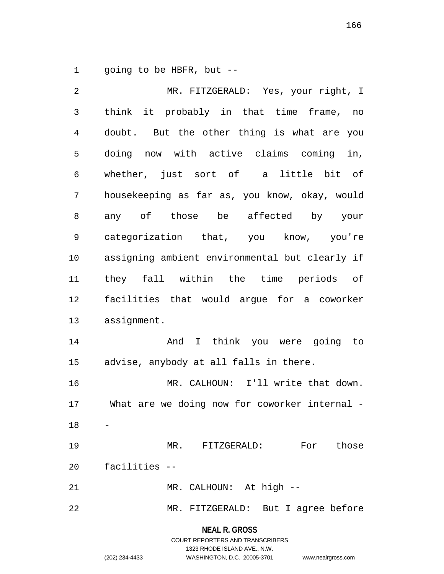1 going to be HBFR, but --

2 MR. FITZGERALD: Yes, your right, I 3 think it probably in that time frame, no 4 doubt. But the other thing is what are you 5 doing now with active claims coming in, 6 whether, just sort of a little bit of 7 housekeeping as far as, you know, okay, would 8 any of those be affected by your 9 categorization that, you know, you're 10 assigning ambient environmental but clearly if 11 they fall within the time periods of 12 facilities that would argue for a coworker 13 assignment. 14 And I think you were going to 15 advise, anybody at all falls in there. 16 MR. CALHOUN: I'll write that down. 17 What are we doing now for coworker internal - 18 19 MR. FITZGERALD: For those 20 facilities -- 21 MR. CALHOUN: At high --22 MR. FITZGERALD: But I agree before

**NEAL R. GROSS**

COURT REPORTERS AND TRANSCRIBERS 1323 RHODE ISLAND AVE., N.W. (202) 234-4433 WASHINGTON, D.C. 20005-3701 www.nealrgross.com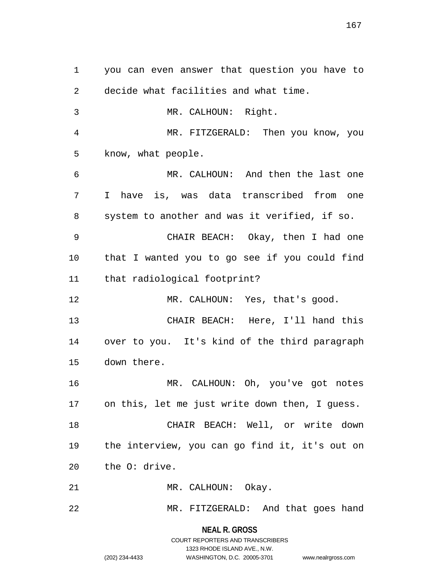1 you can even answer that question you have to 2 decide what facilities and what time. 3 MR. CALHOUN: Right. 4 MR. FITZGERALD: Then you know, you 5 know, what people. 6 MR. CALHOUN: And then the last one 7 I have is, was data transcribed from one 8 system to another and was it verified, if so. 9 CHAIR BEACH: Okay, then I had one 10 that I wanted you to go see if you could find 11 that radiological footprint? 12 MR. CALHOUN: Yes, that's good. 13 CHAIR BEACH: Here, I'll hand this 14 over to you. It's kind of the third paragraph 15 down there. 16 MR. CALHOUN: Oh, you've got notes 17 on this, let me just write down then, I guess. 18 CHAIR BEACH: Well, or write down 19 the interview, you can go find it, it's out on 20 the O: drive. 21 MR. CALHOUN: Okay. 22 MR. FITZGERALD: And that goes hand

> **NEAL R. GROSS** COURT REPORTERS AND TRANSCRIBERS 1323 RHODE ISLAND AVE., N.W. (202) 234-4433 WASHINGTON, D.C. 20005-3701 www.nealrgross.com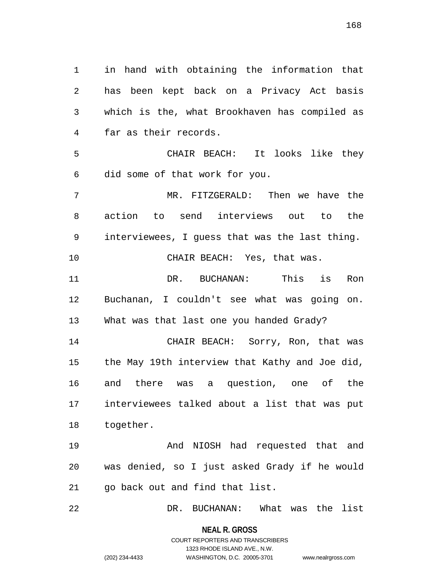1 in hand with obtaining the information that 2 has been kept back on a Privacy Act basis 3 which is the, what Brookhaven has compiled as 4 far as their records. 5 CHAIR BEACH: It looks like they 6 did some of that work for you. 7 MR. FITZGERALD: Then we have the 8 action to send interviews out to the 9 interviewees, I guess that was the last thing. 10 CHAIR BEACH: Yes, that was. 11 DR. BUCHANAN: This is Ron 12 Buchanan, I couldn't see what was going on. 13 What was that last one you handed Grady? 14 CHAIR BEACH: Sorry, Ron, that was 15 the May 19th interview that Kathy and Joe did, 16 and there was a question, one of the 17 interviewees talked about a list that was put 18 together. 19 And NIOSH had requested that and 20 was denied, so I just asked Grady if he would 21 go back out and find that list.

22 DR. BUCHANAN: What was the list

**NEAL R. GROSS** COURT REPORTERS AND TRANSCRIBERS

1323 RHODE ISLAND AVE., N.W.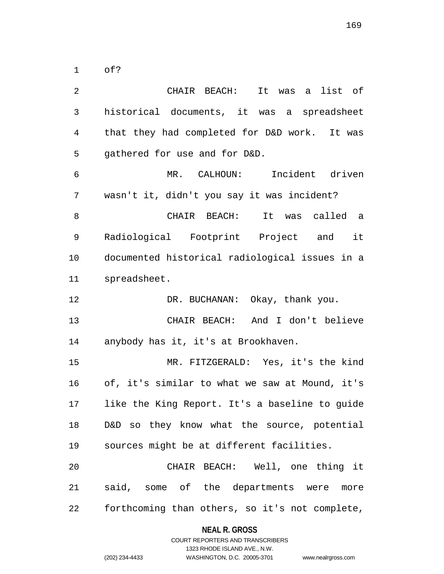1 of?

| $\overline{a}$ | CHAIR BEACH: It was a list of                  |
|----------------|------------------------------------------------|
| $\mathfrak{Z}$ | historical documents, it was a spreadsheet     |
| $\overline{4}$ | that they had completed for D&D work. It was   |
| 5              | gathered for use and for D&D.                  |
| 6              | MR. CALHOUN: Incident driven                   |
| 7              | wasn't it, didn't you say it was incident?     |
| 8              | CHAIR BEACH: It was called a                   |
| 9              | Radiological Footprint Project and it          |
| 10             | documented historical radiological issues in a |
| 11             | spreadsheet.                                   |
| 12             | DR. BUCHANAN: Okay, thank you.                 |
| 13             | CHAIR BEACH: And I don't believe               |
| 14             | anybody has it, it's at Brookhaven.            |
| 15             | MR. FITZGERALD: Yes, it's the kind             |
| 16             | of, it's similar to what we saw at Mound, it's |
| 17             | like the King Report. It's a baseline to guide |
| 18             | D&D so they know what the source, potential    |
| 19             | sources might be at different facilities.      |
| 20             | CHAIR BEACH: Well, one thing it                |
| 21             | said, some of the departments were more        |
| 22             | forthcoming than others, so it's not complete, |

**NEAL R. GROSS** COURT REPORTERS AND TRANSCRIBERS

1323 RHODE ISLAND AVE., N.W.

(202) 234-4433 WASHINGTON, D.C. 20005-3701 www.nealrgross.com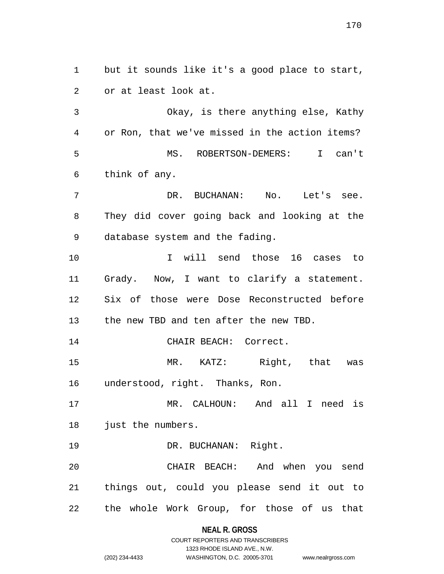1 but it sounds like it's a good place to start, 2 or at least look at.

3 Okay, is there anything else, Kathy 4 or Ron, that we've missed in the action items? 5 MS. ROBERTSON-DEMERS: I can't 6 think of any.

7 DR. BUCHANAN: No. Let's see. 8 They did cover going back and looking at the 9 database system and the fading.

10 I will send those 16 cases to 11 Grady. Now, I want to clarify a statement. 12 Six of those were Dose Reconstructed before 13 the new TBD and ten after the new TBD.

14 CHAIR BEACH: Correct.

15 MR. KATZ: Right, that was 16 understood, right. Thanks, Ron.

17 MR. CALHOUN: And all I need is 18 just the numbers.

19 DR. BUCHANAN: Right.

20 CHAIR BEACH: And when you send 21 things out, could you please send it out to 22 the whole Work Group, for those of us that

**NEAL R. GROSS**

```
COURT REPORTERS AND TRANSCRIBERS
                     1323 RHODE ISLAND AVE., N.W.
(202) 234-4433 WASHINGTON, D.C. 20005-3701 www.nealrgross.com
```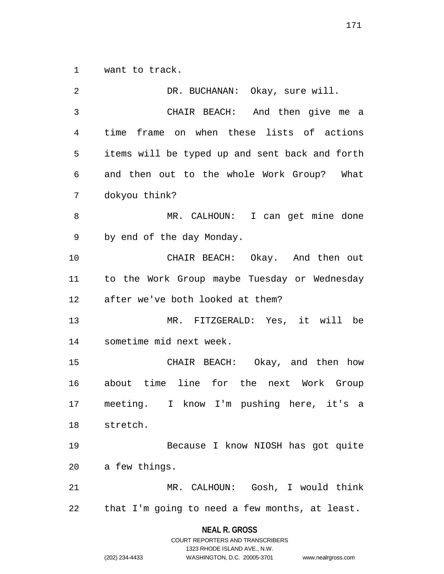1 want to track.

| 2  | DR. BUCHANAN: Okay, sure will.                 |
|----|------------------------------------------------|
| 3  | CHAIR BEACH: And then give me a                |
| 4  | time frame on when these lists of actions      |
| 5  | items will be typed up and sent back and forth |
| 6  | and then out to the whole Work Group? What     |
| 7  | dokyou think?                                  |
| 8  | MR. CALHOUN: I can get mine done               |
| 9  | by end of the day Monday.                      |
| 10 | CHAIR BEACH: Okay. And then out                |
| 11 | to the Work Group maybe Tuesday or Wednesday   |
| 12 | after we've both looked at them?               |
| 13 | MR. FITZGERALD: Yes, it will be                |
| 14 | sometime mid next week.                        |
| 15 | CHAIR BEACH: Okay, and then how                |
| 16 | about time line for the next Work Group        |
| 17 | meeting. I know I'm pushing here, it's a       |
| 18 | stretch.                                       |
| 19 | Because I know NIOSH has got quite             |
| 20 | a few things.                                  |
| 21 | MR. CALHOUN: Gosh, I would think               |
| 22 | that I'm going to need a few months, at least. |
|    | <b>NEAL R. GROSS</b>                           |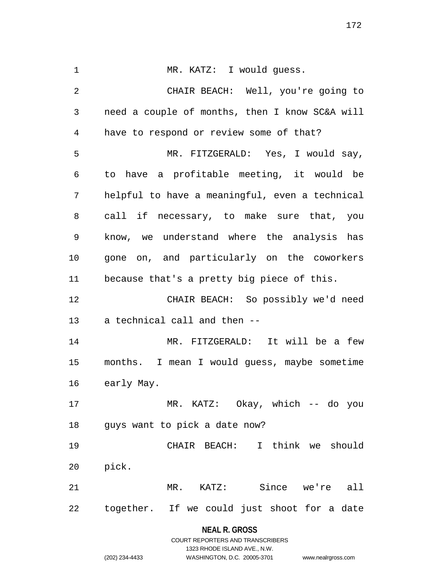**NEAL R. GROSS** 1 MR. KATZ: I would guess. 2 CHAIR BEACH: Well, you're going to 3 need a couple of months, then I know SC&A will 4 have to respond or review some of that? 5 MR. FITZGERALD: Yes, I would say, 6 to have a profitable meeting, it would be 7 helpful to have a meaningful, even a technical 8 call if necessary, to make sure that, you 9 know, we understand where the analysis has 10 gone on, and particularly on the coworkers 11 because that's a pretty big piece of this. 12 CHAIR BEACH: So possibly we'd need 13 a technical call and then -- 14 MR. FITZGERALD: It will be a few 15 months. I mean I would guess, maybe sometime 16 early May. 17 MR. KATZ: Okay, which -- do you 18 guys want to pick a date now? 19 CHAIR BEACH: I think we should 20 pick. 21 MR. KATZ: Since we're all 22 together. If we could just shoot for a date

> COURT REPORTERS AND TRANSCRIBERS 1323 RHODE ISLAND AVE., N.W. (202) 234-4433 WASHINGTON, D.C. 20005-3701 www.nealrgross.com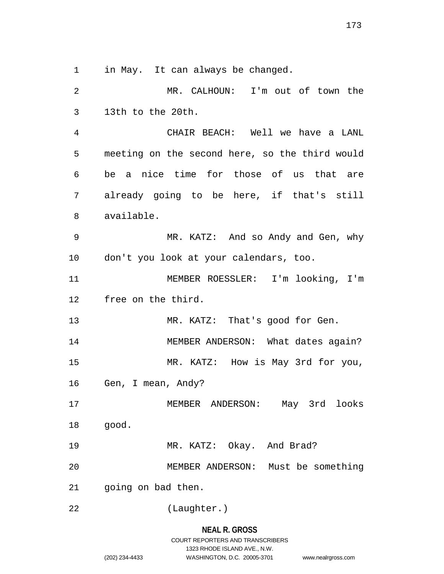1 in May. It can always be changed.

2 MR. CALHOUN: I'm out of town the 3 13th to the 20th. 4 CHAIR BEACH: Well we have a LANL 5 meeting on the second here, so the third would 6 be a nice time for those of us that are 7 already going to be here, if that's still 8 available. 9 MR. KATZ: And so Andy and Gen, why 10 don't you look at your calendars, too. 11 MEMBER ROESSLER: I'm looking, I'm 12 free on the third. 13 MR. KATZ: That's good for Gen. 14 MEMBER ANDERSON: What dates again? 15 MR. KATZ: How is May 3rd for you, 16 Gen, I mean, Andy? 17 MEMBER ANDERSON: May 3rd looks 18 good. 19 MR. KATZ: Okay. And Brad? 20 MEMBER ANDERSON: Must be something 21 going on bad then. 22 (Laughter.)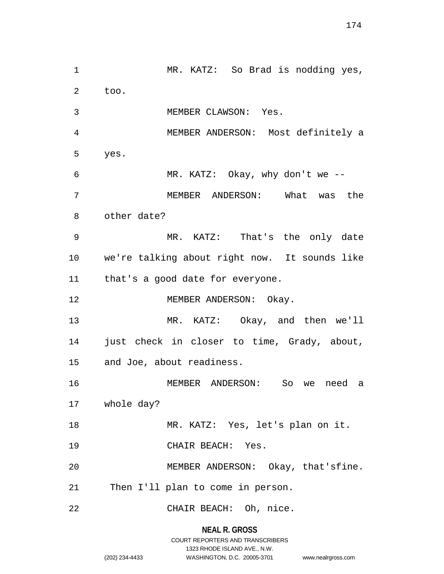1 MR. KATZ: So Brad is nodding yes, 2 too. 3 MEMBER CLAWSON: Yes. 4 MEMBER ANDERSON: Most definitely a 5 yes. 6 MR. KATZ: Okay, why don't we -- 7 MEMBER ANDERSON: What was the 8 other date? 9 MR. KATZ: That's the only date 10 we're talking about right now. It sounds like 11 that's a good date for everyone. 12 MEMBER ANDERSON: Okay. 13 MR. KATZ: Okay, and then we'll 14 just check in closer to time, Grady, about, 15 and Joe, about readiness. 16 MEMBER ANDERSON: So we need a 17 whole day? 18 MR. KATZ: Yes, let's plan on it. 19 CHAIR BEACH: Yes. 20 MEMBER ANDERSON: Okay, that'sfine. 21 Then I'll plan to come in person. 22 CHAIR BEACH: Oh, nice.

## **NEAL R. GROSS** COURT REPORTERS AND TRANSCRIBERS 1323 RHODE ISLAND AVE., N.W.

(202) 234-4433 WASHINGTON, D.C. 20005-3701 www.nealrgross.com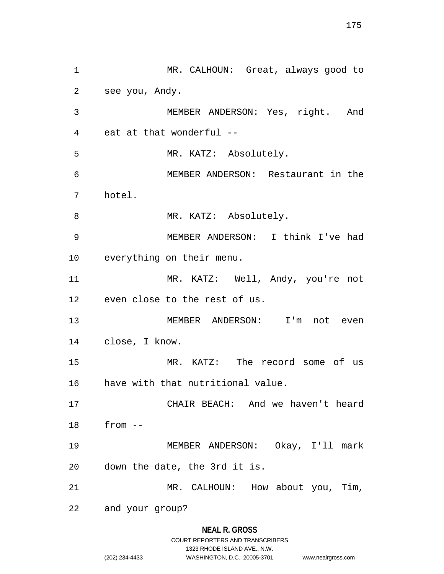1 MR. CALHOUN: Great, always good to 2 see you, Andy. 3 MEMBER ANDERSON: Yes, right. And 4 eat at that wonderful -- 5 MR. KATZ: Absolutely. 6 MEMBER ANDERSON: Restaurant in the 7 hotel. 8 MR. KATZ: Absolutely. 9 MEMBER ANDERSON: I think I've had 10 everything on their menu. 11 MR. KATZ: Well, Andy, you're not 12 even close to the rest of us. 13 MEMBER ANDERSON: I'm not even 14 close, I know. 15 MR. KATZ: The record some of us 16 have with that nutritional value. 17 CHAIR BEACH: And we haven't heard 18 from -- 19 MEMBER ANDERSON: Okay, I'll mark 20 down the date, the 3rd it is. 21 MR. CALHOUN: How about you, Tim, 22 and your group?

#### **NEAL R. GROSS**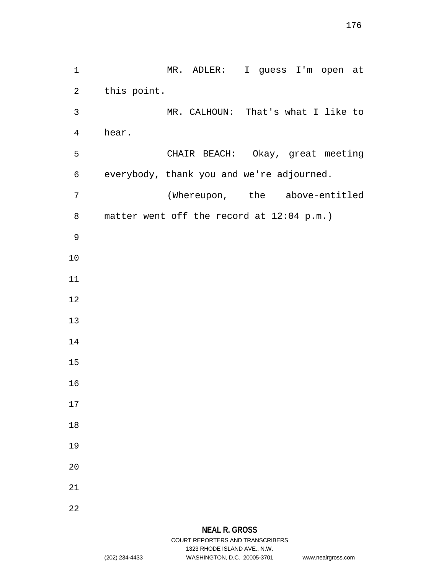1 MR. ADLER: I guess I'm open at 2 this point. 3 MR. CALHOUN: That's what I like to 4 hear. 5 CHAIR BEACH: Okay, great meeting 6 everybody, thank you and we're adjourned. 7 (Whereupon, the above-entitled 8 matter went off the record at 12:04 p.m.) 9 10 11 12 13 14 15 16 17 18 19 20 21